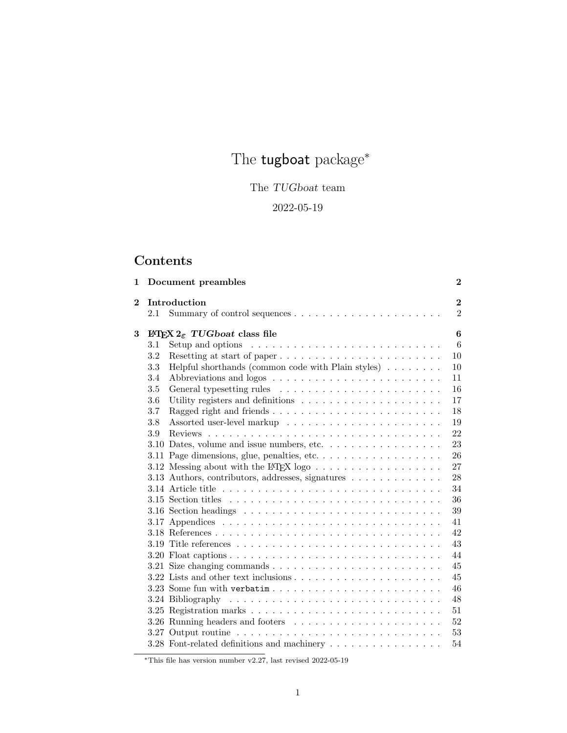# The  $\sf{tugboat}$   $\sf{package}^*$

# The TUGboat team

# 2022-05-19

# Contents

| 1              |     | Document preambles                                                                              | $\overline{2}$                   |
|----------------|-----|-------------------------------------------------------------------------------------------------|----------------------------------|
| $\overline{2}$ | 2.1 | Introduction                                                                                    | $\overline{2}$<br>$\overline{2}$ |
| 3              |     | INT <sub>F</sub> X $2_{\epsilon}$ TUGboat class file                                            | 6                                |
|                | 3.1 | Setup and options $\dots \dots \dots \dots \dots \dots \dots \dots \dots \dots$                 | 6                                |
|                | 3.2 |                                                                                                 | 10                               |
|                | 3.3 | Helpful shorthands (common code with Plain styles) $\ldots \ldots \ldots$                       | 10                               |
|                | 3.4 |                                                                                                 | 11                               |
|                | 3.5 |                                                                                                 | 16                               |
|                | 3.6 |                                                                                                 | 17                               |
|                | 3.7 |                                                                                                 | 18                               |
|                | 3.8 |                                                                                                 | 19                               |
|                | 3.9 |                                                                                                 | 22                               |
|                |     | 3.10 Dates, volume and issue numbers, etc. $\dots \dots \dots \dots \dots \dots$                | 23                               |
|                |     | 3.11 Page dimensions, glue, penalties, etc                                                      | 26                               |
|                |     | 3.12 Messing about with the L <sup>AT</sup> FX logo $\ldots \ldots \ldots \ldots \ldots \ldots$ | 27                               |
|                |     | 3.13 Authors, contributors, addresses, signatures                                               | 28                               |
|                |     |                                                                                                 | 34                               |
|                |     |                                                                                                 | 36                               |
|                |     |                                                                                                 | 39                               |
|                |     |                                                                                                 | 41                               |
|                |     |                                                                                                 | 42                               |
|                |     |                                                                                                 | 43                               |
|                |     |                                                                                                 | 44                               |
|                |     |                                                                                                 | 45                               |
|                |     |                                                                                                 | 45                               |
|                |     | 3.23 Some fun with $verbatin \ldots \ldots \ldots \ldots \ldots \ldots \ldots$                  | 46                               |
|                |     |                                                                                                 | 48                               |
|                |     |                                                                                                 | 51                               |
|                |     |                                                                                                 | 52                               |
|                |     |                                                                                                 | 53                               |
|                |     |                                                                                                 | 54                               |

 $*$ This file has version number v2.27, last revised 2022-05-19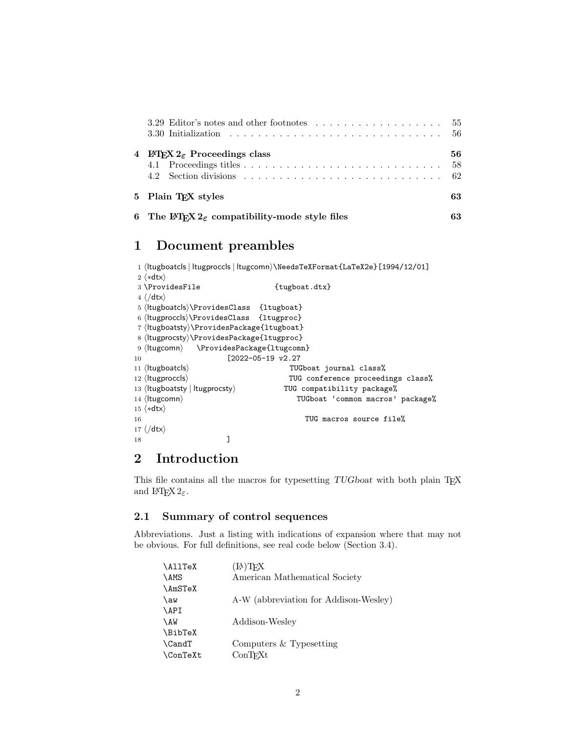| $\overline{4}$ | <b>EX</b> $2_{\epsilon}$ Proceedings class             | 56<br>-58 |
|----------------|--------------------------------------------------------|-----------|
|                | 5 Plain T <sub>F</sub> X styles                        | 63        |
|                | 6 The IATEX $2\epsilon$ compatibility-mode style files | 63        |

# 1 Document preambles

```
1 ⟨ltugboatcls | ltugproccls | ltugcomn⟩\NeedsTeXFormat{LaTeX2e}[1994/12/01]
2 ⟨∗dtx⟩
3 \ProvidesFile {tugboat.dat}4 \langle / \text{dtx} \rangle5 ⟨ltugboatcls⟩\ProvidesClass {ltugboat}
6 ⟨ltugproccls⟩\ProvidesClass {ltugproc}
7 ⟨ltugboatsty⟩\ProvidesPackage{ltugboat}
8 ⟨ltugprocsty⟩\ProvidesPackage{ltugproc}
9 ⟨ltugcomn⟩ \ProvidesPackage{ltugcomn}
10 [2022-05-19 v2.27
11 \langleltugboatcls\rangle TUGboat journal class<sup>%</sup>
12 \langleltugproccls\rangle TUG conference proceedings class<sup>%</sup>
13 \langleItugboatsty | Itugprocsty \ TUG compatibility package%
14 \langleltugcomn\rangle TUGboat 'common macros' package%
15 ⟨∗dtx⟩
16 TUG macros source file%
17 ⟨/dtx⟩
18 ]
```
# 2 Introduction

This file contains all the macros for typesetting TUGboat with both plain TFX and LAT<sub>E</sub>X  $2_{\varepsilon}$ .

# 2.1 Summary of control sequences

Abbreviations. Just a listing with indications of expansion where that may not be obvious. For full definitions, see real code below (Section 3.4).

| \AllTeX         | $(A)$ TEX                             |
|-----------------|---------------------------------------|
| \AMS            | American Mathematical Society         |
| \AmSTeX         |                                       |
| \aw             | A-W (abbreviation for Addison-Wesley) |
| \API            |                                       |
| \AW             | Addison-Wesley                        |
| <b>\BibTeX</b>  |                                       |
| \CandT          | Computers $&$ Typesetting             |
| <b>\ConTeXt</b> | ConTrXt                               |
|                 |                                       |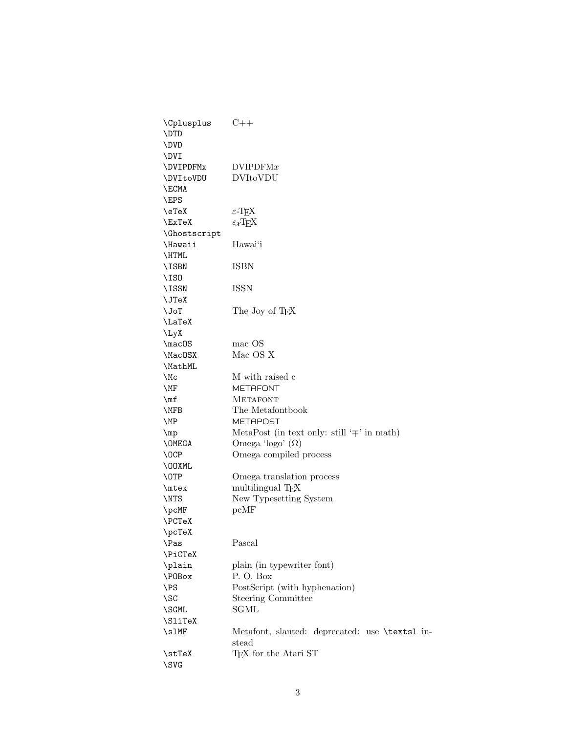| \Cplusplus<br>\DTD         | $C++$                                                   |
|----------------------------|---------------------------------------------------------|
| \DVD                       |                                                         |
| \DVI                       |                                                         |
| \DVIPDFMx                  | DVIPDFMx                                                |
| <b>\DVItoVDU</b>           | <b>DVItoVDU</b>                                         |
| \ECMA                      |                                                         |
| \EPS                       |                                                         |
| \eTeX                      | $\varepsilon$ -T <sub>F</sub> X                         |
| \ExTeX                     | $\varepsilon_X$ T <sub>E</sub> X                        |
| <i><b>\Ghostscript</b></i> |                                                         |
| \Hawaii                    | Hawai'i                                                 |
| \HTML                      |                                                         |
| \ISBN                      | ISBN                                                    |
| $\setminus$ ISO            |                                                         |
| \ISSN                      | <b>ISSN</b>                                             |
| \JTeX                      |                                                         |
| \JoT                       | The Joy of T <sub>F</sub> X                             |
| \LaTeX                     |                                                         |
| \LyX                       |                                                         |
| \macOS                     | mac OS                                                  |
| \MacOSX                    | Mac OS X                                                |
| \MathML                    |                                                         |
| \Mc                        | M with raised c                                         |
| \MF                        | <b>METAFONT</b>                                         |
| $\ln f$                    | <b>METAFONT</b>                                         |
| \MFB                       | The Metafontbook                                        |
| \MP                        | METAPOST                                                |
| $\mp$                      | MetaPost (in text only: still ' $\mp$ ' in math)        |
| \OMEGA                     | Omega 'logo' $(\Omega)$                                 |
| $\setminus$ OCP            | Omega compiled process                                  |
| \00XML                     |                                                         |
| \OTP                       | Omega translation process                               |
| \mtex                      | multilingual T <sub>E</sub> X                           |
| \NTS                       | New Typesetting System                                  |
| \pcMF                      | pcMF                                                    |
| \PCTeX                     |                                                         |
| \pcTeX                     |                                                         |
| \Pas                       | Pascal                                                  |
| \PiCTeX                    |                                                         |
| \plain                     | plain (in typewriter font)                              |
| \P0Box                     | P.O. Box                                                |
| \PS                        | PostScript (with hyphenation)                           |
| \SC                        | <b>Steering Committee</b>                               |
| \SGML                      | SGML                                                    |
| \SliTeX                    |                                                         |
| $\sum_{i=1}^{n}$           | Metafont, slanted: deprecated: use \texts1 in-<br>stead |
| \stTeX<br>\SVG             | T <sub>F</sub> X for the Atari ST                       |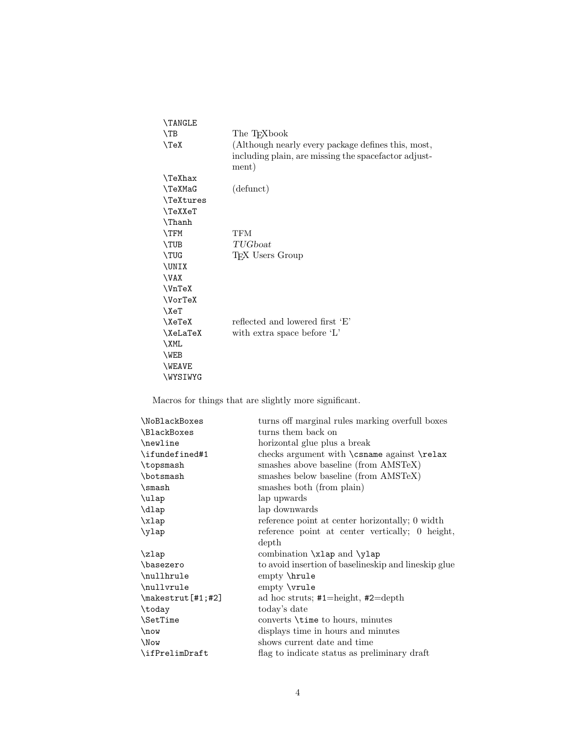| <b>\TANGLE</b>     |                                                                                                                     |
|--------------------|---------------------------------------------------------------------------------------------------------------------|
| $\Gamma$           | The T <sub>F</sub> Xbook                                                                                            |
| $\{TeX\}$          | (Although nearly every package defines this, most,<br>including plain, are missing the spacefactor adjust-<br>ment) |
| <b>\TeXhax</b>     |                                                                                                                     |
| <b>\TeXMaG</b>     | (defunct)                                                                                                           |
| <b>\TeXtures</b>   |                                                                                                                     |
| <b>\TeXXeT</b>     |                                                                                                                     |
| \Thanh             |                                                                                                                     |
| <b>\TFM</b>        | <b>TFM</b>                                                                                                          |
| <b>\TUB</b>        | TUGboat                                                                                                             |
| <b>\TUG</b>        | TFX Users Group                                                                                                     |
| \UNIX              |                                                                                                                     |
| \VAX               |                                                                                                                     |
| $\UnText$          |                                                                                                                     |
| \VorTeX            |                                                                                                                     |
| $\chi_{\text{eT}}$ |                                                                                                                     |
| $\chi$ eTeX        | reflected and lowered first 'E'                                                                                     |
| <b>\XeLaTeX</b>    | with extra space before 'L'                                                                                         |
| \XML               |                                                                                                                     |
| \WEB               |                                                                                                                     |
| <b>NEAVE</b>       |                                                                                                                     |
| <b>\WYSIWYG</b>    |                                                                                                                     |

Macros for things that are slightly more significant.

| \NoBlackBoxes                      | turns off marginal rules marking overfull boxes        |
|------------------------------------|--------------------------------------------------------|
| \BlackBoxes                        | turns them back on                                     |
| \newline                           | horizontal glue plus a break                           |
| \ifundefined#1                     | checks argument with $\cos n$ against $\relax$         |
| \topsmash                          | smashes above baseline (from AMSTeX)                   |
| \botsmash                          | smashes below baseline (from AMSTeX)                   |
| $\mathrm{\sim}$                    | smashes both (from plain)                              |
| \ulap                              | lap upwards                                            |
| \dlap                              | lap downwards                                          |
| xlap                               | reference point at center horizontally; 0 width        |
| \ylap                              | reference point at center vertically; 0 height,        |
|                                    | depth                                                  |
| $\zeta$                            | combination \xlap and \ylap                            |
| \basezero                          | to avoid insertion of baselineskip and lineskip glue   |
| \nullhrule                         | empty \hrule                                           |
| \nullvrule                         | $empty \$ {vrule}                                      |
| $\mathcal{L}$ = \makestrut [#1;#2] | ad hoc struts; $\text{#1}$ =height, $\text{#2}$ =depth |
| \today                             | today's date                                           |
| \SetTime                           | converts <i>\time</i> to hours, minutes                |
| $\n\omega$                         | displays time in hours and minutes                     |
| \Now                               | shows current date and time                            |
| \ifPrelimDraft                     | flag to indicate status as preliminary draft           |
|                                    |                                                        |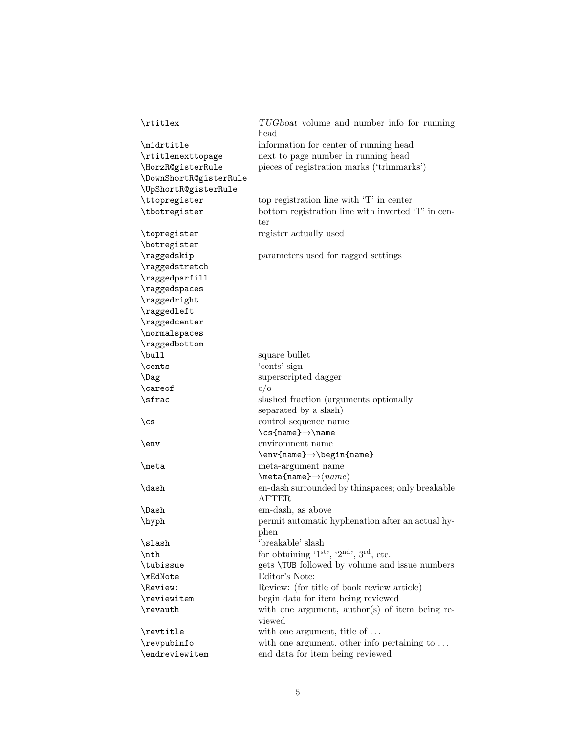| \rtitlex               | TUGboat volume and number info for running<br>head              |
|------------------------|-----------------------------------------------------------------|
| \midrtitle             | information for center of running head                          |
| \rtitlenexttopage      | next to page number in running head                             |
| \HorzR@gisterRule      | pieces of registration marks ('trimmarks')                      |
| \DownShortR@gisterRule |                                                                 |
| \UpShortR@gisterRule   |                                                                 |
| \ttopregister          | top registration line with 'T' in center                        |
| \tbotregister          | bottom registration line with inverted 'T' in cen-<br>ter       |
| \topregister           | register actually used                                          |
| \botregister           |                                                                 |
| \raggedskip            | parameters used for ragged settings                             |
| \raggedstretch         |                                                                 |
| \raggedparfill         |                                                                 |
| \raggedspaces          |                                                                 |
| \raggedright           |                                                                 |
| \raggedleft            |                                                                 |
| \raggedcenter          |                                                                 |
| \normalspaces          |                                                                 |
| \raggedbottom          |                                                                 |
| \bull                  | square bullet                                                   |
| \cents                 | 'cents' sign                                                    |
| \Dag                   | superscripted dagger                                            |
| \careof                | c/o                                                             |
| \sfrac                 | slashed fraction (arguments optionally<br>separated by a slash) |
| $\setminus$ cs         | control sequence name                                           |
|                        | $\cs{name} \rightarrow \name$                                   |
| \env                   | environment name                                                |
|                        | $\text{name} \rightarrow \begin{cases} \text{name} \end{cases}$ |
| \meta                  | meta-argument name                                              |
|                        | $\mathsf{name}\rightarrow\mathsf{name}$                         |
| \dash                  | en-dash surrounded by thinspaces; only breakable                |
|                        | <b>AFTER</b>                                                    |
| \Dash                  | em-dash, as above                                               |
| \hyph                  | permit automatic hyphenation after an actual hy-                |
|                        | phen                                                            |
| \slash                 | 'breakable' slash                                               |
| \nth                   | for obtaining ' $1^{st}$ ', ' $2^{nd}$ ', $3^{rd}$ , etc.       |
| \tubissue              | gets <b>\TUB</b> followed by volume and issue numbers           |
| \xEdNote               | Editor's Note:                                                  |
| \Review:               | Review: (for title of book review article)                      |
| \reviewitem            | begin data for item being reviewed                              |
| \revauth               | with one argument, author(s) of item being re-<br>viewed        |
| \revtitle              | with one argument, title of $\dots$                             |
| \revpubinfo            | with one argument, other info pertaining to $\dots$             |
| \endreviewitem         | end data for item being reviewed                                |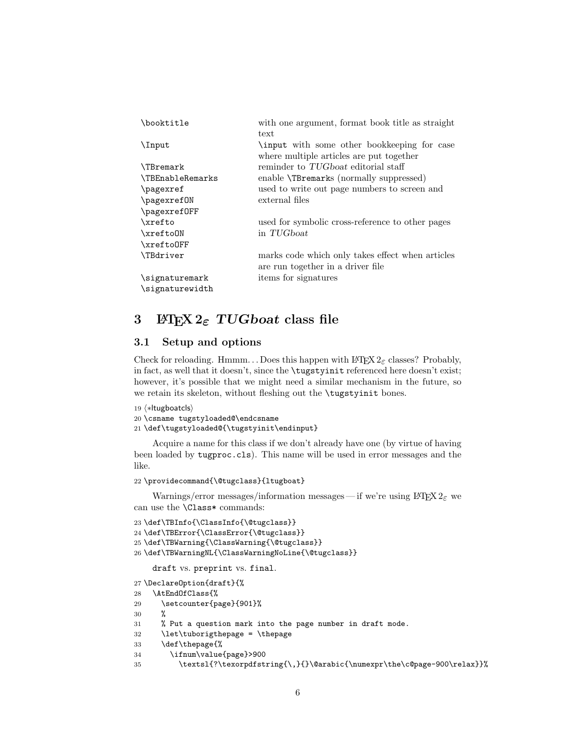| \booktitle              | with one argument, format book title as straight |
|-------------------------|--------------------------------------------------|
|                         | text                                             |
| \Input                  | input with some other bookkeeping for case       |
|                         | where multiple articles are put together         |
| <b>\TBremark</b>        | reminder to TUGboat editorial staff              |
| <b>\TBEnableRemarks</b> | enable <b>\TBremarks</b> (normally suppressed)   |
| \pagexref               | used to write out page numbers to screen and     |
| \pagexref0N             | external files                                   |
| \pagexref0FF            |                                                  |
| <b>\xrefto</b>          | used for symbolic cross-reference to other pages |
| \xrefto0N               | in TUGboat                                       |
| \xrefto0FF              |                                                  |
| <b>\TBdriver</b>        | marks code which only takes effect when articles |
|                         | are run together in a driver file                |
| \signaturemark          | items for signatures                             |
| \signaturewidth         |                                                  |

# 3 ETRX  $2\varepsilon$  TUGboat class file

# 3.1 Setup and options

Check for reloading. Hmmm... Does this happen with  $\mathbb{F} \to \mathbb{F} \times \mathbb{Z}_{\varepsilon}$  classes? Probably, in fact, as well that it doesn't, since the \tugstyinit referenced here doesn't exist; however, it's possible that we might need a similar mechanism in the future, so we retain its skeleton, without fleshing out the \tugstyinit bones.

```
19 ⟨∗ltugboatcls⟩
20 \csname tugstyloaded@\endcsname
21 \def\tugstyloaded@{\tugstyinit\endinput}
```
Acquire a name for this class if we don't already have one (by virtue of having been loaded by tugproc.cls). This name will be used in error messages and the like.

```
22 \providecommand{\@tugclass}{ltugboat}
```
Warnings/error messages/information messages— if we're using  $L^2E^X$  we can use the \Class\* commands:

```
23 \def\TBInfo{\ClassInfo{\@tugclass}}
24 \def\TBError{\ClassError{\@tugclass}}
25 \def\TBWarning{\ClassWarning{\@tugclass}}
26 \def\TBWarningNL{\ClassWarningNoLine{\@tugclass}}
    draft vs. preprint vs. final.
27 \DeclareOption{draft}{%
28 \AtEndOfClass{%
29 \setcounter{page}{901}%
30 %
31 % Put a question mark into the page number in draft mode.
32 \let\tuborigthepage = \thepage
33 \def\thepage{%
34 \ifnum\value{page}>900
35 \textsl{?\texorpdfstring{\,}{}\@arabic{\numexpr\the\c@page-900\relax}}%
```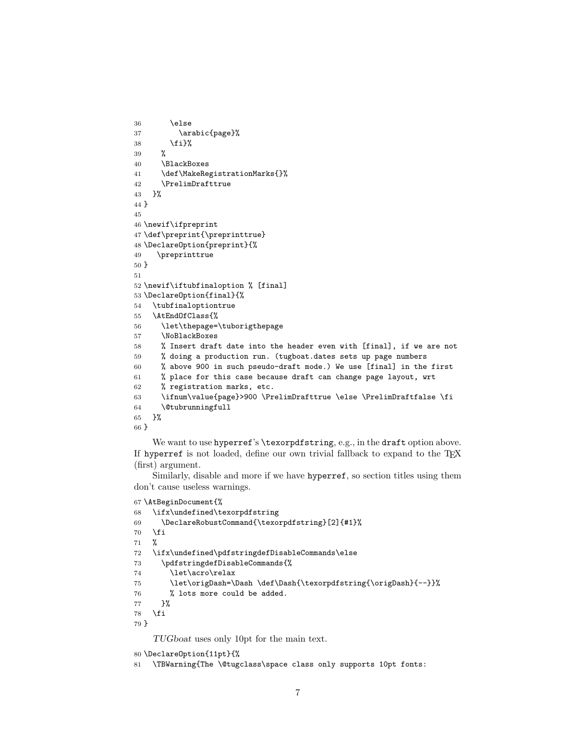```
36 \else
37 \arabic{page}%
38 \{f_i\}%
39 %
40 \BlackBoxes
41 \def\MakeRegistrationMarks{}%
42 \PrelimDrafttrue
43 }%
44 }
45
46 \newif\ifpreprint
47 \def\preprint{\preprinttrue}
48 \DeclareOption{preprint}{%
49 \preprinttrue
50 }
51
52 \newif\iftubfinaloption % [final]
53 \DeclareOption{final}{%
54 \tubfinaloptiontrue
55 \AtEndOfClass{%
56 \let\thepage=\tuborigthepage
57 \NoBlackBoxes
58 % Insert draft date into the header even with [final], if we are not
59 % doing a production run. (tugboat.dates sets up page numbers
60 % above 900 in such pseudo-draft mode.) We use [final] in the first
61 % place for this case because draft can change page layout, wrt
62 % registration marks, etc.
63 \ifnum\value{page}>900 \PrelimDrafttrue \else \PrelimDraftfalse \fi
64 \@tubrunningfull
65 }%
66 }
```
We want to use hyperref's \texorpdfstring, e.g., in the draft option above. If hyperref is not loaded, define our own trivial fallback to expand to the TFX (first) argument.

Similarly, disable and more if we have hyperref, so section titles using them don't cause useless warnings.

```
67 \AtBeginDocument{%
```

```
68 \ifx\undefined\texorpdfstring
69 \DeclareRobustCommand{\texorpdfstring}[2]{#1}%
70 \overline{f}71 %
72 \ifx\undefined\pdfstringdefDisableCommands\else
73 \pdfstringdefDisableCommands{%
74 \let\acro\relax
75 \let\origDash=\Dash \def\Dash{\texorpdfstring{\origDash}{--}}%
76 % lots more could be added.
77 }%
78 \fi
79 }
    TUGboat uses only 10pt for the main text.
```
\DeclareOption{11pt}{%

\TBWarning{The \@tugclass\space class only supports 10pt fonts: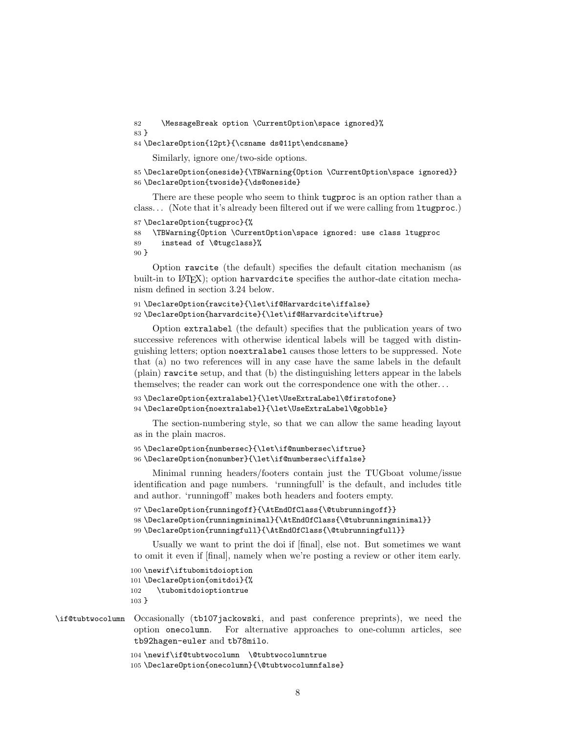```
82 \MessageBreak option \CurrentOption\space ignored}%
83 }
```

```
84 \DeclareOption{12pt}{\csname ds@11pt\endcsname}
```
Similarly, ignore one/two-side options.

```
85 \DeclareOption{oneside}{\TBWarning{Option \CurrentOption\space ignored}}
86 \DeclareOption{twoside}{\ds@oneside}
```
There are these people who seem to think tugproc is an option rather than a class. . . (Note that it's already been filtered out if we were calling from ltugproc.)

```
87 \DeclareOption{tugproc}{%
88 \TBWarning{Option \CurrentOption\space ignored: use class ltugproc
89 instead of \@tugclass}%
90 }
```
Option rawcite (the default) specifies the default citation mechanism (as built-in to LAT<sub>E</sub>X); option harvardcite specifies the author-date citation mechanism defined in section 3.24 below.

```
91 \DeclareOption{rawcite}{\let\if@Harvardcite\iffalse}
92 \DeclareOption{harvardcite}{\let\if@Harvardcite\iftrue}
```
Option extralabel (the default) specifies that the publication years of two successive references with otherwise identical labels will be tagged with distinguishing letters; option noextralabel causes those letters to be suppressed. Note that (a) no two references will in any case have the same labels in the default (plain) rawcite setup, and that (b) the distinguishing letters appear in the labels themselves; the reader can work out the correspondence one with the other. . .

```
93 \DeclareOption{extralabel}{\let\UseExtraLabel\@firstofone}
94 \DeclareOption{noextralabel}{\let\UseExtraLabel\@gobble}
```
The section-numbering style, so that we can allow the same heading layout as in the plain macros.

```
95 \DeclareOption{numbersec}{\let\if@numbersec\iftrue}
96 \DeclareOption{nonumber}{\let\if@numbersec\iffalse}
```
Minimal running headers/footers contain just the TUGboat volume/issue identification and page numbers. 'runningfull' is the default, and includes title and author. 'runningoff' makes both headers and footers empty.

```
97 \DeclareOption{runningoff}{\AtEndOfClass{\@tubrunningoff}}
```

```
98 \DeclareOption{runningminimal}{\AtEndOfClass{\@tubrunningminimal}}
```

```
99 \DeclareOption{runningfull}{\AtEndOfClass{\@tubrunningfull}}
```
Usually we want to print the doi if [final], else not. But sometimes we want to omit it even if [final], namely when we're posting a review or other item early.

```
100 \newif\iftubomitdoioption
101 \DeclareOption{omitdoi}{%
102 \tubomitdoioptiontrue
103 }
```
## \if@tubtwocolumn Occasionally (tb107jackowski, and past conference preprints), we need the option onecolumn. For alternative approaches to one-column articles, see tb92hagen-euler and tb78milo.

```
104 \newif\if@tubtwocolumn \@tubtwocolumntrue
105 \DeclareOption{onecolumn}{\@tubtwocolumnfalse}
```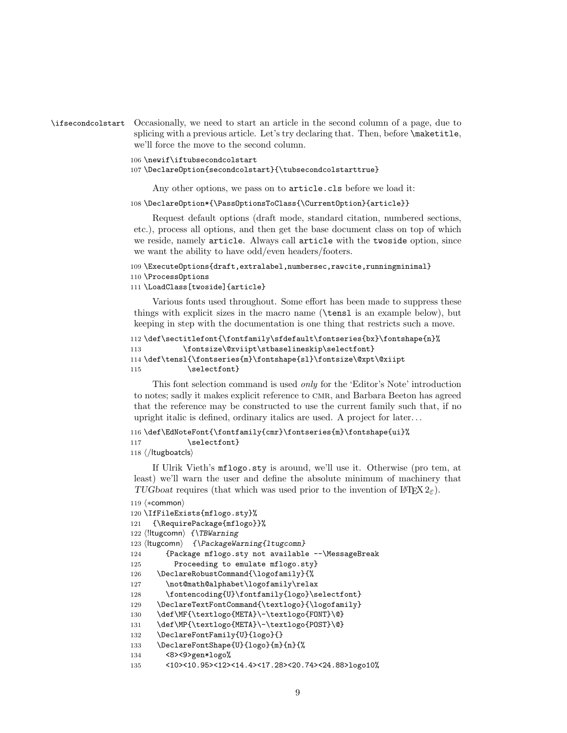```
\ifsecondcolstart Occasionally, we need to start an article in the second column of a page, due to
                    splicing with a previous article. Let's try declaring that. Then, before \maketitle,
                    we'll force the move to the second column.
```
106 \newif\iftubsecondcolstart

107 \DeclareOption{secondcolstart}{\tubsecondcolstarttrue}

Any other options, we pass on to article.cls before we load it:

108 \DeclareOption\*{\PassOptionsToClass{\CurrentOption}{article}}

Request default options (draft mode, standard citation, numbered sections, etc.), process all options, and then get the base document class on top of which we reside, namely article. Always call article with the twoside option, since we want the ability to have odd/even headers/footers.

```
109 \ExecuteOptions{draft,extralabel,numbersec,rawcite,runningminimal}
110 \ProcessOptions
```
## 111 \LoadClass[twoside]{article}

Various fonts used throughout. Some effort has been made to suppress these things with explicit sizes in the macro name (\tensl is an example below), but keeping in step with the documentation is one thing that restricts such a move.

```
112 \def\sectitlefont{\fontfamily\sfdefault\fontseries{bx}\fontshape{n}%
113 \fontsize\@xviipt\stbaselineskip\selectfont}
114 \def\tensl{\fontseries{m}\fontshape{sl}\fontsize\@xpt\@xiipt
115 \selectfont}
```
This font selection command is used only for the 'Editor's Note' introduction to notes; sadly it makes explicit reference to cmr, and Barbara Beeton has agreed that the reference may be constructed to use the current family such that, if no upright italic is defined, ordinary italics are used. A project for later. . .

```
116 \def\EdNoteFont{\fontfamily{cmr}\fontseries{m}\fontshape{ui}%
117 \selectfont}
```
118 ⟨/ltugboatcls⟩

If Ulrik Vieth's mflogo.sty is around, we'll use it. Otherwise (pro tem, at least) we'll warn the user and define the absolute minimum of machinery that TUGboat requires (that which was used prior to the invention of LATEX  $2\varepsilon$ ).

```
119 ⟨∗common⟩
120 \IfFileExists{mflogo.sty}%
121 {\RequirePackage{mflogo}}%
122 ⟨!ltugcomn⟩ {\TBWarning
123 ⟨ltugcomn⟩ {\PackageWarning{ltugcomn}
124 {Package mflogo.sty not available --\MessageBreak
125 Proceeding to emulate mflogo.sty}
126 \DeclareRobustCommand{\logofamily}{%
127 \not@math@alphabet\logofamily\relax
128 \fontencoding{U}\fontfamily{logo}\selectfont}
129 \DeclareTextFontCommand{\textlogo}{\logofamily}
130 \def\MF{\textlogo{META}\-\textlogo{FONT}\@}
131 \def\MP{\textlogo{META}\-\textlogo{POST}\@}
132 \DeclareFontFamily{U}{logo}{}
133 \DeclareFontShape{U}{logo}{m}{n}{%
134 <8><9>gen*logo%
135 <10><10.95><12><14.4><17.28><20.74><24.88>logo10%
```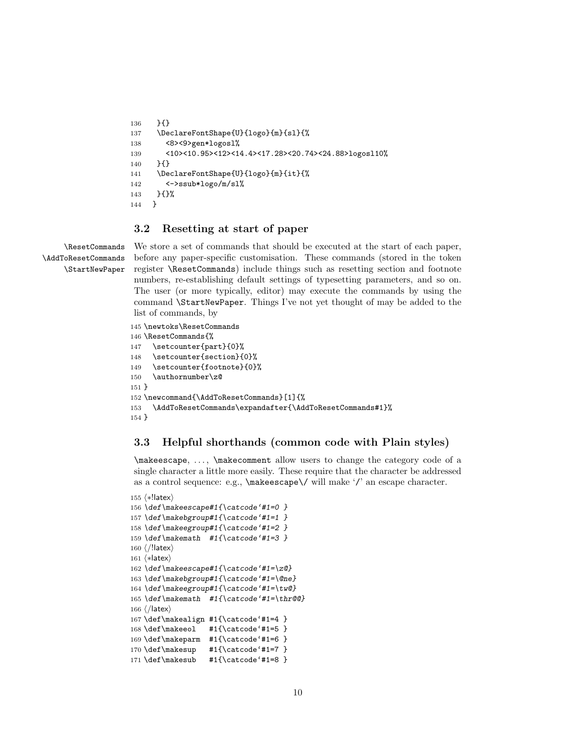```
136 }{}
137 \DeclareFontShape{U}{logo}{m}{sl}{%
138 <8><9>gen*logosl%
139 <10><10.95><12><14.4><17.28><20.74><24.88>logosl10%
140 }{}
141 \DeclareFontShape{U}{logo}{m}{it}{%
142 <->ssub*logo/m/sl%
143 }{}%
144 }
```
# 3.2 Resetting at start of paper

\ResetCommands \AddToResetCommands \StartNewPaper We store a set of commands that should be executed at the start of each paper, before any paper-specific customisation. These commands (stored in the token register \ResetCommands) include things such as resetting section and footnote numbers, re-establishing default settings of typesetting parameters, and so on. The user (or more typically, editor) may execute the commands by using the command \StartNewPaper. Things I've not yet thought of may be added to the list of commands, by

```
145 \newtoks\ResetCommands
146 \ResetCommands{%
147 \setcounter{part}{0}%
148 \setcounter{section}{0}%
149 \setcounter{footnote}{0}%
150 \authornumber\z@
151 }
152 \newcommand{\AddToResetCommands}[1]{%
153 \AddToResetCommands\expandafter{\AddToResetCommands#1}%
154 }
```
# 3.3 Helpful shorthands (common code with Plain styles)

\makeescape, . . . , \makecomment allow users to change the category code of a single character a little more easily. These require that the character be addressed as a control sequence: e.g., \makeescape\/ will make '/' an escape character.

```
155 ⟨∗!latex⟩
156 \def\makeescape#1{\catcode'#1=0 }
157 \def\makebgroup#1{\catcode'#1=1 }
158 \def\makeegroup#1{\catcode'#1=2 }
159 \def\makemath #1{\lambda}catcode'#1=3 }
160 ⟨/!latex⟩
161 ⟨∗latex⟩
162 \def\makeescape#1{\catcode'#1=\z@}
163 \def\makebgroup#1{\catcode'#1=\@ne}
164 \def\makeegroup#1{\catcode'#1=\tw@}
165 \def\makemath #1{\catcode'#1=\thr@@}
166 ⟨/latex⟩
167 \def\makealign #1{\catcode'#1=4 }
168 \def\makeeol #1{\catcode'#1=5 }
169 \def\makeparm #1{\catcode'#1=6 }
170 \def\makesup #1{\catcode'#1=7 }
171 \def\makesub #1{\catcode'#1=8 }
```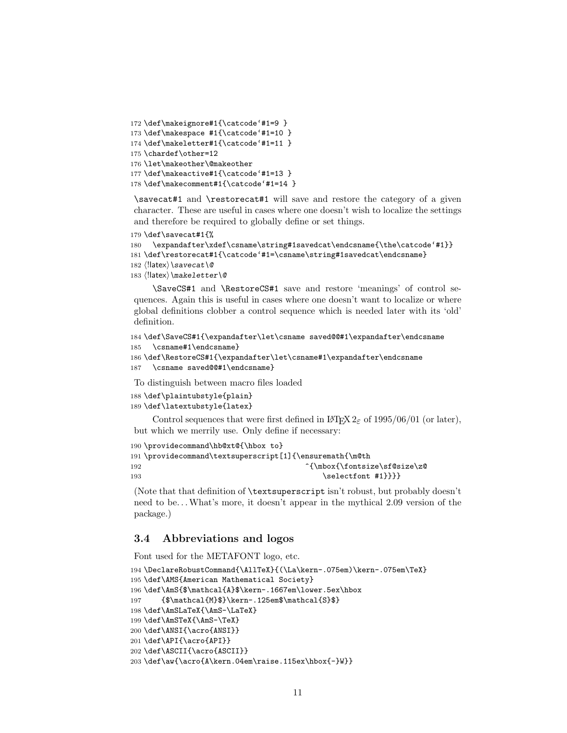```
172 \def\makeignore#1{\catcode'#1=9 }
173 \def\makespace #1{\catcode'#1=10 }
174 \def\makeletter#1{\catcode'#1=11 }
175 \chardef\other=12
176 \let\makeother\@makeother
177 \def\makeactive#1{\catcode'#1=13 }
178 \def\makecomment#1{\catcode'#1=14 }
```
\savecat#1 and \restorecat#1 will save and restore the category of a given character. These are useful in cases where one doesn't wish to localize the settings and therefore be required to globally define or set things.

```
179 \def\savecat#1{%
```

```
180 \expandafter\xdef\csname\string#1savedcat\endcsname{\the\catcode'#1}}
181 \def\restorecat#1{\catcode'#1=\csname\string#1savedcat\endcsname}
```
- 182  $\langle$ !latex $\rangle\$ savecat $\@$
- 183  $\langle$ !latex $\rangle\$ makeletter\@

\SaveCS#1 and \RestoreCS#1 save and restore 'meanings' of control sequences. Again this is useful in cases where one doesn't want to localize or where global definitions clobber a control sequence which is needed later with its 'old' definition.

```
184 \def\SaveCS#1{\expandafter\let\csname saved@@#1\expandafter\endcsname
185 \csname#1\endcsname}
```

```
186 \def\RestoreCS#1{\expandafter\let\csname#1\expandafter\endcsname
187 \csname saved@@#1\endcsname}
```
To distinguish between macro files loaded

```
188 \def\plaintubstyle{plain}
189 \def\latextubstyle{latex}
```
Control sequences that were first defined in LATEX  $2\varepsilon$  of 1995/06/01 (or later), but which we merrily use. Only define if necessary:

```
190 \providecommand\hb@xt@{\hbox to}
191 \providecommand\textsuperscript[1]{\ensuremath{\m@th
192 ^{\mbox{\fontsize\sf@size\z@
193 \selectfont #1}}}}
```
(Note that that definition of \textsuperscript isn't robust, but probably doesn't need to be... What's more, it doesn't appear in the mythical 2.09 version of the package.)

# 3.4 Abbreviations and logos

Font used for the METAFONT logo, etc.

```
194 \DeclareRobustCommand{\AllTeX}{(\La\kern-.075em)\kern-.075em\TeX}
195 \def\AMS{American Mathematical Society}
196 \def\AmS{$\mathcal{A}$\kern-.1667em\lower.5ex\hbox
197 {$\mathcal{M}$}\kern-.125em$\mathcal{S}$}
198 \def\AmSLaTeX{\AmS-\LaTeX}
199 \def\AmSTeX{\AmS-\TeX}
200 \def\ANSI{\acro{ANSI}}
201 \def\API{\acro{API}}
202 \def\ASCII{\acro{ASCII}}
203 \def\aw{\acro{A\kern.04em\raise.115ex\hbox{-}W}}
```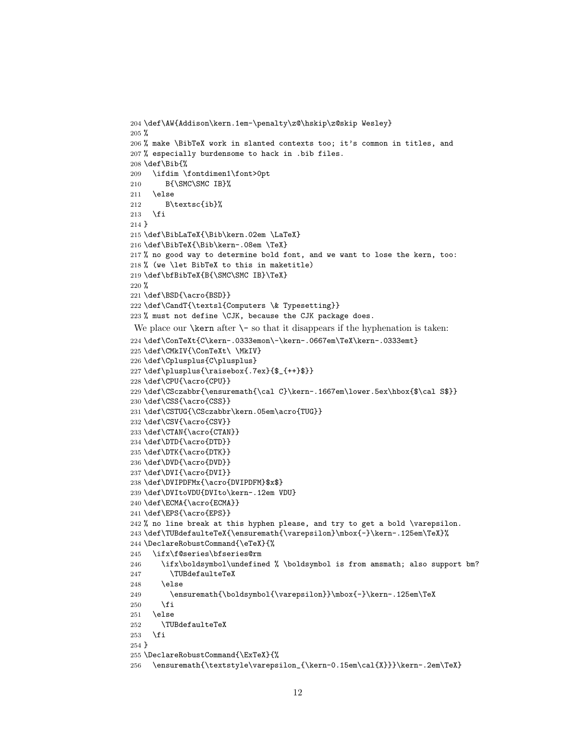```
204 \def\AW{Addison\kern.1em-\penalty\z@\hskip\z@skip Wesley}
205 %
206 % make \BibTeX work in slanted contexts too; it's common in titles, and
207 % especially burdensome to hack in .bib files.
208 \def\Bib{%
209 \ifdim \fontdimen1\font>0pt
210 B{\SMC\SMC IB}%
211 \else
212 B\textsc{ib}%
213 \fi
214 }
215 \def\BibLaTeX{\Bib\kern.02em \LaTeX}
216 \def\BibTeX{\Bib\kern-.08em \TeX}
217 % no good way to determine bold font, and we want to lose the kern, too:
218 % (we \let BibTeX to this in maketitle)
219 \def\bfBibTeX{B{\SMC\SMC IB}\TeX}
220 %
221 \def\BSD{\acro{BSD}}
222 \def\CandT{\textsl{Computers \& Typesetting}}
223 % must not define \CJK, because the CJK package does.
We place our \ker n after \searrow so that it disappears if the hyphenation is taken:
224 \def\ConTeXt{C\kern-.0333emon\-\kern-.0667em\TeX\kern-.0333emt}
225 \def\CMkIV{\ConTeXt\ \MkIV}
226 \def\Cplusplus{C\plusplus}
227 \def\plusplus{\raisebox{.7ex}{$_{++}$}}
228 \def\CPU{\acro{CPU}}
229 \def\CSczabbr{\ensuremath{\cal C}\kern-.1667em\lower.5ex\hbox{$\cal S$}}
230 \def\CSS{\acro{CSS}}
231 \def\CSTUG{\CSczabbr\kern.05em\acro{TUG}}
232 \def\CSV{\acro{CSV}}
233 \def\CTAN{\acro{CTAN}}
234 \def\DTD{\acro{DTD}}
235 \def\DTK{\acro{DTK}}
236 \def\DVD{\acro{DVD}}
237 \def\DVI{\acro{DVI}}
238 \def\DVIPDFMx{\acro{DVIPDFM}$x$}
239 \def\DVItoVDU{DVIto\kern-.12em VDU}
240 \def\ECMA{\acro{ECMA}}
241 \def\EPS{\acro{EPS}}
242 % no line break at this hyphen please, and try to get a bold \varepsilon.
243 \def\TUBdefaulteTeX{\ensuremath{\varepsilon}\mbox{-}\kern-.125em\TeX}%
244 \DeclareRobustCommand{\eTeX}{%
245 \ifx\f@series\bfseries@rm
246 \ifx\boldsymbol\undefined % \boldsymbol is from amsmath; also support bm?
247 \TUBdefaulteTeX
248 \else
249 \ensuremath{\boldsymbol{\varepsilon}}\mbox{-}\kern-.125em\TeX
250 \overline{\ } \}251 \else
252 \TUBdefaulteTeX
253 \fi
254 }
255 \DeclareRobustCommand{\ExTeX}{%
256 \ensuremath{\textstyle\varepsilon_{\kern-0.15em\cal{X}}}\kern-.2em\TeX}
```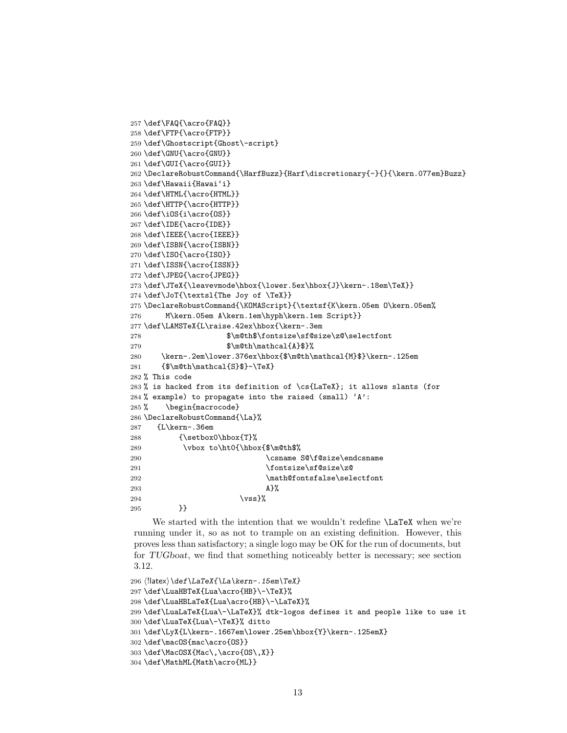```
257 \def\FAQ{\acro{FAQ}}
258 \def\FTP{\acro{FTP}}
259 \def\Ghostscript{Ghost\-script}
260 \def\GNU{\acro{GNU}}
261 \def\GUI{\acro{GUI}}
262 \DeclareRobustCommand{\HarfBuzz}{Harf\discretionary{-}{}{\kern.077em}Buzz}
263 \def\Hawaii{Hawai'i}
264 \def\HTML{\acro{HTML}}
265 \def\HTTP{\acro{HTTP}}
266 \def\iOS{i\acro{OS}}
267 \def\IDE{\acro{IDE}}
268 \def\IEEE{\acro{IEEE}}
269 \def\ISBN{\acro{ISBN}}
270 \def\ISO{\acro{ISO}}
271 \def\ISSN{\acro{ISSN}}
272 \def\JPEG{\acro{JPEG}}
273 \def\JTeX{\leavevmode\hbox{\lower.5ex\hbox{J}\kern-.18em\TeX}}
274 \def\JoT{\textsl{The Joy of \TeX}}
275 \DeclareRobustCommand{\KOMAScript}{\textsf{K\kern.05em O\kern.05em%
276 M\kern.05em A\kern.1em\hyph\kern.1em Script}}
277 \def\LAMSTeX{L\raise.42ex\hbox{\kern-.3em
278 $\m@th$\fontsize\sf@size\z@\selectfont
279 $\m@th\mathcal{A}$}%
280 \kern-.2em\lower.376ex\hbox{$\m@th\mathcal{M}$}\kern-.125em
281 {\mathcal{S}_{\mathcal{S}}-\Tex}
282 % This code
283 % is hacked from its definition of \cs{LaTeX}; it allows slants (for
284 % example) to propagate into the raised (small) 'A:
285 % \begin{macrocode}
286 \DeclareRobustCommand{\La}%
287 {L\kern-.36em
288 {\setbox0\hbox{T}%
289 \vbox to\ht0{\hbox{$\m@th$%
290 \csname S@\f@size\endcsname
291 \fontsize\sf@size\z@
292 \math@fontsfalse\selectfont
293 A}%
294 \quad \text{Vss}\%295 }}
```
We started with the intention that we wouldn't redefine **\LaTeX** when we're running under it, so as not to trample on an existing definition. However, this proves less than satisfactory; a single logo may be OK for the run of documents, but for TUGboat, we find that something noticeably better is necessary; see section 3.12.

```
296 \langle !| \text{def}\text{\texttt{la}} \text{Pern-.15em}\text{TeX}\rangle
```

```
297 \def\LuaHBTeX{Lua\acro{HB}\-\TeX}%
```

```
298 \def\LuaHBLaTeX{Lua\acro{HB}\-\LaTeX}%
```

```
299 \def\LuaLaTeX{Lua\-\LaTeX}% dtk-logos defines it and people like to use it
```

```
300 \def\LuaTeX{Lua\-\TeX}% ditto
```

```
301 \def\LyX{L\kern-.1667em\lower.25em\hbox{Y}\kern-.125emX}
```

```
302 \def\macOS{mac\acro{OS}}
```

```
303 \def\MacOSX{Mac\,\acro{OS\,X}}
```

```
304 \def\MathML{Math\acro{ML}}
```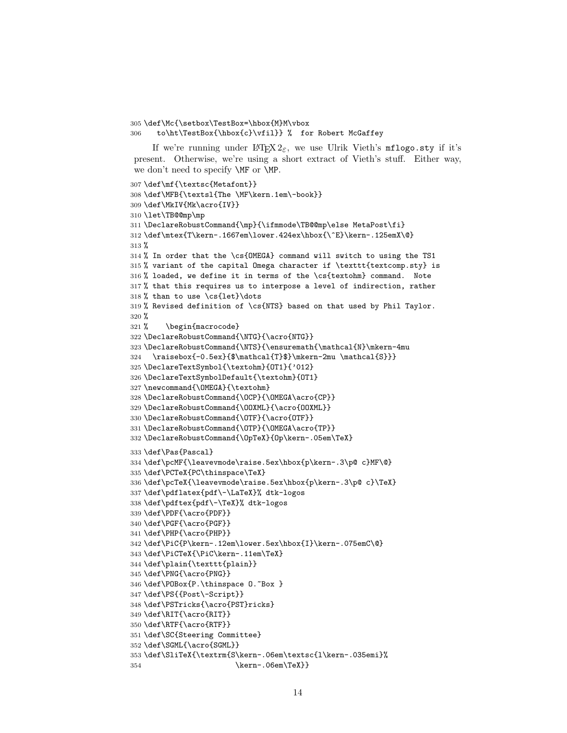\def\Mc{\setbox\TestBox=\hbox{M}M\vbox to\ht\TestBox{\hbox{c}\vfil}} % for Robert McGaffey

If we're running under  $L^2E_0$ , we use Ulrik Vieth's mflogo.sty if it's present. Otherwise, we're using a short extract of Vieth's stuff. Either way, we don't need to specify \MF or \MP.

```
307 \def\mf{\textsc{Metafont}}
308 \def\MFB{\textsl{The \MF\kern.1em\-book}}
309 \def\MkIV{Mk\acro{IV}}
310 \let\TB@@mp\mp
311 \DeclareRobustCommand{\mp}{\ifmmode\TB@@mp\else MetaPost\fi}
312 \def\mtex{T\kern-.1667em\lower.424ex\hbox{\^E}\kern-.125emX\@}
313 %
314 % In order that the \cs{OMEGA} command will switch to using the TS1
315 % variant of the capital Omega character if \texttt{textcomp.sty} is
316 % loaded, we define it in terms of the \cs{textohm} command. Note
317 % that this requires us to interpose a level of indirection, rather
318 % than to use \cs{let}\dots
319 % Revised definition of \cs{NTS} based on that used by Phil Taylor.
320 %
321 % \begin{macrocode}
322 \DeclareRobustCommand{\NTG}{\acro{NTG}}
323 \DeclareRobustCommand{\NTS}{\ensuremath{\mathcal{N}\mkern-4mu
324 \raisebox{-0.5ex}{$\mathcal{T}$}\mkern-2mu \mathcal{S}}}
325 \DeclareTextSymbol{\textohm}{OT1}{'012}
326 \DeclareTextSymbolDefault{\textohm}{OT1}
327 \newcommand{\OMEGA}{\textohm}
328 \DeclareRobustCommand{\OCP}{\OMEGA\acro{CP}}
329 \DeclareRobustCommand{\OOXML}{\acro{OOXML}}
330 \DeclareRobustCommand{\OTF}{\acro{OTF}}
331 \DeclareRobustCommand{\OTP}{\OMEGA\acro{TP}}
332 \DeclareRobustCommand{\OpTeX}{Op\kern-.05em\TeX}
333 \def\Pas{Pascal}
334 \def\pcMF{\leavevmode\raise.5ex\hbox{p\kern-.3\p@ c}MF\@}
335 \def\PCTeX{PC\thinspace\TeX}
336 \def\pcTeX{\leavevmode\raise.5ex\hbox{p\kern-.3\p@ c}\TeX}
337 \def\pdflatex{pdf\-\LaTeX}% dtk-logos
338 \def\pdftex{pdf\-\TeX}% dtk-logos
339 \def\PDF{\acro{PDF}}
340 \def\PGF{\acro{PGF}}
341 \def\PHP{\acro{PHP}}
342 \def\PiC{P\kern-.12em\lower.5ex\hbox{I}\kern-.075emC\@}
343 \def\PiCTeX{\PiC\kern-.11em\TeX}
344 \def\plain{\texttt{plain}}
345 \def\PNG{\acro{PNG}}
346 \def\POBox{P.\thinspace 0. "Box }
347 \def\PS{{Post\-Script}}
348 \def\PSTricks{\acro{PST}ricks}
349 \def\RIT{\acro{RIT}}
350 \def\RTF{\acro{RTF}}
351 \def\SC{Steering Committee}
352 \def\SGML{\acro{SGML}}
353 \def\SliTeX{\textrm{S\kern-.06em\textsc{l\kern-.035emi}%
354 \kern-.06em\TeX}}
```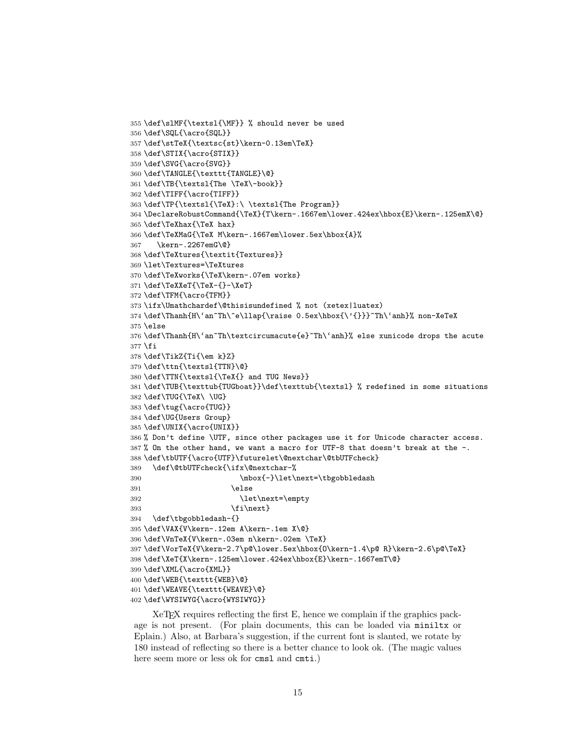```
355 \def\slMF{\textsl{\MF}} % should never be used
356 \def\SQL{\acro{SQL}}
357 \def\stTeX{\textsc{st}\kern-0.13em\TeX}
358 \def\STIX{\acro{STIX}}
359 \def\SVG{\acro{SVG}}
360 \def\TANGLE{\texttt{TANGLE}\@}
361 \def\TB{\textsl{The \TeX\-book}}
362 \def\TIFF{\acro{TIFF}}
363 \def\TP{\textsl{\TeX}:\ \textsl{The Program}}
364 \DeclareRobustCommand{\TeX}{T\kern-.1667em\lower.424ex\hbox{E}\kern-.125emX\@}
365 \def\TeXhax{\TeX hax}
366 \def\TeXMaG{\TeX M\kern-.1667em\lower.5ex\hbox{A}%
367 \kern-.2267emG\@}
368 \def\TeXtures{\textit{Textures}}
369 \let\Textures=\TeXtures
370 \def\TeXworks{\TeX\kern-.07em works}
371 \def\TeXXeT{\TeX-{}-\XeT}
372 \def\TFM{\acro{TFM}}
373 \ifx\Umathchardef\@thisisundefined % not (xetex|luatex)
374 \def\Thanh{H\'an~Th\^e\llap{\raise 0.5ex\hbox{\'{}}}~Th\'anh}% non-XeTeX
375 \else
376 \def\Thanh{H\'an~Th\textcircumacute{e}~Th\'anh}% else xunicode drops the acute
377 \fi
378 \def\TikZ{Ti{\em k}Z}
379 \def\ttn{\textsl{TTN}\@}
380 \def\TTN{\textsl{\TeX{} and TUG News}}
381 \def\TUB{\texttub{TUGboat}}\def\texttub{\textsl} % redefined in some situations
382 \def\TUG{\TeX\ \UG}
383 \def\tug{\acro{TUG}}
384 \def\UG{Users Group}
385 \def\UNIX{\acro{UNIX}}
386 % Don't define \UTF, since other packages use it for Unicode character access.
387 % On the other hand, we want a macro for UTF-8 that doesn't break at the -.
388 \def\tbUTF{\acro{UTF}\futurelet\@nextchar\@tbUTFcheck}
389 \def\@tbUTFcheck{\ifx\@nextchar-%
390 \mbox{-}\let\next=\tbgobbledash
391 \text{else}392 \let\next=\empty
393 \quad \text{if} \text{next}394 \def\tbgobbledash-{}
395 \def\VAX{V\kern-.12em A\kern-.1em X\@}
396 \def\VnTeX{V\kern-.03em n\kern-.02em \TeX}
397 \def\VorTeX{V\kern-2.7\p@\lower.5ex\hbox{O\kern-1.4\p@ R}\kern-2.6\p@\TeX}
398 \def\XeT{X\kern-.125em\lower.424ex\hbox{E}\kern-.1667emT\@}
399 \def\XML{\acro{XML}}
400 \def\WEB{\texttt{WEB}\@}
401 \def\WEAVE{\texttt{WEAVE}\@}
402 \def\WYSIWYG{\acro{WYSIWYG}}
```
XeTEX requires reflecting the first E, hence we complain if the graphics package is not present. (For plain documents, this can be loaded via miniltx or Eplain.) Also, at Barbara's suggestion, if the current font is slanted, we rotate by 180 instead of reflecting so there is a better chance to look ok. (The magic values here seem more or less ok for cmsl and cmti.)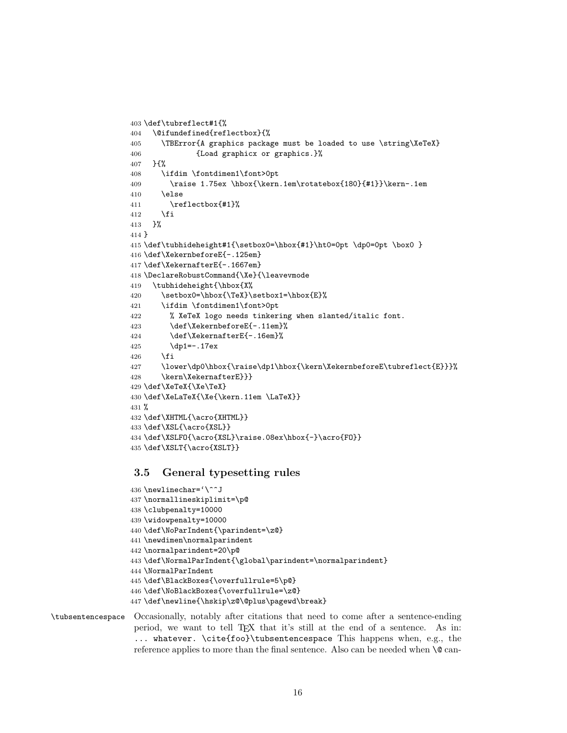```
403 \def\tubreflect#1{%
404 \@ifundefined{reflectbox}{%
405 \TBError{A graphics package must be loaded to use \string\XeTeX}
406 {Load graphicx or graphics.}%
407 }{%
408 \ifdim \fontdimen1\font>0pt
409 \raise 1.75ex \hbox{\kern.1em\rotatebox{180}{#1}}\kern-.1em
410 \qquad \text{hspace}411 \reflectbox{#1}%
412 \fi
413 }%
414 }
415 \def\tubhideheight#1{\setbox0=\hbox{#1}\ht0=0pt \dp0=0pt \box0 }
416 \def\XekernbeforeE{-.125em}
417 \def\XekernafterE{-.1667em}
418 \DeclareRobustCommand{\Xe}{\leavevmode
419 \tubhideheight{\hbox{X%
420 \setbox0=\hbox{\TeX}\setbox1=\hbox{E}%
421 \ifdim \fontdimen1\font>0pt
422 % XeTeX logo needs tinkering when slanted/italic font.
423 \def\XekernbeforeE{-.11em}%
424 \def\XekernafterE{-.16em}%
425 \dp1=-.17ex
426 \fi
427 \lower\dp0\hbox{\raise\dp1\hbox{\kern\XekernbeforeE\tubreflect{E}}}%
428 \kern\XekernafterE}}}
429 \def\XeTeX{\Xe\TeX}
430 \def\XeLaTeX{\Xe{\kern.11em \LaTeX}}
431 %
432 \def\XHTML{\acro{XHTML}}
433 \def\XSL{\acro{XSL}}
434 \def\XSLFO{\acro{XSL}\raise.08ex\hbox{-}\acro{FO}}
435 \def\XSLT{\acro{XSLT}}
```
# 3.5 General typesetting rules

```
436 \newlinechar='\^^J
437 \normallineskiplimit=\p@
438 \clubpenalty=10000
439 \widowpenalty=10000
440 \def\NoParIndent{\parindent=\z@}
441 \newdimen\normalparindent
442 \normalparindent=20\p@
443 \def\NormalParIndent{\global\parindent=\normalparindent}
444 \NormalParIndent
445 \def\BlackBoxes{\overfullrule=5\p@}
446 \def\NoBlackBoxes{\overfullrule=\z@}
447 \def\newline{\hskip\z@\@plus\pagewd\break}
```
# \tubsentencespace Occasionally, notably after citations that need to come after a sentence-ending period, we want to tell TEX that it's still at the end of a sentence. As in: ... whatever. \cite{foo}\tubsentencespace This happens when, e.g., the reference applies to more than the final sentence. Also can be needed when  $\Diamond$  can-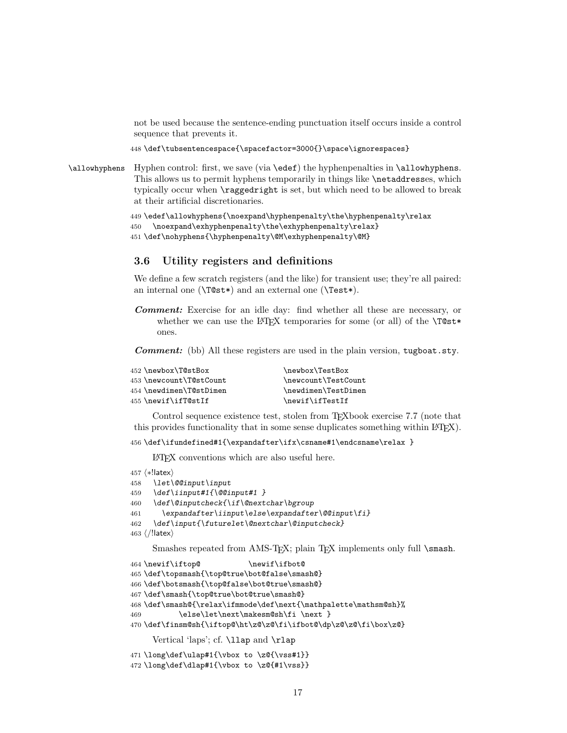not be used because the sentence-ending punctuation itself occurs inside a control sequence that prevents it.

448 \def\tubsentencespace{\spacefactor=3000{}\space\ignorespaces}

\allowhyphens Hyphen control: first, we save (via \edef) the hyphenpenalties in \allowhyphens. This allows us to permit hyphens temporarily in things like \netaddresses, which typically occur when \raggedright is set, but which need to be allowed to break at their artificial discretionaries.

```
449 \edef\allowhyphens{\noexpand\hyphenpenalty\the\hyphenpenalty\relax
450 \noexpand\exhyphenpenalty\the\exhyphenpenalty\relax}
451 \def\nohyphens{\hyphenpenalty\@M\exhyphenpenalty\@M}
```
### 3.6 Utility registers and definitions

We define a few scratch registers (and the like) for transient use; they're all paired: an internal one (\T@st\*) and an external one (\Test\*).

Comment: Exercise for an idle day: find whether all these are necessary, or whether we can use the LAT<sub>EX</sub> temporaries for some (or all) of the  $\Tilde{\text{Cst}}$ ones.

Comment: (bb) All these registers are used in the plain version, tugboat.sty.

| 452 \newbox\T@stBox     | \newbox\TestBox     |
|-------------------------|---------------------|
| 453 \newcount\T@stCount | \newcount\TestCount |
| 454 \newdimen\T@stDimen | \newdimen\TestDimen |
| 455 \newif\ifT@stIf     | \newif\ifTestIf     |
|                         |                     |

Control sequence existence test, stolen from TEXbook exercise 7.7 (note that this provides functionality that in some sense duplicates something within LATEX).

456 \def\ifundefined#1{\expandafter\ifx\csname#1\endcsname\relax }

LATEX conventions which are also useful here.

```
457 ⟨∗!latex⟩
```

```
458 \let\@@input\input
```

```
459 \def\iinput#1{\@@input#1 }
```

```
460 \def\@inputcheck{\if\@nextchar\bgroup
```

```
461 \expandafter\iinput\else\expandafter\@@input\fi}
```

```
462 \def\input{\futurelet\@nextchar\@inputcheck}
```

```
463 ⟨/!latex⟩
```
Smashes repeated from AMS-TEX; plain TEX implements only full \smash.

```
464 \newif\iftop@ \newif\ifbot@
465 \def\topsmash{\top@true\bot@false\smash@}
466 \def\botsmash{\top@false\bot@true\smash@}
467 \def\smash{\top@true\bot@true\smash@}
468 \def\smash@{\relax\ifmmode\def\next{\mathpalette\mathsm@sh}%
469 \else\let\next\makesm@sh\fi \next }
470 \def\finsm@sh{\iftop@\ht\z@\z@\fi\ifbot@\dp\z@\z@\fi\box\z@}
     Vertical 'laps'; cf. \llap and \rlap
471 \long\def\ulap#1{\vbox to \z@{\vss#1}}
```
472 \long\def\dlap#1{\vbox to \z@{#1\vss}}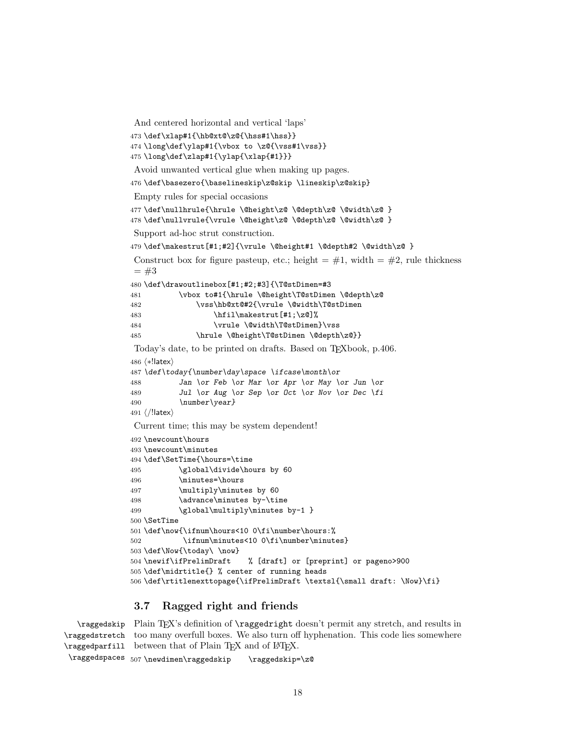And centered horizontal and vertical 'laps'

```
473 \def\xlap#1{\hb@xt@\z@{\hss#1\hss}}
474 \long\def\ylap#1{\vbox to \z@{\vss#1\vss}}
```

```
475 \long\def\zlap#1{\ylap{\xlap{#1}}}
```
Avoid unwanted vertical glue when making up pages.

\def\basezero{\baselineskip\z@skip \lineskip\z@skip}

Empty rules for special occasions

```
477 \def\nullhrule{\hrule \@height\z@ \@depth\z@ \@width\z@ }
478 \def\nullvrule{\vrule \@height\z@ \@depth\z@ \@width\z@ }
```
Support ad-hoc strut construction.

```
479 \def\makestrut[#1;#2]{\vrule \@height#1 \@depth#2 \@width\z@ }
```

```
Construct box for figure pasteup, etc.; height = \#1, width = \#2, rule thickness
= #3
```

```
480 \def\drawoutlinebox[#1;#2;#3]{\T@stDimen=#3
481 \vbox to#1{\hrule \@height\T@stDimen \@depth\z@
```

```
482 \vss\hb@xt@#2{\vrule \@width\T@stDimen
```

```
483 \hbar\{1\}\makestrut[\#1;\z0]\n484 \vrule \@width\T@stDimen}\vss
```

```
485 \hrule \@height\T@stDimen \@depth\z@}}
```
Today's date, to be printed on drafts. Based on T<sub>E</sub>Xbook, p.406.

```
486 ⟨∗!latex⟩
```

```
487 \def\today{\number\day\space \ifcase\month\or
488 Jan \or Feb \or Mar \or Apr \or May \or Jun \or
489 Jul \or Aug \or Sep \or Oct \or Nov \or Dec \fi
490 \number\year}
491 ⟨/!latex⟩
```
Current time; this may be system dependent!

```
492 \newcount\hours
493 \newcount\minutes
494 \def\SetTime{\hours=\time
495 \global\divide\hours by 60
496 \minutes=\hours
497 \multiply\minutes by 60
498 \advance\minutes by-\time
499 \global\multiply\minutes by-1 }
500 \SetTime
501 \def\now{\ifnum\hours<10 0\fi\number\hours:%
502 \ifnum\minutes<10 0\fi\number\minutes}
503 \def\Now{\today\ \now}
504 \newif\ifPrelimDraft % [draft] or [preprint] or pageno>900
505 \def\midrtitle{} % center of running heads
506 \def\rtitlenexttopage{\ifPrelimDraft \textsl{\small draft: \Now}\fi}
```
# 3.7 Ragged right and friends

\raggedskip Plain TEX's definition of \raggedright doesn't permit any stretch, and results in \raggedstretch too many overfull boxes. We also turn off hyphenation. This code lies somewhere \raggedparfill between that of Plain TEX and of L<sup>AT</sup>EX.

```
\raggedspaces 507\newdimen\raggedskip \raggedskip=\z@
```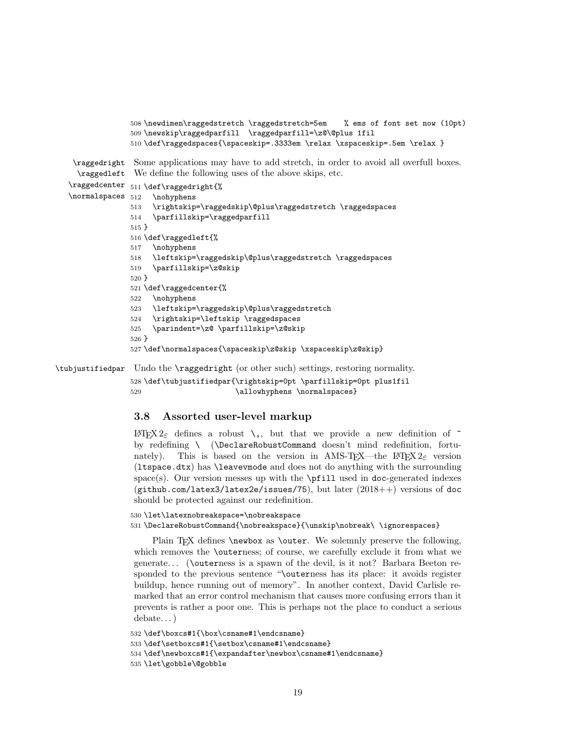```
508 \newdimen\raggedstretch \raggedstretch=5em % ems of font set now (10pt)
              509 \newskip\raggedparfill \raggedparfill=\z@\@plus 1fil
              510 \def\raggedspaces{\spaceskip=.3333em \relax \xspaceskip=.5em \relax }
 \raggedright
Some applications may have to add stretch, in order to avoid all overfull boxes.
  \raggedleft
We define the following uses of the above skips, etc.
\raggedcenter 511 \def\raggedright{%
\text{nonmass} 512\nohyphens
              513 \rightskip=\raggedskip\@plus\raggedstretch \raggedspaces
              514 \parfillskip=\raggedparfill
              515 }
              516 \def\raggedleft{%
              517 \nohyphens
              518 \leftskip=\raggedskip\@plus\raggedstretch \raggedspaces
              519 \parfillskip=\z@skip
              520 }
              521 \def\raggedcenter{%
              522 \nohyphens
              523 \leftskip=\raggedskip\@plus\raggedstretch
              524 \rightskip=\leftskip \raggedspaces
              525 \parindent=\z@ \parfillskip=\z@skip
              526 }
              527 \def\normalspaces{\spaceskip\z@skip \xspaceskip\z@skip}
```
\tubjustifiedpar Undo the \raggedright (or other such) settings, restoring normality.

```
528 \def\tubjustifiedpar{\rightskip=0pt \parfillskip=0pt plus1fil
529 \dllowhyphens \normalspaces}
```
# 3.8 Assorted user-level markup

ETEX 2ε defines a robust \,, but that we provide a new definition of  $\tilde{ }$ by redefining \ (\DeclareRobustCommand doesn't mind redefinition, fortunately). This is based on the version in AMS-TEX—the LATEX  $2\varepsilon$  version (ltspace.dtx) has \leavevmode and does not do anything with the surrounding space(s). Our version messes up with the \pfill used in doc-generated indexes (github.com/latex3/latex2e/issues/75), but later (2018++) versions of doc should be protected against our redefinition.

```
530 \let\latexnobreakspace=\nobreakspace
531 \DeclareRobustCommand{\nobreakspace}{\unskip\nobreak\ \ignorespaces}
```
Plain TEX defines \newbox as \outer. We solemnly preserve the following, which removes the **\outerness**; of course, we carefully exclude it from what we generate. . . (\outerness is a spawn of the devil, is it not? Barbara Beeton responded to the previous sentence "\outerness has its place: it avoids register buildup, hence running out of memory". In another context, David Carlisle remarked that an error control mechanism that causes more confusing errors than it prevents is rather a poor one. This is perhaps not the place to conduct a serious debate. . . )

```
532 \def\boxcs#1{\box\csname#1\endcsname}
533 \def\setboxcs#1{\setbox\csname#1\endcsname}
534 \def\newboxcs#1{\expandafter\newbox\csname#1\endcsname}
535 \let\gobble\@gobble
```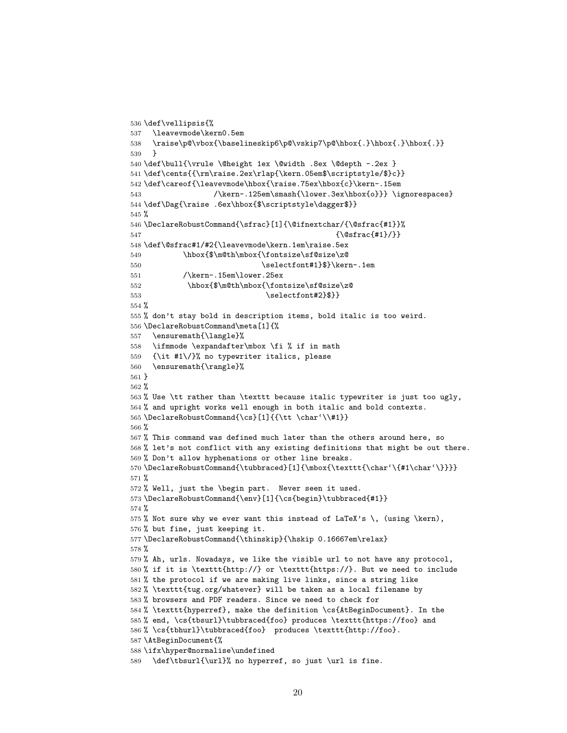```
536 \def\vellipsis{%
537 \leavevmode\kern0.5em
538 \raise\p@\vbox{\baselineskip6\p@\vskip7\p@\hbox{.}\hbox{.}\hbox{.}}
539 }
540 \def\bull{\vrule \@height 1ex \@width .8ex \@depth -.2ex }
541 \def\cents{{\rm\raise.2ex\rlap{\kern.05em$\scriptstyle/$}c}}
542 \def\careof{\leavevmode\hbox{\raise.75ex\hbox{c}\kern-.15em
543 /\kern-.125em\smash{\lower.3ex\hbox{o}}} \ignorespaces}
544 \def\Dag{\raise .6ex\hbox{$\scriptstyle\dagger$}}
545 %
546 \DeclareRobustCommand{\sfrac}[1]{\@ifnextchar/{\@sfrac{#1}}%
547 {\sqrt{sfrac{#1}}}\548 \def\@sfrac#1/#2{\leavevmode\kern.1em\raise.5ex
549 \hbox{$\m@th\mbox{\fontsize\sf@size\z@
550 \selectfont#1}$}\kern-.1em
551 /\kern-.15em\lower.25ex
552 \hbox{$\m@th\mbox{\fontsize\sf@size\z@
553 \selectfont#2}$}}
554 %
555 % don't stay bold in description items, bold italic is too weird.
556 \DeclareRobustCommand\meta[1]{%
557 \ensuremath{\langle}%
558 \ifmmode \expandafter\mbox \fi % if in math
559 {\it #1\/}% no typewriter italics, please
560 \ensuremath{\rangle}%
561 }
562 %
563 % Use \tt rather than \texttt because italic typewriter is just too ugly,
564 % and upright works well enough in both italic and bold contexts.
565 \DeclareRobustCommand{\cs}[1]{{\tt \char'\\#1}}
566 %
567 % This command was defined much later than the others around here, so
568 % let's not conflict with any existing definitions that might be out there.
569 % Don't allow hyphenations or other line breaks.
570 \DeclareRobustCommand{\tubbraced}[1]{\mbox{\texttt{\char'\{#1\char'\}}}}
571 %
572 % Well, just the \begin part. Never seen it used.
573 \DeclareRobustCommand{\env}[1]{\cs{begin}\tubbraced{#1}}
574 %
575 % Not sure why we ever want this instead of LaTeX's \, (using \kern),
576 % but fine, just keeping it.
577 \DeclareRobustCommand{\thinskip}{\hskip 0.16667em\relax}
578 %
579 % Ah, urls. Nowadays, we like the visible url to not have any protocol,
580 % if it is \texttt{http://} or \texttt{https://}. But we need to include
581 % the protocol if we are making live links, since a string like
582 % \texttt{tug.org/whatever} will be taken as a local filename by
583 % browsers and PDF readers. Since we need to check for
584 % \texttt{hyperref}, make the definition \cs{AtBeginDocument}. In the
585 % end, \cs{tbsurl}\tubbraced{foo} produces \texttt{https://foo} and
586 % \cs{tbhurl}\tubbraced{foo} produces \texttt{http://foo}.
587 \AtBeginDocument{%
588 \ifx\hyper@normalise\undefined
589 \def\tbsurl{\url}% no hyperref, so just \url is fine.
```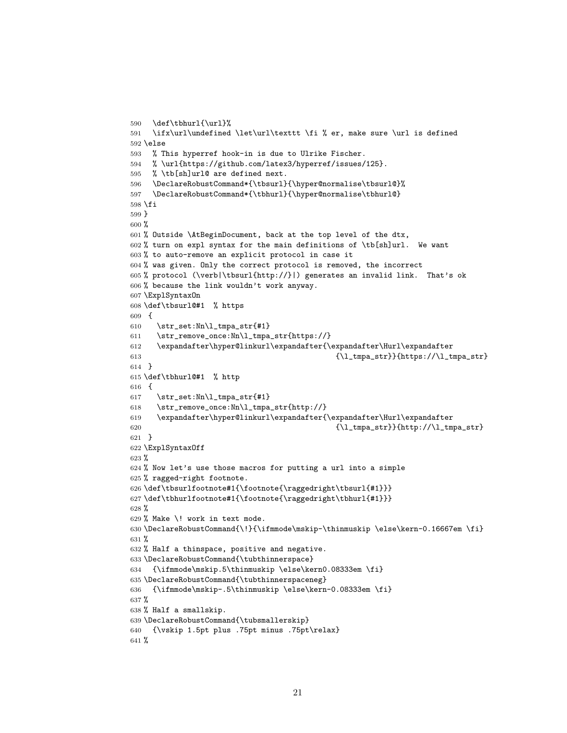```
590 \def\tbhurl{\url}%
591 \ifx\url\undefined \let\url\texttt \fi % er, make sure \url is defined
592 \else
593 % This hyperref hook-in is due to Ulrike Fischer.
594 % \url{https://github.com/latex3/hyperref/issues/125}.
595 % \tb[sh]url@ are defined next.
596 \DeclareRobustCommand*{\tbsurl}{\hyper@normalise\tbsurl@}%
597 \DeclareRobustCommand*{\tbhurl}{\hyper@normalise\tbhurl@}
598 \fi
599 }
600 %
601 % Outside \AtBeginDocument, back at the top level of the dtx,
602 % turn on expl syntax for the main definitions of \tb[sh]url. We want
603 % to auto-remove an explicit protocol in case it
604 % was given. Only the correct protocol is removed, the incorrect
605 % protocol (\verb|\tbsurl{http://}|) generates an invalid link. That's ok
606 % because the link wouldn't work anyway.
607 \ExplSyntaxOn
608 \def\tbsurl@#1 % https
609 {
610 \str_set:Nn\l_tmpa_str{#1}
611 \str_remove_once:Nn\l_tmpa_str{https://}
612 \expandafter\hyper@linkurl\expandafter{\expandafter\Hurl\expandafter
613 {\l_tmpa_str}}{https://\l_tmpa_str}
614 }
615 \def\tbhurl@#1 % http
616 {
617 \str_set:Nn\l_tmpa_str{#1}
618 \str_remove_once:Nn\l_tmpa_str{http://}
619 \expandafter\hyper@linkurl\expandafter{\expandafter\Hurl\expandafter
\{\lceil \lfloor \frac{\text{tmp}}{\text{tmpa\_str}}\rceil\} \{\text{http://l\_tmpa\_str}\}\}621 }
622 \ExplSyntaxOff
623 %
624 % Now let's use those macros for putting a url into a simple
625 % ragged-right footnote.
626 \def\tbsurlfootnote#1{\footnote{\raggedright\tbsurl{#1}}}
627 \def\tbhurlfootnote#1{\footnote{\raggedright\tbhurl{#1}}}
628 %
629 % Make \! work in text mode.
630 \DeclareRobustCommand{\!}{\ifmmode\mskip-\thinmuskip \else\kern-0.16667em \fi}
631 %
632 % Half a thinspace, positive and negative.
633 \DeclareRobustCommand{\tubthinnerspace}
634 {\ifmmode\mskip.5\thinmuskip \else\kern0.08333em \fi}
635 \DeclareRobustCommand{\tubthinnerspaceneg}
636 {\ifmmode\mskip-.5\thinmuskip \else\kern-0.08333em \fi}
637 %
638 % Half a smallskip.
639 \DeclareRobustCommand{\tubsmallerskip}
640 {\vskip 1.5pt plus .75pt minus .75pt\relax}
641 %
```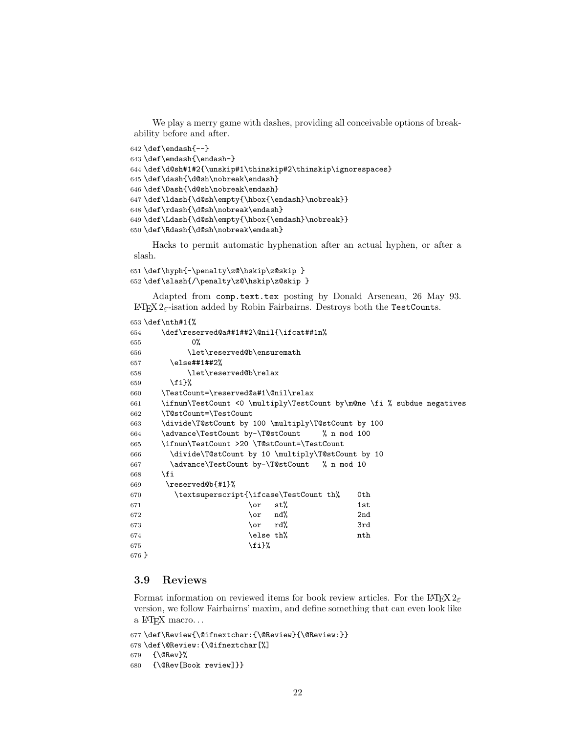We play a merry game with dashes, providing all conceivable options of breakability before and after.

```
642 \def\endash{--}
643 \def\emdash{\endash-}
644 \def\d@sh#1#2{\unskip#1\thinskip#2\thinskip\ignorespaces}
645 \def\dash{\d@sh\nobreak\endash}
646 \def\Dash{\d@sh\nobreak\emdash}
647 \def\ldash{\d@sh\empty{\hbox{\endash}\nobreak}}
648 \def\rdash{\d@sh\nobreak\endash}
649 \def\Ldash{\d@sh\empty{\hbox{\emdash}\nobreak}}
650 \def\Rdash{\d@sh\nobreak\emdash}
```
Hacks to permit automatic hyphenation after an actual hyphen, or after a slash.

```
651 \def\hyph{-\penalty\z@\hskip\z@skip }
652 \def\slash{/\penalty\z@\hskip\z@skip }
```
Adapted from comp.text.tex posting by Donald Arseneau, 26 May 93. LATEX 2ε-isation added by Robin Fairbairns. Destroys both the TestCounts.

```
653 \def\nth#1{%
654 \def\reserved@a##1##2\@nil{\ifcat##1n%
655 0%
656 \let\reserved@b\ensuremath
657 \else##1##2%
658 \let\reserved@b\relax
659 \fi}%
660 \TestCount=\reserved@a#1\@nil\relax
661 \ifnum\TestCount <0 \multiply\TestCount by\m@ne \fi % subdue negatives
662 \T@stCount=\TestCount
663 \divide\T@stCount by 100 \multiply\T@stCount by 100
664 \advance\TestCount by-\T@stCount % n mod 100
665 \ifnum\TestCount >20 \T@stCount=\TestCount
666 \divide\T@stCount by 10 \multiply\T@stCount by 10
667 \advance\TestCount by-\T@stCount % n mod 10
668 \fi
669 \reserved@b{#1}%
670 \textsuperscript{\ifcase\TestCount th% 0th
671 \qquad \qquad 1st
672 \qquad \qquad 2nd
673 \qquad \qquad \qquad \qquad 3rd
674 helse th% nth
675 \{f_i\}%
676 }
```
# 3.9 Reviews

Format information on reviewed items for book review articles. For the LATEX  $2\varepsilon$ version, we follow Fairbairns' maxim, and define something that can even look like a IAT<sub>F</sub>X macro...

```
677 \def\Review{\@ifnextchar:{\@Review}{\@Review:}}
678 \def\@Review:{\@ifnextchar[%]
679 {\@Rev}%
680 {\@Rev[Book review]}}
```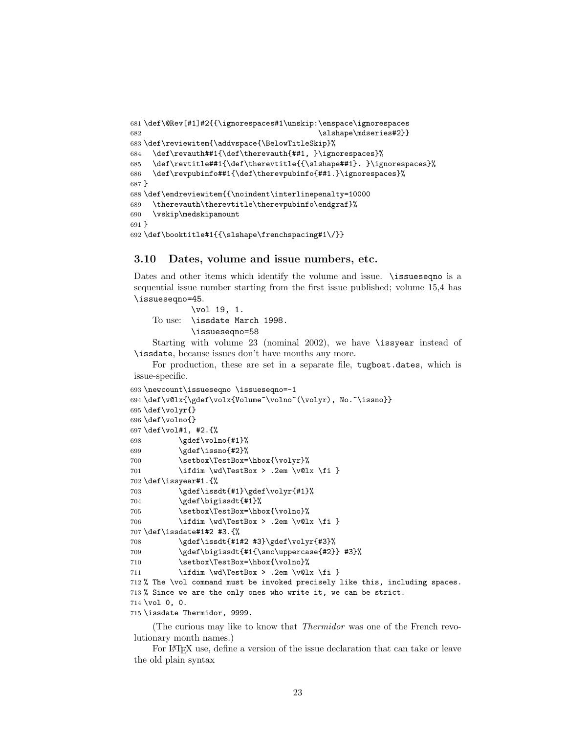```
681 \def\@Rev[#1]#2{{\ignorespaces#1\unskip:\enspace\ignorespaces
682 \slshape\mdseries#2}}
683 \def\reviewitem{\addvspace{\BelowTitleSkip}%
684 \def\revauth##1{\def\therevauth{##1, }\ignorespaces}%
685 \def\revtitle##1{\def\therevtitle{{\slshape##1}. }\ignorespaces}%
686 \def\revpubinfo##1{\def\therevpubinfo{##1.}\ignorespaces}%
687 }
688 \def\endreviewitem{{\noindent\interlinepenalty=10000
689 \therevauth\therevtitle\therevpubinfo\endgraf}%
690 \vskip\medskipamount
691 }
692 \def\booktitle#1{{\slshape\frenchspacing#1\/}}
```
# 3.10 Dates, volume and issue numbers, etc.

Dates and other items which identify the volume and issue.  $\iota$  issueseque is a sequential issue number starting from the first issue published; volume 15,4 has \issueseqno=45.

To use: \vol 19, 1. \issdate March 1998. \issueseqno=58

Starting with volume 23 (nominal 2002), we have \issyear instead of \issdate, because issues don't have months any more.

For production, these are set in a separate file, tugboat.dates, which is issue-specific.

```
693 \newcount\issueseqno \issueseqno=-1
694 \def\v@lx{\gdef\volx{Volume~\volno~(\volyr), No.~\issno}}
695 \def\volyr{}
696 \def\volno{}
697 \def\vol#1, #2.{%
698 \qquad \qquad \qquad \qquad \qquad \gdef\volno{#1}%
699 \gdef\issno{#2}%
700 \setbox\TestBox=\hbox{\volyr}%
701 \idim \wd\TestBox > .2em \vdash \ldots \xi \xi702 \def\issyear#1.{%
703 \gdef\issdt{#1}\gdef\volyr{#1}%
704 \gdef\bigissdt{#1}%
705 \setbox\TestBox=\hbox{\volno}%
706 \idim \wd\TestBox > .2em \vdash \Idi }
707 \def\issdate#1#2 #3.{%
708 \gdef\issdt{#1#2 #3}\gdef\volyr{#3}%
709 \gdef\bigissdt{#1{\smc\uppercase{#2}} #3}%
710 \setbox\TestBox=\hbox{\volno}%
711 \idim \wd\TestBox > .2em \vdash \ldots \xi 11
712 % The \vol command must be invoked precisely like this, including spaces.
713 % Since we are the only ones who write it, we can be strict.
714 \vol 0, 0.
715 \issdate Thermidor, 9999.
```
(The curious may like to know that Thermidor was one of the French revolutionary month names.)

For LATEX use, define a version of the issue declaration that can take or leave the old plain syntax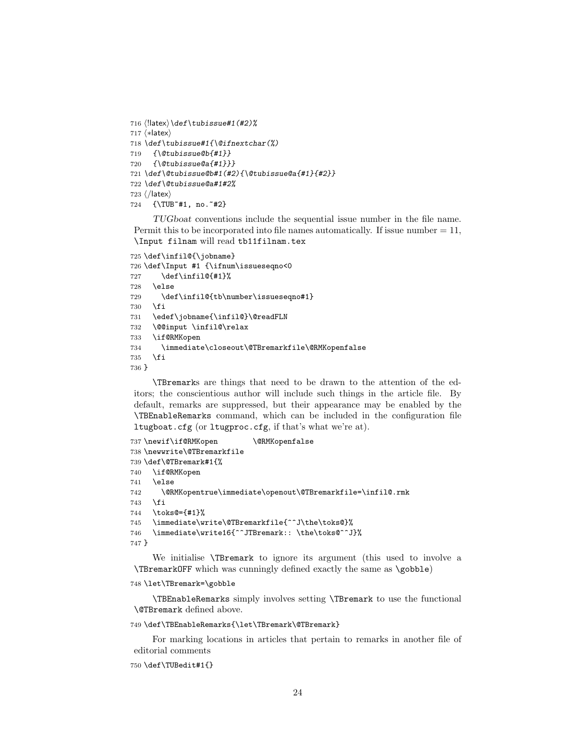```
716 ⟨!latex⟩\def\tubissue#1(#2)%
717 ⟨∗latex⟩
718 \def\tubissue#1{\@ifnextchar(%)
719 {\@tubissue@b{#1}}
720 {\@tubissue@a{#1}}}
721 \def\@tubissue@b#1(#2){\@tubissue@a{#1}{#2}}
722 \def\@tubissue@a#1#2%
723 ⟨/latex⟩
724 {\TUB~#1, no.~#2}
```
TUGboat conventions include the sequential issue number in the file name. Permit this to be incorporated into file names automatically. If issue number  $= 11$ , \Input filnam will read tb11filnam.tex

```
725 \def\infil@{\jobname}
726 \def\Input #1 {\ifnum\issueseqno<0
727 \def\infil@{#1}%
728 \else
729 \def\infil@{tb\number\issueseqno#1}
730 \fi
731 \edef\jobname{\infil@}\@readFLN
732 \@@input \infil@\relax
733 \if@RMKopen
734 \immediate\closeout\@TBremarkfile\@RMKopenfalse
735 \fi
736 }
```
\TBremarks are things that need to be drawn to the attention of the editors; the conscientious author will include such things in the article file. By default, remarks are suppressed, but their appearance may be enabled by the \TBEnableRemarks command, which can be included in the configuration file ltugboat.cfg (or ltugproc.cfg, if that's what we're at).

```
737\newif\if@RMKopen \@RMKopenfalse
738 \newwrite\@TBremarkfile
739 \def\@TBremark#1{%
740 \if@RMKopen
741 \else
742 \@RMKopentrue\immediate\openout\@TBremarkfile=\infil@.rmk
743 \fi
744 \toks@={#1}%
745 \immediate\write\@TBremarkfile{^^J\the\toks@}%
746 \immediate\write16{^^JTBremark:: \the\toks@^^J}%
747 }
```
We initialise \TBremark to ignore its argument (this used to involve a \TBremarkOFF which was cunningly defined exactly the same as \gobble)

```
748 \let\TBremark=\gobble
```
\TBEnableRemarks simply involves setting \TBremark to use the functional \@TBremark defined above.

\def\TBEnableRemarks{\let\TBremark\@TBremark}

For marking locations in articles that pertain to remarks in another file of editorial comments

\def\TUBedit#1{}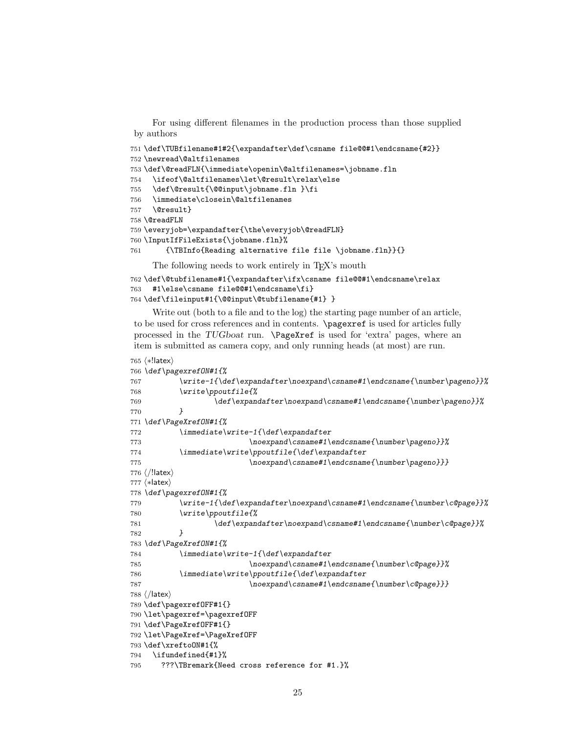For using different filenames in the production process than those supplied by authors

```
751 \def\TUBfilename#1#2{\expandafter\def\csname file@@#1\endcsname{#2}}
752 \newread\@altfilenames
753 \def\@readFLN{\immediate\openin\@altfilenames=\jobname.fln
754 \ifeof\@altfilenames\let\@result\relax\else
755 \def\@result{\@@input\jobname.fln }\fi
756 \immediate\closein\@altfilenames
757 \@result}
758 \@readFLN
759 \everyjob=\expandafter{\the\everyjob\@readFLN}
760 \InputIfFileExists{\jobname.fln}%
761 {\TBInfo{Reading alternative file file \jobname.fln}}{}
```
The following needs to work entirely in T<sub>EX</sub>'s mouth

```
762 \def\@tubfilename#1{\expandafter\ifx\csname file@@#1\endcsname\relax
763 #1\else\csname file@@#1\endcsname\fi}
764 \def\fileinput#1{\@@input\@tubfilename{#1} }
```
Write out (both to a file and to the log) the starting page number of an article, to be used for cross references and in contents. \pagexref is used for articles fully processed in the TUGboat run. \PageXref is used for 'extra' pages, where an item is submitted as camera copy, and only running heads (at most) are run.

```
765 ⟨∗!latex⟩
766 \def\pagexrefON#1{%
767 \write-1{\def\expandafter\noexpand\csname#1\endcsname{\number\pageno}}%
768 \write\ppoutfile{%
769 \def\expandafter\noexpand\csname#1\endcsname{\number\pageno}}%
770 }
771 \def\PageXrefON#1{%
772 \immediate\write-1{\def\expandafter
773 \noexpand\csname#1\endcsname{\number\pageno}}%
774 \immediate\write\ppoutfile{\def\expandafter
775 \noexpand\csname#1\endcsname{\number\pageno}}}
776 ⟨/!latex⟩
777 ⟨∗latex⟩
778 \def\pagexrefON#1{%
779 \write-1{\def\expandafter\noexpand\csname#1\endcsname{\number\c@page}}%
780 \write\ppoutfile{%
781 \def\expandafter\noexpand\csname#1\endcsname{\number\c@page}}%
782 }
783 \def\PageXrefON#1{%
784 \immediate\write-1{\def\expandafter
785 \noexpand\csname#1\endcsname{\number\c@page}}%
786 \immediate\write\ppoutfile{\def\expandafter
787 \noexpand\csname#1\endcsname{\number\c@page}}}
788 ⟨/latex⟩
789 \def\pagexrefOFF#1{}
790 \let\pagexref=\pagexrefOFF
791 \def\PageXrefOFF#1{}
792 \let\PageXref=\PageXrefOFF
793 \def\xreftoON#1{%
794 \ifundefined{#1}%
795 ???\TBremark{Need cross reference for #1.}%
```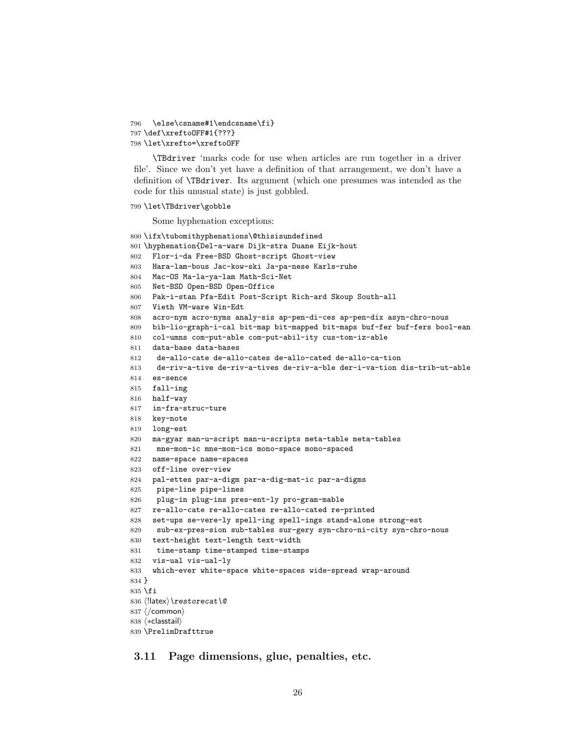```
796 \else\csname#1\endcsname\fi}
797 \def\xreftoOFF#1{???}
798 \let\xrefto=\xreftoOFF
```
\TBdriver 'marks code for use when articles are run together in a driver file'. Since we don't yet have a definition of that arrangement, we don't have a definition of \TBdriver. Its argument (which one presumes was intended as the code for this unusual state) is just gobbled.

```
799 \let\TBdriver\gobble
```
Some hyphenation exceptions:

```
800 \ifx\tubomithyphenations\@thisisundefined
801 \hyphenation{Del-a-ware Dijk-stra Duane Eijk-hout
802 Flor-i-da Free-BSD Ghost-script Ghost-view
803 Hara-lam-bous Jac-kow-ski Ja-pa-nese Karls-ruhe
804 Mac-OS Ma-la-ya-lam Math-Sci-Net
805 Net-BSD Open-BSD Open-Office
806 Pak-i-stan Pfa-Edit Post-Script Rich-ard Skoup South-all
807 Vieth VM-ware Win-Edt
808 acro-nym acro-nyms analy-sis ap-pen-di-ces ap-pen-dix asyn-chro-nous
809 bib-lio-graph-i-cal bit-map bit-mapped bit-maps buf-fer buf-fers bool-ean
810 col-umns com-put-able com-put-abil-ity cus-tom-iz-able
811 data-base data-bases
812 de-allo-cate de-allo-cates de-allo-cated de-allo-ca-tion
813 de-riv-a-tive de-riv-a-tives de-riv-a-ble der-i-va-tion dis-trib-ut-able
814 es-sence
815 fall-ing
816 half-way
817 in-fra-struc-ture
818 key-note
819 long-est
820 ma-gyar man-u-script man-u-scripts meta-table meta-tables
821 mne-mon-ic mne-mon-ics mono-space mono-spaced
822 name-space name-spaces
823 off-line over-view
824 pal-ettes par-a-digm par-a-dig-mat-ic par-a-digms
825 pipe-line pipe-lines
826 plug-in plug-ins pres-ent-ly pro-gram-mable
827 re-allo-cate re-allo-cates re-allo-cated re-printed
828 set-ups se-vere-ly spell-ing spell-ings stand-alone strong-est
829 sub-ex-pres-sion sub-tables sur-gery syn-chro-ni-city syn-chro-nous
830 text-height text-length text-width
831 time-stamp time-stamped time-stamps
832 vis-ual vis-ual-ly
833 which-ever white-space white-spaces wide-spread wrap-around
834 }
835 \fi
836 ⟨!latex⟩\restorecat\@
837 ⟨/common⟩
838 ⟨∗classtail⟩
839 \PrelimDrafttrue
```
3.11 Page dimensions, glue, penalties, etc.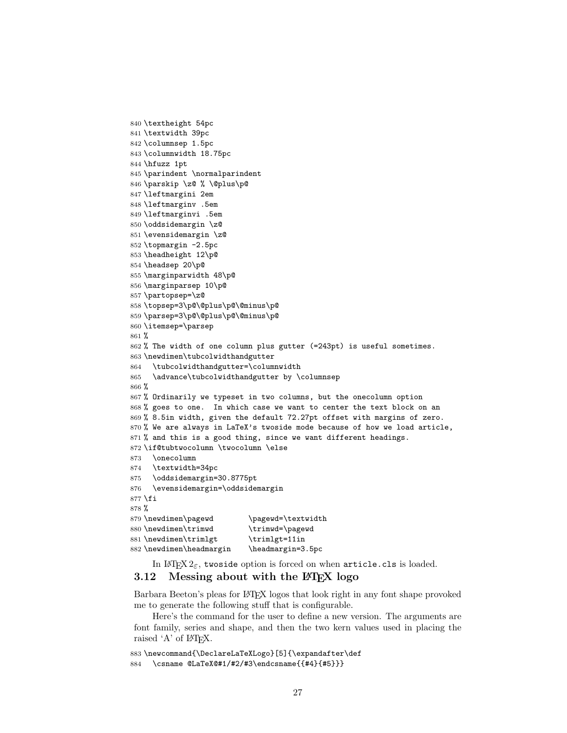```
840 \textheight 54pc
841 \textwidth 39pc
842 \columnsep 1.5pc
843 \columnwidth 18.75pc
844 \hfuzz 1pt
845 \parindent \normalparindent
846 \parskip \z@ % \@plus\p@
847 \leftmargini 2em
848 \leftmarginv .5em
849 \leftmarginvi .5em
850 \oddsidemargin \z@
851 \evensidemargin \z@
852 \topmargin -2.5pc
853 \headheight 12\p@
854 \headsep 20\p@
855 \marginparwidth 48\p@
856 \marginparsep 10\p@
857 \partopsep=\z@
858 \topsep=3\p@\@plus\p@\@minus\p@
859 \parsep=3\p@\@plus\p@\@minus\p@
860 \itemsep=\parsep
861 %
862 % The width of one column plus gutter (=243pt) is useful sometimes.
863 \newdimen\tubcolwidthandgutter
864 \tubcolwidthandgutter=\columnwidth
865 \advance\tubcolwidthandgutter by \columnsep
866 %
867 % Ordinarily we typeset in two columns, but the onecolumn option
868 % goes to one. In which case we want to center the text block on an
869 % 8.5in width, given the default 72.27pt offset with margins of zero.
870 % We are always in LaTeX's twoside mode because of how we load article,
871 % and this is a good thing, since we want different headings.
872 \if@tubtwocolumn \twocolumn \else
873 \onecolumn
874 \textwidth=34pc
875 \oddsidemargin=30.8775pt
876 \evensidemargin=\oddsidemargin
877 \fi
878 %
879 \newdimen\pagewd \pagewd=\textwidth<br>880 \newdimen\trimwd \trimwd=\pagewd
880 \newdimen\trimwd
881\newdimen\trimlgt \trimlgt=11in
882 \newdimen\headmargin \headmargin=3.5pc
```
In LAT<sub>E</sub>X  $2\varepsilon$ , twoside option is forced on when article.cls is loaded.

# 3.12 Messing about with the  $\angle$ FFX logo

Barbara Beeton's pleas for L<sup>AT</sup>EX logos that look right in any font shape provoked me to generate the following stuff that is configurable.

Here's the command for the user to define a new version. The arguments are font family, series and shape, and then the two kern values used in placing the raised 'A' of LAT<sub>EX</sub>.

```
883 \newcommand{\DeclareLaTeXLogo}[5]{\expandafter\def
884 \csname @LaTeX@#1/#2/#3\endcsname{{#4}{#5}}}
```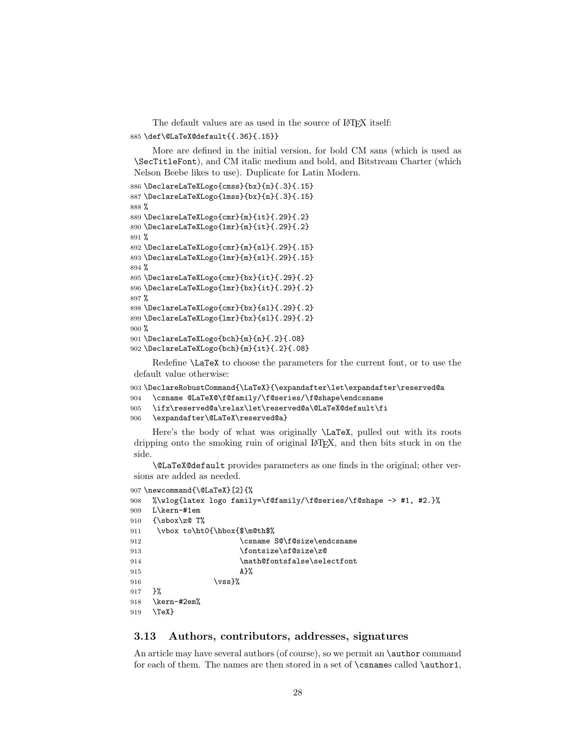The default values are as used in the source of LAT<sub>EX</sub> itself: \def\@LaTeX@default{{.36}{.15}}

More are defined in the initial version, for bold CM sans (which is used as \SecTitleFont), and CM italic medium and bold, and Bitstream Charter (which Nelson Beebe likes to use). Duplicate for Latin Modern.

```
886 \DeclareLaTeXLogo{cmss}{bx}{n}{.3}{.15}
887 \DeclareLaTeXLogo{lmss}{bx}{n}{.3}{.15}
888 %
889 \DeclareLaTeXLogo{cmr}{m}{it}{.29}{.2}
890 \DeclareLaTeXLogo{lmr}{m}{it}{.29}{.2}
891 %
892 \DeclareLaTeXLogo{cmr}{m}{sl}{.29}{.15}
893 \DeclareLaTeXLogo{lmr}{m}{sl}{.29}{.15}
894 %
895 \DeclareLaTeXLogo{cmr}{bx}{it}{.29}{.2}
896 \DeclareLaTeXLogo{lmr}{bx}{it}{.29}{.2}
897 %
898 \DeclareLaTeXLogo{cmr}{bx}{sl}{.29}{.2}
899 \DeclareLaTeXLogo{lmr}{bx}{sl}{.29}{.2}
900 %
901 \DeclareLaTeXLogo{bch}{m}{n}{.2}{.08}
902 \DeclareLaTeXLogo{bch}{m}{it}{.2}{.08}
```
Redefine \LaTeX to choose the parameters for the current font, or to use the default value otherwise:

```
903 \DeclareRobustCommand{\LaTeX}{\expandafter\let\expandafter\reserved@a
904 \csname @LaTeX@\f@family/\f@series/\f@shape\endcsname
905 \ifx\reserved@a\relax\let\reserved@a\@LaTeX@default\fi
906 \expandafter\@LaTeX\reserved@a}
```
Here's the body of what was originally \LaTeX, pulled out with its roots dripping onto the smoking ruin of original LATEX, and then bits stuck in on the side.

\@LaTeX@default provides parameters as one finds in the original; other versions are added as needed.

```
907 \newcommand{\@LaTeX}[2]{%
908 %\wlog{latex logo family=\f@family/\f@series/\f@shape -> #1, #2.}%
909 L\kern-#1em
910 {\sbox\z@ T%
911 \vbox to\ht0{\hbox{$\m@th$%
912 \csname S@\f@size\endcsname
913 \fontsize\sf@size\z@
914 \math@fontsfalse\selectfont
915 A}%
916 \forallss}%
917 }%
918 \kern-#2em%
919 \TeX}
```
# 3.13 Authors, contributors, addresses, signatures

An article may have several authors (of course), so we permit an **\author** command for each of them. The names are then stored in a set of \csnames called \author1,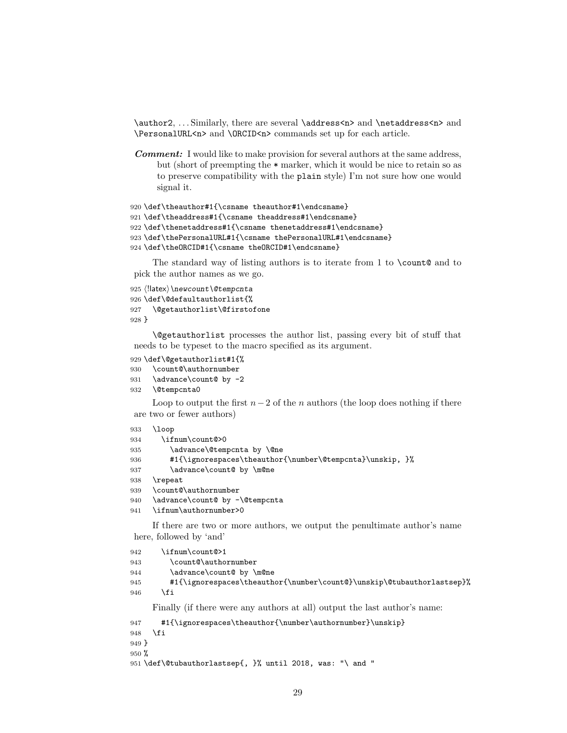\author2, . . . Similarly, there are several \address<n> and \netaddress<n> and \PersonalURL<n> and \ORCID<n> commands set up for each article.

Comment: I would like to make provision for several authors at the same address, but (short of preempting the \* marker, which it would be nice to retain so as to preserve compatibility with the plain style) I'm not sure how one would signal it.

```
920 \def\theauthor#1{\csname theauthor#1\endcsname}
921 \def\theaddress#1{\csname theaddress#1\endcsname}
922 \def\thenetaddress#1{\csname thenetaddress#1\endcsname}
923 \def\thePersonalURL#1{\csname thePersonalURL#1\endcsname}
924 \def\theORCID#1{\csname theORCID#1\endcsname}
```
The standard way of listing authors is to iterate from 1 to  $\count@$  and to pick the author names as we go.

```
925 ⟨!latex⟩\newcount\@tempcnta
926 \def\@defaultauthorlist{%
927 \@getauthorlist\@firstofone
928 }
```
\@getauthorlist processes the author list, passing every bit of stuff that needs to be typeset to the macro specified as its argument.

#### 929 \def\@getauthorlist#1{%

```
930 \count@\authornumber
931 \advance\count@ by -2
```
- 
- 932 \@tempcnta0

Loop to output the first  $n-2$  of the n authors (the loop does nothing if there are two or fewer authors)

```
933 \loop
```

```
934 \ifnum\count@>0
935 \advance\@tempcnta by \@ne
```

```
936 #1{\ignorespaces\theauthor{\number\@tempcnta}\unskip, }%
```
- 937 \advance\count@ by \m@ne
- 938 \repeat

```
939 \count@\authornumber
```

```
940 \advance\count@ by -\@tempcnta
```

```
941 \ifnum\authornumber>0
```
If there are two or more authors, we output the penultimate author's name here, followed by 'and'

```
942 \ifnum\count@>1
943 \count@\authornumber
944 \advance\count@ by \m@ne
945 #1{\ignorespaces\theauthor{\number\count@}\unskip\@tubauthorlastsep}%
946 \fi
    Finally (if there were any authors at all) output the last author's name:
```

```
947 #1{\ignorespaces\theauthor{\number\authornumber}\unskip}
948 \fi
949 }
950 %
951 \def\@tubauthorlastsep{, }% until 2018, was: "\ and "
```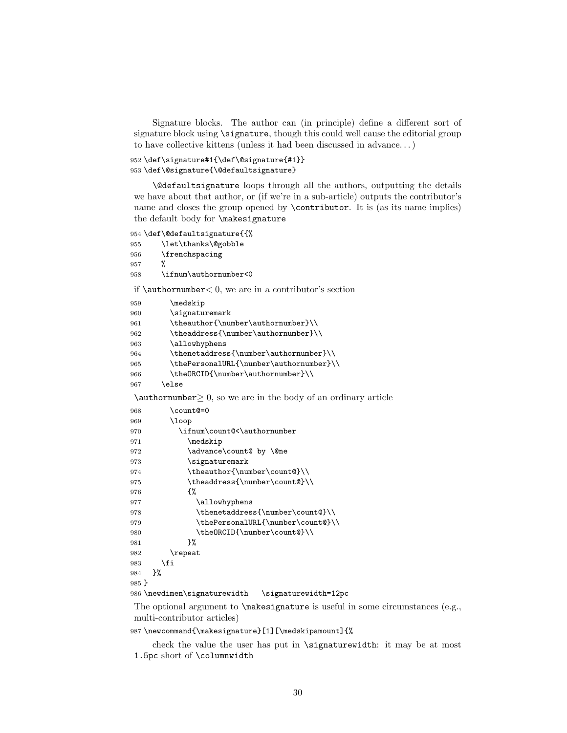Signature blocks. The author can (in principle) define a different sort of signature block using \signature, though this could well cause the editorial group to have collective kittens (unless it had been discussed in advance. . . )

```
952 \def\signature#1{\def\@signature{#1}}
953 \def\@signature{\@defaultsignature}
```
\@defaultsignature loops through all the authors, outputting the details we have about that author, or (if we're in a sub-article) outputs the contributor's name and closes the group opened by \contributor. It is (as its name implies) the default body for \makesignature

```
954 \def\@defaultsignature{{%
```

```
955 \let\thanks\@gobble
```

```
956 \frenchspacing
```

```
957 %
```

```
958 \ifnum\authornumber<0
```
if  $\a$ uthornumber  $0$ , we are in a contributor's section

| 959 | \medskip                                |
|-----|-----------------------------------------|
| 960 | \signaturemark                          |
| 961 | \theauthor{\number\authornumber}\\      |
| 962 | \theaddress{\number\authornumber}\\     |
| 963 | \allowhyphens                           |
| 964 | \thenetaddress{\number\authornumber}\\  |
| 965 | \thePersonalURL{\number\authornumber}\\ |
| 966 | \theORCID{\number\authornumber}\\       |
| 967 | else                                    |

 $\lambda$ uthornumber $\geq 0$ , so we are in the body of an ordinary article

| 968     | \count@=0                                            |
|---------|------------------------------------------------------|
| 969     | \loop                                                |
| 970     | \ifnum\count@<\authornumber                          |
| 971     | \medskip                                             |
| 972     | \advance\count@ by \@ne                              |
| 973     | \signaturemark                                       |
| 974     | \theauthor{\number\count@}\\                         |
| 975     | \theaddress{\number\count@}\\                        |
| 976     | ብ"                                                   |
| 977     | \allowhyphens                                        |
| 978     | \thenetaddress{\number\count@}\\                     |
| 979     | \thePersonalURL{\number\count@}\\                    |
| 980     | \the0RCID{\number\count@}\\                          |
| 981     | ጉ%                                                   |
| 982     | $\text{repeat}$                                      |
| 983     | \fi                                                  |
| 984     | ን‰                                                   |
| $985$ } |                                                      |
|         | 986 \newdimen\signaturewidth<br>\signaturewidth=12pc |

The optional argument to  $\mathscr{S}$  are is useful in some circumstances (e.g., multi-contributor articles)

\newcommand{\makesignature}[1][\medskipamount]{%

check the value the user has put in \signaturewidth: it may be at most 1.5pc short of \columnwidth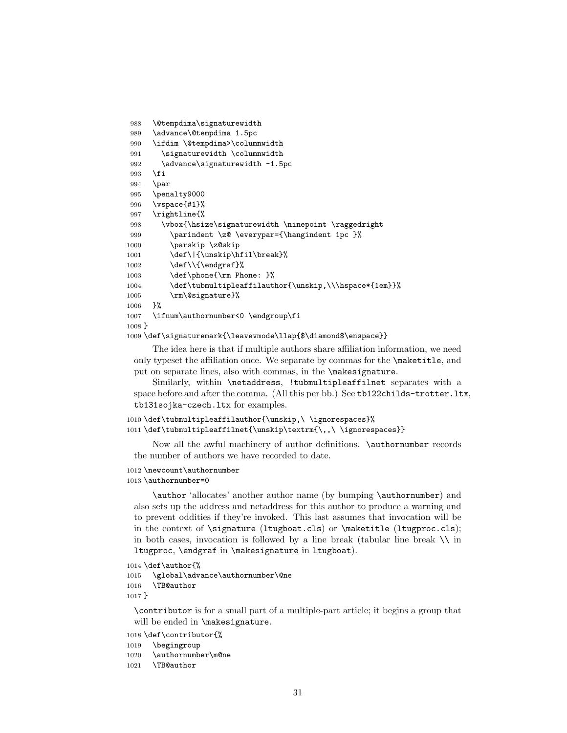```
988 \@tempdima\signaturewidth
989 \advance\@tempdima 1.5pc
990 \ifdim \@tempdima>\columnwidth
991 \signaturewidth \columnwidth
992 \advance\signaturewidth -1.5pc
993 \fi
994 \par
995 \penalty9000
996 \vspace{#1}%
997 \rightline{%
998 \vbox{\hsize\signaturewidth \ninepoint \raggedright
999 \parindent \z@ \everypar={\hangindent 1pc }%
1000 \parskip \z@skip
1001 \def\|{\unskip\hfil\break}%
1002 \def\{\end{}1003 \def\phone{\rm Phone: }%
1004 \def\tubmultipleaffilauthor{\unskip,\\\hspace*{1em}}%
1005 \rm\@signature}%
1006 }%
1007 \ifnum\authornumber<0 \endgroup\fi
1008 }
```
1009 \def\signaturemark{\leavevmode\llap{\$\diamond\$\enspace}}

The idea here is that if multiple authors share affiliation information, we need only typeset the affiliation once. We separate by commas for the \maketitle, and put on separate lines, also with commas, in the \makesignature.

Similarly, within \netaddress, !tubmultipleaffilnet separates with a space before and after the comma. (All this per bb.) See tb122childs-trotter.ltx, tb131sojka-czech.ltx for examples.

```
1010 \def\tubmultipleaffilauthor{\unskip,\ \ignorespaces}%
1011 \def\tubmultipleaffilnet{\unskip\textrm{\,,\ \ignorespaces}}
```
Now all the awful machinery of author definitions. \authornumber records the number of authors we have recorded to date.

### 1012 \newcount\authornumber

#### 1013 \authornumber=0

\author 'allocates' another author name (by bumping \authornumber) and also sets up the address and netaddress for this author to produce a warning and to prevent oddities if they're invoked. This last assumes that invocation will be in the context of \signature (ltugboat.cls) or \maketitle (ltugproc.cls); in both cases, invocation is followed by a line break (tabular line break  $\setminus\setminus$  in ltugproc, \endgraf in \makesignature in ltugboat).

1014 \def\author{%

```
1015 \global\advance\authornumber\@ne
1016 \TB@author
1017 }
```
\contributor is for a small part of a multiple-part article; it begins a group that will be ended in \makesignature.

1018 \def\contributor{%

```
1019 \begingroup
```
1020 \authornumber\m@ne

1021 \TB@author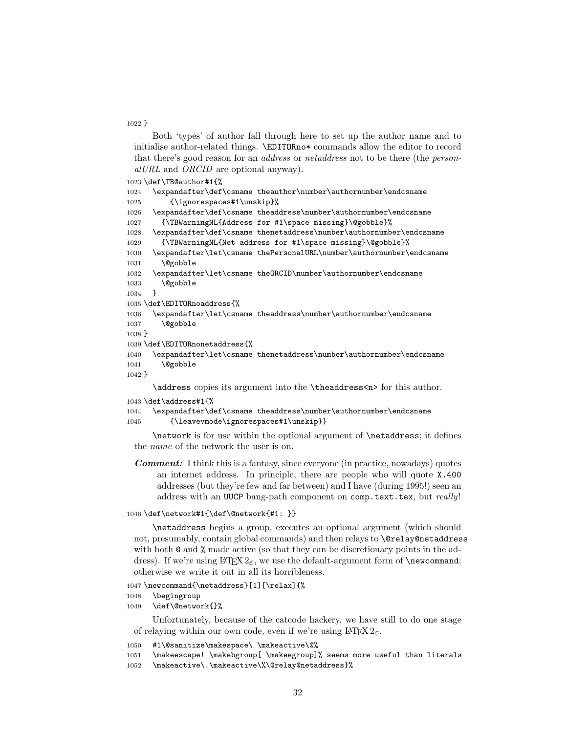#### }

Both 'types' of author fall through here to set up the author name and to initialise author-related things. \EDITORno\* commands allow the editor to record that there's good reason for an address or netaddress not to be there (the personalURL and ORCID are optional anyway).

```
1023 \def\TB@author#1{%
1024 \expandafter\def\csname theauthor\number\authornumber\endcsname
1025 {\ignorespaces#1\unskip}%
1026 \expandafter\def\csname theaddress\number\authornumber\endcsname
1027 {\TBWarningNL{Address for #1\space missing}\@gobble}%
1028 \expandafter\def\csname thenetaddress\number\authornumber\endcsname
1029 {\TBWarningNL{Net address for #1\space missing}\@gobble}%
1030 \expandafter\let\csname thePersonalURL\number\authornumber\endcsname
1031 \@gobble
1032 \expandafter\let\csname theORCID\number\authornumber\endcsname
1033 \@gobble
1034 }
1035 \def\EDITORnoaddress{%
1036 \expandafter\let\csname theaddress\number\authornumber\endcsname
1037 \@gobble
1038 }
1039 \def\EDITORnonetaddress{%
1040 \expandafter\let\csname thenetaddress\number\authornumber\endcsname
1041 \@gobble
1042 }
     \address copies its argument into the \theaddress<n> for this author.
1043 \def\address#1{%
```

```
1044 \expandafter\def\csname theaddress\number\authornumber\endcsname
1045 {\leavevmode\ignorespaces#1\unskip}}
```
\network is for use within the optional argument of \netaddress; it defines the name of the network the user is on.

Comment: I think this is a fantasy, since everyone (in practice, nowadays) quotes an internet address. In principle, there are people who will quote X.400 addresses (but they're few and far between) and I have (during 1995!) seen an address with an UUCP bang-path component on comp.text.tex, but really!

### \def\network#1{\def\@network{#1: }}

\netaddress begins a group, executes an optional argument (which should not, presumably, contain global commands) and then relays to \@relay@netaddress with both  $\mathcal{Q}$  and  $\mathcal{U}$  made active (so that they can be discretionary points in the address). If we're using  $\mathbb{F} \mathbb{F} \times \mathbb{Z}_{\epsilon}$ , we use the default-argument form of \newcommand; otherwise we write it out in all its horribleness.

\newcommand{\netaddress}[1][\relax]{%

- \begingroup
- \def\@network{}%

Unfortunately, because of the catcode hackery, we have still to do one stage of relaying within our own code, even if we're using  $\text{LATEX } 2\varepsilon$ .

```
1050 #1\@sanitize\makespace\ \makeactive\@%
```

```
1051 \makeescape! \makebgroup[ \makeegroup]% seems more useful than literals
```

```
1052 \makeactive\.\makeactive\%\@relay@netaddress}%
```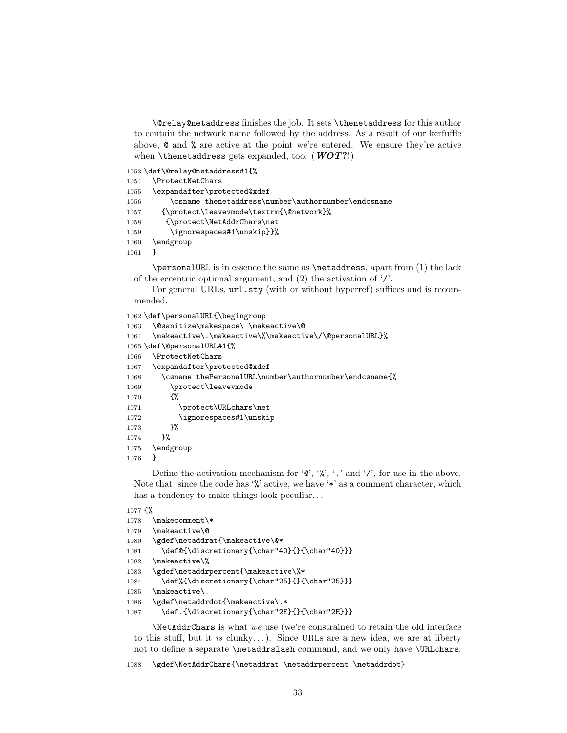\@relay@netaddress finishes the job. It sets \thenetaddress for this author to contain the network name followed by the address. As a result of our kerfuffle above, @ and % are active at the point we're entered. We ensure they're active when \thenetaddress gets expanded, too. ( $WOT$ ?!)

```
1053 \def\@relay@netaddress#1{%
```

```
1054 \ProtectNetChars
1055 \expandafter\protected@xdef
1056 \csname thenetaddress\number\authornumber\endcsname
1057 {\protect\leavevmode\textrm{\@network}%
1058 {\protect\NetAddrChars\net
1059 \ignorespaces#1\unskip}}%
1060 \endgroup
1061 }
```
\personalURL is in essence the same as \netaddress, apart from (1) the lack of the eccentric optional argument, and (2) the activation of '/'.

For general URLs,  $ur1.sty$  (with or without hyperref) suffices and is recommended.

```
1062 \def\personalURL{\begingroup
1063 \@sanitize\makespace\ \makeactive\@
1064 \makeactive\.\makeactive\%\makeactive\/\@personalURL}%
1065 \def\@personalURL#1{%
1066 \ProtectNetChars
1067 \expandafter\protected@xdef
1068 \csname thePersonalURL\number\authornumber\endcsname{%
1069 \protect\leavevmode
1070 {%
1071 \protect\URLchars\net
1072 \ignorespaces#1\unskip
1073 }%
1074 }%
1075 \endgroup
1076 }
```
Define the activation mechanism for ' $\mathcal{C}'$ ', '', '.' and '/', for use in the above. Note that, since the code has '%' active, we have '\*' as a comment character, which has a tendency to make things look peculiar...

```
1077 {%
```

```
1078 \makecomment\*
1079 \makeactive\@
1080 \gdef\netaddrat{\makeactive\@*
1081 \def@{\discretionary{\char"40}{}{\char"40}}}
1082 \makeactive\%
1083 \gdef\netaddrpercent{\makeactive\%*
1084 \def%{\discretionary{\char"25}{}{\char"25}}}
1085 \makeactive\.
1086 \gdef\netaddrdot{\makeactive\.*
1087 \def.{\discretionary{\char"2E}{}{\char"2E}}}
```
\NetAddrChars is what we use (we're constrained to retain the old interface to this stuff, but it is clunky...). Since URLs are a new idea, we are at liberty not to define a separate \netaddrslash command, and we only have \URLchars.

1088 \gdef\NetAddrChars{\netaddrat \netaddrpercent \netaddrdot}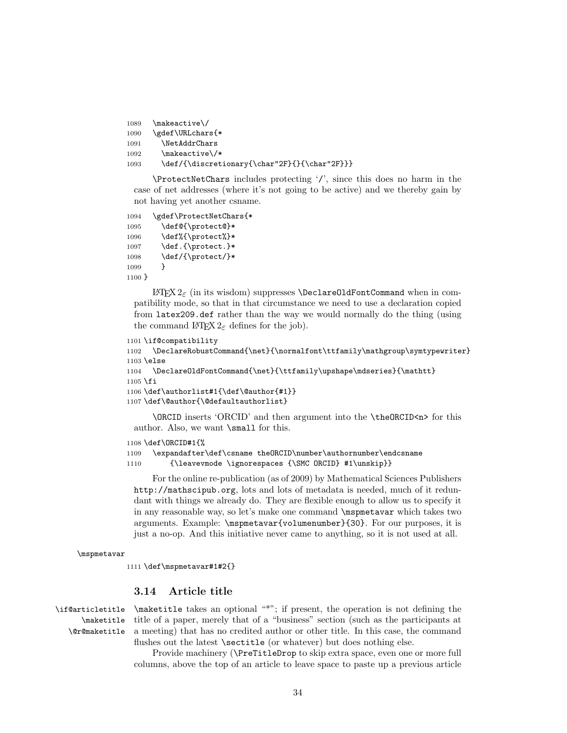```
1089 \makeactive\/
1090 \gdef\URLchars{*
1091 \NetAddrChars
1092 \makeactive\/*
1093 \def/{\discretionary{\char"2F}{}{\char"2F}}}
```
\ProtectNetChars includes protecting '/', since this does no harm in the case of net addresses (where it's not going to be active) and we thereby gain by not having yet another csname.

```
1094 \gdef\ProtectNetChars{*
1095 \def@{\protect@}*
1096 \def%{\protect%}*
1097 \def.{\protect.}*
1098 \def/{\protect/}*
1099 }
1100 }
```
LATEX 2ε (in its wisdom) suppresses \DeclareOldFontCommand when in compatibility mode, so that in that circumstance we need to use a declaration copied from latex209.def rather than the way we would normally do the thing (using the command LATFX  $2\varepsilon$  defines for the job).

```
1101 \if@compatibility
1102 \DeclareRobustCommand{\net}{\normalfont\ttfamily\mathgroup\symtypewriter}
1103 \else
1104 \DeclareOldFontCommand{\net}{\ttfamily\upshape\mdseries}{\mathtt}
1105 \fi
1106 \def\authorlist#1{\def\@author{#1}}
1107 \def\@author{\@defaultauthorlist}
```
\ORCID inserts 'ORCID' and then argument into the \theORCID<n> for this author. Also, we want \small for this.

```
1108 \def\ORCID#1{%
1109 \expandafter\def\csname theORCID\number\authornumber\endcsname
1110 {\leavevmode \ignorespaces {\SMC ORCID} #1\unskip}}
```
For the online re-publication (as of 2009) by Mathematical Sciences Publishers http://mathscipub.org, lots and lots of metadata is needed, much of it redundant with things we already do. They are flexible enough to allow us to specify it in any reasonable way, so let's make one command \mspmetavar which takes two arguments. Example: \mspmetavar{volumenumber}{30}. For our purposes, it is just a no-op. And this initiative never came to anything, so it is not used at all.

```
\mspmetavar
```
1111 \def\mspmetavar#1#2{}

## 3.14 Article title

\if@articletitle \maketitle \@r@maketitle

\maketitle takes an optional "\*"; if present, the operation is not defining the title of a paper, merely that of a "business" section (such as the participants at a meeting) that has no credited author or other title. In this case, the command flushes out the latest **\sectitle** (or whatever) but does nothing else.

Provide machinery (\PreTitleDrop to skip extra space, even one or more full columns, above the top of an article to leave space to paste up a previous article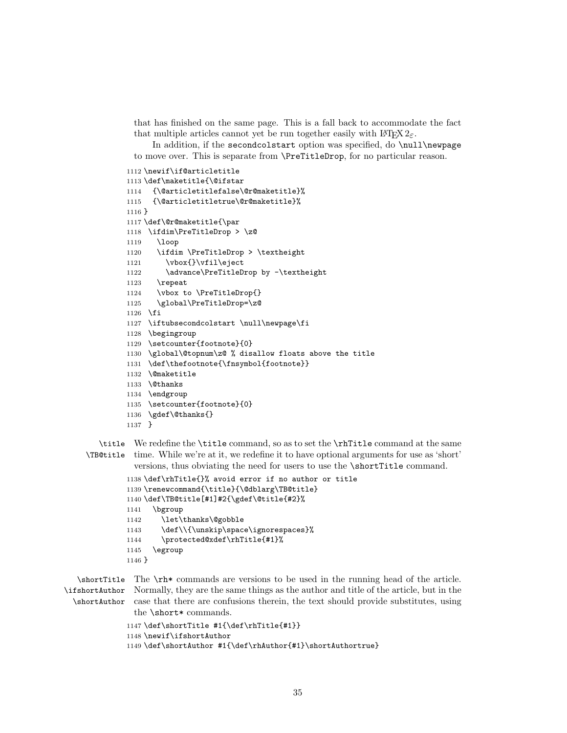that has finished on the same page. This is a fall back to accommodate the fact that multiple articles cannot yet be run together easily with  $\text{LFT} \times 2_{\epsilon}$ .

In addition, if the secondcolstart option was specified, do \null\newpage to move over. This is separate from \PreTitleDrop, for no particular reason.

```
1112 \newif\if@articletitle
1113 \def\maketitle{\@ifstar
1114 {\@articletitlefalse\@r@maketitle}%
1115 {\@articletitletrue\@r@maketitle}%
1116 }
1117 \def\@r@maketitle{\par
1118 \ifdim\PreTitleDrop > \z@
1119 \loop
1120 \ifdim \PreTitleDrop > \textheight
1121 \vbox{}\vfil\eject
1122 \advance\PreTitleDrop by -\textheight
1123 \repeat
1124 \vbox to \PreTitleDrop{}
1125 \global\PreTitleDrop=\z@
1126 \fi
1127 \iftubsecondcolstart \null\newpage\fi
1128 \begingroup
1129 \setcounter{footnote}{0}
1130 \global\@topnum\z@ % disallow floats above the title
1131 \def\thefootnote{\fnsymbol{footnote}}
1132 \@maketitle
1133 \@thanks
1134 \endgroup
1135 \setcounter{footnote}{0}
1136 \gdef\@thanks{}
1137 }
```
\title We redefine the \title command, so as to set the \rhTitle command at the same \TB@title time. While we're at it, we redefine it to have optional arguments for use as 'short' versions, thus obviating the need for users to use the \shortTitle command.

```
1138 \def\rhTitle{}% avoid error if no author or title
1139 \renewcommand{\title}{\@dblarg\TB@title}
1140 \def\TB@title[#1]#2{\gdef\@title{#2}%
1141 \bgroup
1142 \let\thanks\@gobble
1143 \def\\{\unskip\space\ignorespaces}%
1144 \protected@xdef\rhTitle{#1}%
1145 \egroup
1146 }
```
\shortTitle The \rh\* commands are versions to be used in the running head of the article. \ifshortAuthor Normally, they are the same things as the author and title of the article, but in the \shortAuthor case that there are confusions therein, the text should provide substitutes, using the **\short\*** commands.

```
1147 \def\shortTitle #1{\def\rhTitle{#1}}
1148 \newif\ifshortAuthor
```
\def\shortAuthor #1{\def\rhAuthor{#1}\shortAuthortrue}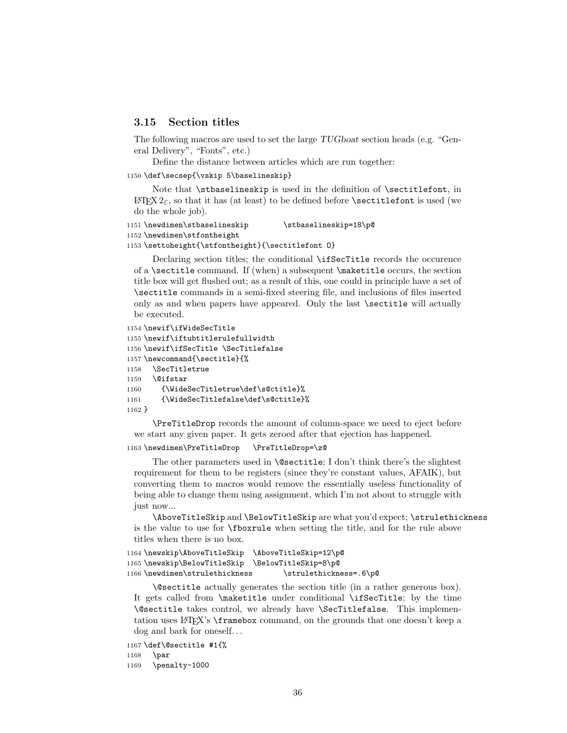# 3.15 Section titles

The following macros are used to set the large TUGboat section heads (e.g. "General Delivery", "Fonts", etc.)

Define the distance between articles which are run together:

#### 1150 \def\secsep{\vskip 5\baselineskip}

Note that \stbaselineskip is used in the definition of \sectitlefont, in  $\Delta E$ T<sub>E</sub>X  $2<sub>\epsilon</sub>$ , so that it has (at least) to be defined before **\sectitlefont** is used (we do the whole job).

```
1151\newdimen\stbaselineskip \stbaselineskip=18\p@
1152 \newdimen\stfontheight
1153 \settoheight{\stfontheight}{\sectitlefont O}
```
Declaring section titles; the conditional \ifSecTitle records the occurence of a \sectitle command. If (when) a subsequent \maketitle occurs, the section title box will get flushed out; as a result of this, one could in principle have a set of \sectitle commands in a semi-fixed steering file, and inclusions of files inserted only as and when papers have appeared. Only the last \sectitle will actually be executed.

```
1154 \newif\ifWideSecTitle
1155 \newif\iftubtitlerulefullwidth
1156 \newif\ifSecTitle \SecTitlefalse
1157 \newcommand{\sectitle}{%
1158 \SecTitletrue
1159 \@ifstar
1160 {\WideSecTitletrue\def\s@ctitle}%
1161 {\WideSecTitlefalse\def\s@ctitle}%
1162 }
```
\PreTitleDrop records the amount of column-space we need to eject before we start any given paper. It gets zeroed after that ejection has happened.

```
1163 \newdimen\PreTitleDrop \PreTitleDrop=\z@
```
The other parameters used in  $\text{Qsectitle}$ ; I don't think there's the slightest requirement for them to be registers (since they're constant values, AFAIK), but converting them to macros would remove the essentially useless functionality of being able to change them using assignment, which I'm not about to struggle with just now...

\AboveTitleSkip and \BelowTitleSkip are what you'd expect; \strulethickness is the value to use for \fboxrule when setting the title, and for the rule above titles when there is no box.

```
1164 \newskip\AboveTitleSkip \AboveTitleSkip=12\p@
1165 \newskip\BelowTitleSkip \BelowTitleSkip=8\p@
1166\newdimen\strulethickness \strulethickness=.6\p@
```
\@sectitle actually generates the section title (in a rather generous box). It gets called from \maketitle under conditional \ifSecTitle; by the time \@sectitle takes control, we already have \SecTitlefalse. This implementation uses LAT<sub>EX</sub>'s \framebox command, on the grounds that one doesn't keep a dog and bark for oneself...

```
1167 \def\@sectitle #1{%
1168 \par
1169 \penalty-1000
```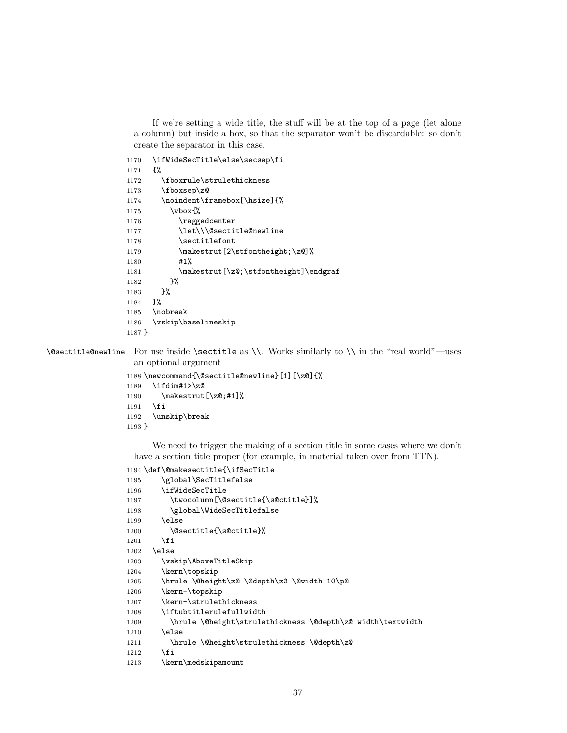If we're setting a wide title, the stuff will be at the top of a page (let alone a column) but inside a box, so that the separator won't be discardable: so don't create the separator in this case.

```
1170 \ifWideSecTitle\else\secsep\fi
1171 {%
1172 \fboxrule\strulethickness
1173 \fboxsep\z@
1174 \noindent\framebox[\hsize]{%
1175 \vbox{%
1176 \raggedcenter
1177 \let\\\@sectitle@newline
1178 \sectitlefont
1179 \makestrut[2\stfontheight;\z@]%
1180 #1%
1181 \makestrut[\z@;\stfontheight]\endgraf
1182 }%
1183 }%
1184 }%
1185 \nobreak
1186 \vskip\baselineskip
1187 }
```
\@sectitle@newline For use inside \sectitle as \\. Works similarly to \\ in the "real world"—uses an optional argument

```
1188 \newcommand{\@sectitle@newline}[1][\z@]{%
1189 \ifdim#1>\z@
1190 \makestrut[\z@;#1]%
1191 \fi
1192 \unskip\break
1193 }
```
We need to trigger the making of a section title in some cases where we don't have a section title proper (for example, in material taken over from TTN).

```
1194 \def\@makesectitle{\ifSecTitle
1195 \global\SecTitlefalse
1196 \ifWideSecTitle
1197 \twocolumn[\@sectitle{\s@ctitle}]%
1198 \global\WideSecTitlefalse
1199 \else
1200 \@sectitle{\s@ctitle}%
1201 \fi
1202 \else
1203 \vskip\AboveTitleSkip
1204 \kern\topskip
1205 \hrule \@height\z@ \@depth\z@ \@width 10\p@
1206 \kern-\topskip
1207 \kern-\strulethickness
1208 \iftubtitlerulefullwidth
1209 \hrule \@height\strulethickness \@depth\z@ width\textwidth
1210 \else
1211 \hrule \@height\strulethickness \@depth\z@
1212 \fi
1213 \kern\medskipamount
```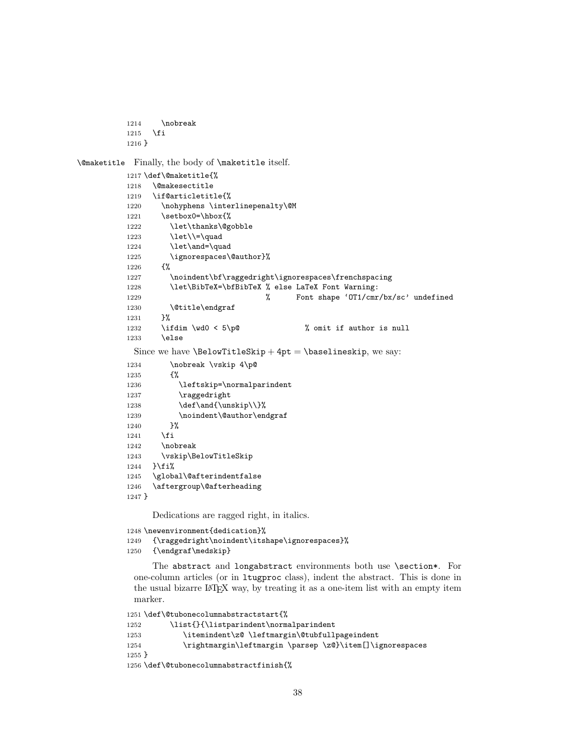```
1214 \nobreak
1215 \fi
1216 }
```
\@maketitle Finally, the body of \maketitle itself.

```
1217 \def\@maketitle{%
1218 \@makesectitle
1219 \if@articletitle{%
1220 \nohyphens \interlinepenalty\@M
1221 \setbox0=\hbox{%
1222 \let\thanks\@gobble
1223 \left\{\left(\frac{1}{23}\right)\right\}1224 \let\and=\quad
1225 \ignorespaces\@author}%
1226 {%
1227 \noindent\bf\raggedright\ignorespaces\frenchspacing
1228 \let\BibTeX=\bfBibTeX % else LaTeX Font Warning:
1229 % Font shape 'OT1/cmr/bx/sc' undefined
1230 \@title\endgraf
1231 }%
1232 \ifdim \wd0 < 5\p@ \% omit if author is null
1233 \else
 Since we have \BelowTitleStep + 4pt = \baselineskip, we say:
1234 \nobreak \vskip 4\p@
1235 {%
1236 \leftskip=\normalparindent
1237 \raggedright
1238 \det\and{\unskip}\{\}\1239 \noindent\@author\endgraf
1240 }%
1241 \fi
1242 \nobreak
1243 \vskip\BelowTitleSkip
1244 }\fi%
1245 \global\@afterindentfalse
1246 \aftergroup\@afterheading
1247 }
```
Dedications are ragged right, in italics.

```
1248 \newenvironment{dedication}%
```

```
1249 {\raggedright\noindent\itshape\ignorespaces}%
```

```
1250 {\endgraf\medskip}
```
The abstract and longabstract environments both use \section\*. For one-column articles (or in ltugproc class), indent the abstract. This is done in the usual bizarre LATEX way, by treating it as a one-item list with an empty item marker.

```
1251 \def\@tubonecolumnabstractstart{%
1252 \list{}{\listparindent\normalparindent
1253 \itemindent\z@ \leftmargin\@tubfullpageindent
1254 \rightmargin\leftmargin \parsep \z@}\item[]\ignorespaces
1255 }
1256 \def\@tubonecolumnabstractfinish{%
```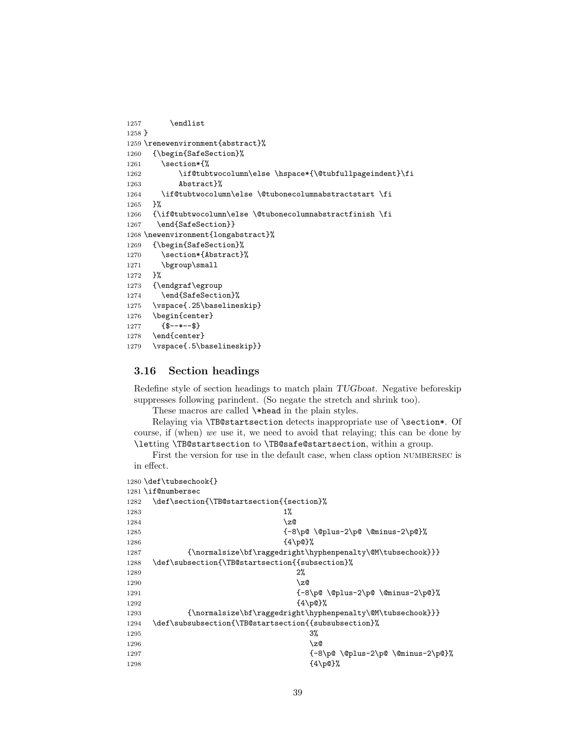```
1257 \endlist
1258 }
1259 \renewenvironment{abstract}%
1260 {\begin{SafeSection}%
1261 \section*{%
1262 \if@tubtwocolumn\else \hspace*{\@tubfullpageindent}\fi
1263 Abstract}%
1264 \if@tubtwocolumn\else \@tubonecolumnabstractstart \fi
1265 }%
1266 {\if@tubtwocolumn\else \@tubonecolumnabstractfinish \fi
1267 \end{SafeSection}}
1268 \newenvironment{longabstract}%
1269 {\begin{SafeSection}%
1270 \section*{Abstract}%
1271 \bgroup\small
1272 }%
1273 {\endgraf\egroup
1274 \end{SafeSection}%
1275 \vspace{.25\baselineskip}
1276 \begin{center}
1277 {$--*--$}
1278 \end{center}
1279 \vspace{.5\baselineskip}}
```
# 3.16 Section headings

Redefine style of section headings to match plain TUGboat. Negative beforeskip suppresses following parindent. (So negate the stretch and shrink too).

These macros are called \\*head in the plain styles.

Relaying via \TB@startsection detects inappropriate use of \section\*. Of course, if (when) we use it, we need to avoid that relaying; this can be done by \letting \TB@startsection to \TB@safe@startsection, within a group.

First the version for use in the default case, when class option numbersec is in effect.

```
1280 \def\tubsechook{}
1281 \if@numbersec
1282 \def\section{\TB@startsection{{section}%
1283 1%1284 \sqrt{20}1285 \{-8\pmod{0}\qquad \qquad \text{--} \1286 \{4\pmb{\downarrow} \text{p0}\}\text{,}1287 {\normalsize\bf\raggedright\hyphenpenalty\@M\tubsechook}}}
1288 \def\subsection{\TB@startsection{{subsection}%
1289 2\%1290 \qquad \qquad \Delta1291 1291 (-8\p@ \@plus-2\p@ \@minus-2\p@}%
1292 \{4\pmb{\downarrow} \pmb{\rho}\}\pmb{\uparrow}1293 {\normalsize\bf\raggedright\hyphenpenalty\@M\tubsechook}}}
1294 \def\subsubsection{\TB@startsection{{subsubsection}%
1295 3%
1296 \angle z
1297 <br>1297 <br>1297 <br>1298 <br>2009 <br>2019 <br>2019 <br>2019 <br>2019 <br>2019 <br>2019 <br>2019 <br>2019 <br>2019 <br>2019 <br>2019 <br>2019 <br>2019 <br>2019 <br>2019 <br>2019 <br>2019 <br>2019 <br>2019 <br>2019 <br>2019 <br>2019 <br>2019 <br>2019 <br>2019 <br>2019 <br>2019 <br>2019 <br>2019 <br>2019 <br>2019 <br>2019 <br>
1298 \{4\ p@\}\%
```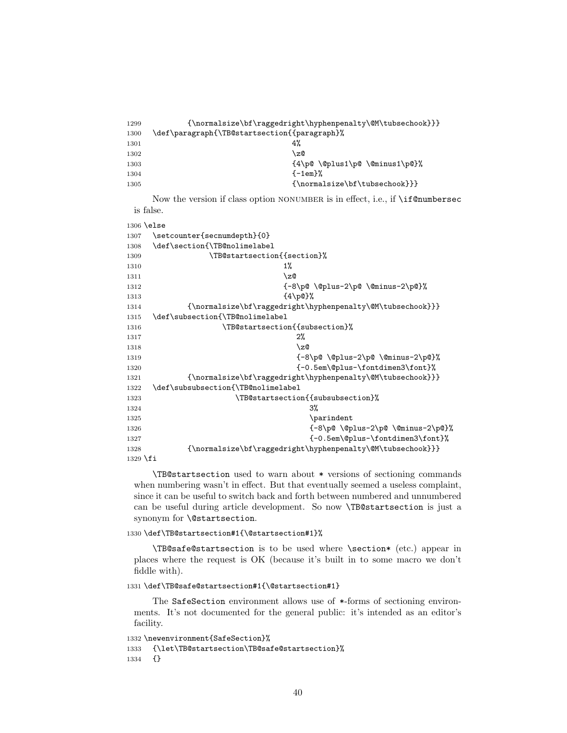| 1299 |                                                             |
|------|-------------------------------------------------------------|
| 1300 | \def\paragraph{\TB@startsection{{paragraph}%                |
| 1301 | 4%                                                          |
| 1302 | \z@                                                         |
| 1303 | $\{4\p0 \ \@plus 1\p0 \ \@minus \@minus \@minus \@minus \@$ |
| 1304 | $-1em$ $\%$                                                 |
| 1305 | $\{ \normal{normalsize\bf \} \} \}$                         |

Now the version if class option NONUMBER is in effect, i.e., if \if@numbersec is false.

\else

| 1307       | \setcounter{secnumdepth}{0}                                |
|------------|------------------------------------------------------------|
| 1308       | \def\section{\TB@nolimelabel                               |
|            |                                                            |
| 1309       | \TB@startsection{{section}%                                |
| 1310       | $1\%$                                                      |
| 1311       | \z@                                                        |
| 1312       | ${-8\po \Qplus-2\po \Qminus-2\po\},$                       |
| 1313       | ${4\pmod{%}}$                                              |
| 1314       | {\normalsize\bf\raggedright\hyphenpenalty\@M\tubsechook}}} |
| 1315       | \def\subsection{\TB@nolimelabel                            |
| 1316       | \TB@startsection{{subsection}%                             |
| 1317       | 2%                                                         |
| 1318       | $\zeta$                                                    |
| 1319       | ${-8\po \Qplus-2\po \Ominus-2\po}$                         |
| 1320       | {-0.5em\@plus-\fontdimen3\font}%                           |
| 1321       | {\normalsize\bf\raggedright\hyphenpenalty\@M\tubsechook}}} |
| 1322       | \def\subsubsection{\TB@nolimelabel                         |
| 1323       | \TB@startsection{{subsubsection}%                          |
| 1324       | 3%                                                         |
| 1325       | \parindent                                                 |
| 1326       | ${-8\po \Qpius-2\po \Qminus-2\po}$                         |
| 1327       | {-0.5em\@plus-\fontdimen3\font}%                           |
| 1328       | {\normalsize\bf\raggedright\hyphenpenalty\@M\tubsechook}}} |
| $1329$ \fi |                                                            |

\TB@startsection used to warn about \* versions of sectioning commands when numbering wasn't in effect. But that eventually seemed a useless complaint, since it can be useful to switch back and forth between numbered and unnumbered can be useful during article development. So now \TB@startsection is just a synonym for \@startsection.

#### \def\TB@startsection#1{\@startsection#1}%

\TB@safe@startsection is to be used where \section\* (etc.) appear in places where the request is OK (because it's built in to some macro we don't fiddle with).

\def\TB@safe@startsection#1{\@startsection#1}

The SafeSection environment allows use of \*-forms of sectioning environments. It's not documented for the general public: it's intended as an editor's facility.

```
1332 \newenvironment{SafeSection}%
1333 {\let\TB@startsection\TB@safe@startsection}%
1334 {}
```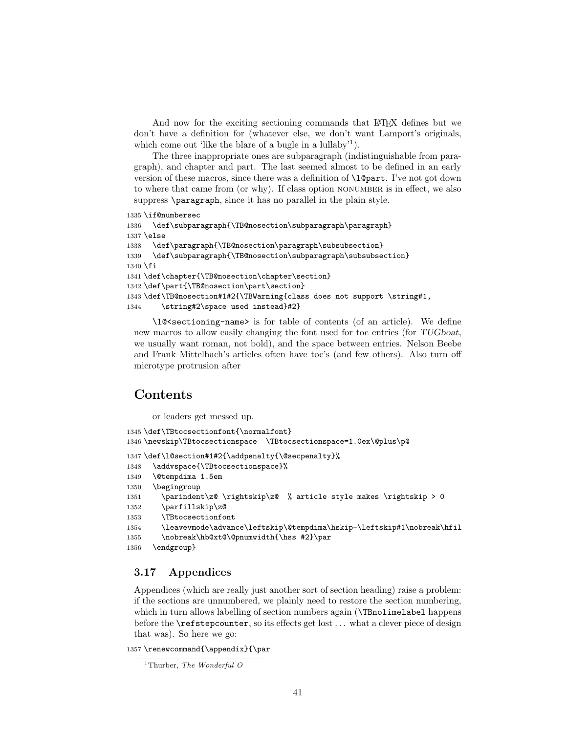And now for the exciting sectioning commands that LAT<sub>EX</sub> defines but we don't have a definition for (whatever else, we don't want Lamport's originals, which come out 'like the blare of a bugle in a lullaby'<sup>1</sup>).

The three inappropriate ones are subparagraph (indistinguishable from paragraph), and chapter and part. The last seemed almost to be defined in an early version of these macros, since there was a definition of **\l@part**. I've not got down to where that came from (or why). If class option nonumber is in effect, we also suppress \paragraph, since it has no parallel in the plain style.

```
1335 \if@numbersec
1336 \def\subparagraph{\TB@nosection\subparagraph\paragraph}
1337 \else
1338 \def\paragraph{\TB@nosection\paragraph\subsubsection}
1339 \def\subparagraph{\TB@nosection\subparagraph\subsubsection}
1340 \fi
1341 \def\chapter{\TB@nosection\chapter\section}
1342 \def\part{\TB@nosection\part\section}
1343 \def\TB@nosection#1#2{\TBWarning{class does not support \string#1,
1344 \string#2\space used instead}#2}
```
\l@\dotsectioning-name> is for table of contents (of an article). We define new macros to allow easily changing the font used for toc entries (for TUGboat, we usually want roman, not bold), and the space between entries. Nelson Beebe and Frank Mittelbach's articles often have toc's (and few others). Also turn off microtype protrusion after

# **Contents**

or leaders get messed up.

```
1345 \def\TBtocsectionfont{\normalfont}
1346 \newskip\TBtocsectionspace \TBtocsectionspace=1.0ex\@plus\p@
1347 \def\l@section#1#2{\addpenalty{\@secpenalty}%
1348 \addvspace{\TBtocsectionspace}%
1349 \@tempdima 1.5em
1350 \begingroup
1351 \parindent\z@ \rightskip\z@ % article style makes \rightskip > 0
1352 \parfillskip\z@
1353 \TBtocsectionfont
1354 \leavevmode\advance\leftskip\@tempdima\hskip-\leftskip#1\nobreak\hfil
1355 \nobreak\hb@xt@\@pnumwidth{\hss #2}\par
1356 \endgroup}
```
# 3.17 Appendices

Appendices (which are really just another sort of section heading) raise a problem: if the sections are unnumbered, we plainly need to restore the section numbering, which in turn allows labelling of section numbers again (**\TBnolimelabel** happens before the \refstepcounter, so its effects get lost . . . what a clever piece of design that was). So here we go:

1357 \renewcommand{\appendix}{\par

<sup>&</sup>lt;sup>1</sup>Thurber, The Wonderful O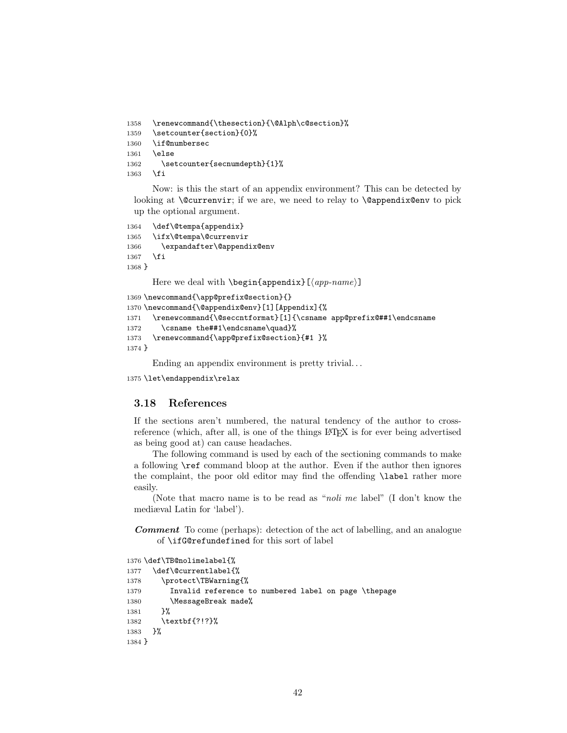```
1358 \renewcommand{\thesection}{\@Alph\c@section}%
1359 \setcounter{section}{0}%
1360 \if@numbersec
1361 \else
1362 \setcounter{secnumdepth}{1}%
1363 \fi
```
Now: is this the start of an appendix environment? This can be detected by looking at  $\&$  currenvir; if we are, we need to relay to  $\&$  expendix@env to pick up the optional argument.

```
1364 \def\@tempa{appendix}
1365 \ifx\@tempa\@currenvir
1366 \expandafter\@appendix@env
1367 \fi
1368 }
```
Here we deal with  $\begin{cases} \text{appendix}[(app-name)] \end{cases}$ 

```
1369 \newcommand{\app@prefix@section}{}
1370 \newcommand{\@appendix@env}[1][Appendix]{%
1371 \renewcommand{\@seccntformat}[1]{\csname app@prefix@##1\endcsname
1372 \csname the##1\endcsname\quad}%
1373 \renewcommand{\app@prefix@section}{#1 }%
1374 }
```
Ending an appendix environment is pretty trivial. . .

1375 \let\endappendix\relax

### 3.18 References

If the sections aren't numbered, the natural tendency of the author to crossreference (which, after all, is one of the things LATEX is for ever being advertised as being good at) can cause headaches.

The following command is used by each of the sectioning commands to make a following \ref command bloop at the author. Even if the author then ignores the complaint, the poor old editor may find the offending \label rather more easily.

(Note that macro name is to be read as "noli me label" (I don't know the mediæval Latin for 'label').

Comment To come (perhaps): detection of the act of labelling, and an analogue of \ifG@refundefined for this sort of label

```
1376 \def\TB@nolimelabel{%
1377 \def\@currentlabel{%
1378 \protect\TBWarning{%
1379 Invalid reference to numbered label on page \thepage
1380 \MessageBreak made%
1381 }%
1382 \textbf{?!?}%
1383 }%
1384 }
```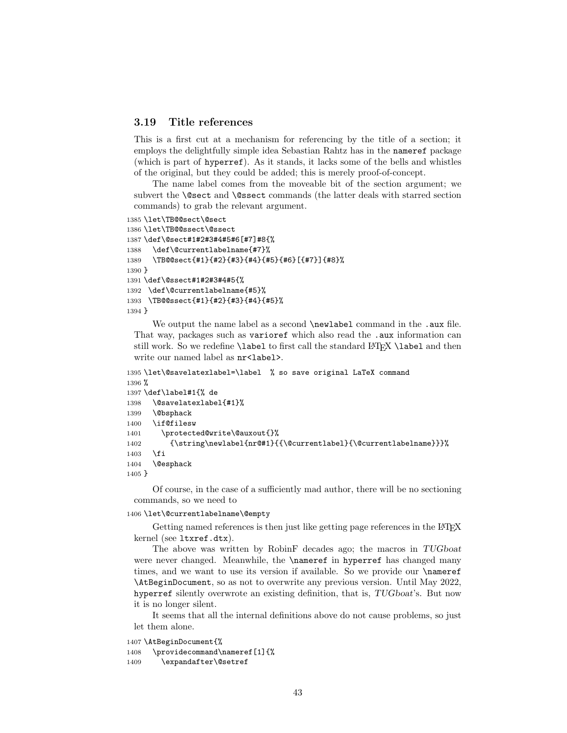# 3.19 Title references

This is a first cut at a mechanism for referencing by the title of a section; it employs the delightfully simple idea Sebastian Rahtz has in the nameref package (which is part of hyperref). As it stands, it lacks some of the bells and whistles of the original, but they could be added; this is merely proof-of-concept.

The name label comes from the moveable bit of the section argument; we subvert the \@sect and \@ssect commands (the latter deals with starred section commands) to grab the relevant argument.

```
1385 \let\TB@@sect\@sect
1386 \let\TB@@ssect\@ssect
1387 \def\@sect#1#2#3#4#5#6[#7]#8{%
1388 \def\@currentlabelname{#7}%
1389 \TB@@sect{#1}{#2}{#3}{#4}{#5}{#6}[{#7}]{#8}%
1390 }
1391 \def\@ssect#1#2#3#4#5{%
1392 \def\@currentlabelname{#5}%
1393 \TB@@ssect{#1}{#2}{#3}{#4}{#5}%
1394 }
```
We output the name label as a second **\newlabel** command in the .aux file. That way, packages such as varioref which also read the .aux information can still work. So we redefine \label to first call the standard LATEX \label and then write our named label as  $nr$ <label>.

```
1395 \let\@savelatexlabel=\label % so save original LaTeX command
1396 %
1397 \def\label#1{% de
1398 \@savelatexlabel{#1}%
1399 \@bsphack
1400 \if@filesw
1401 \protected@write\@auxout{}%
1402 {\string\newlabel{nr@#1}{{\@currentlabel}{\@currentlabelname}}}%
1403 \fi
1404 \@esphack
1405 }
```
Of course, in the case of a sufficiently mad author, there will be no sectioning commands, so we need to

### 1406 \let\@currentlabelname\@empty

Getting named references is then just like getting page references in the LATEX kernel (see ltxref.dtx).

The above was written by RobinF decades ago; the macros in TUGboat were never changed. Meanwhile, the \nameref in hyperref has changed many times, and we want to use its version if available. So we provide our \nameref \AtBeginDocument, so as not to overwrite any previous version. Until May 2022, hyperref silently overwrote an existing definition, that is, TUGboat's. But now it is no longer silent.

It seems that all the internal definitions above do not cause problems, so just let them alone.

1407 \AtBeginDocument{%

```
1408 \providecommand\nameref[1]{%
1409 \expandafter\@setref
```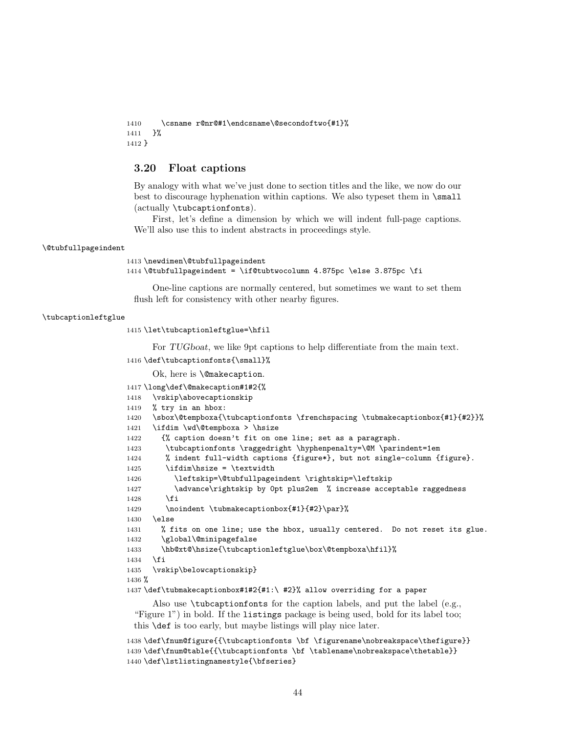```
1410 \csname r@nr@#1\endcsname\@secondoftwo{#1}%
1411 }%
1412 }
```
## 3.20 Float captions

By analogy with what we've just done to section titles and the like, we now do our best to discourage hyphenation within captions. We also typeset them in \small (actually \tubcaptionfonts).

First, let's define a dimension by which we will indent full-page captions. We'll also use this to indent abstracts in proceedings style.

#### \@tubfullpageindent

```
1413 \newdimen\@tubfullpageindent
1414 \@tubfullpageindent = \if@tubtwocolumn 4.875pc \else 3.875pc \fi
```
One-line captions are normally centered, but sometimes we want to set them flush left for consistency with other nearby figures.

#### \tubcaptionleftglue

1415 \let\tubcaptionleftglue=\hfil

For TUGboat, we like 9pt captions to help differentiate from the main text.

```
1416 \def\tubcaptionfonts{\small}%
```
Ok, here is \@makecaption.

```
1417 \long\def\@makecaption#1#2{%
1418 \vskip\abovecaptionskip
1419 % try in an hbox:
1420 \sbox\@tempboxa{\tubcaptionfonts \frenchspacing \tubmakecaptionbox{#1}{#2}}%
1421 \ifdim \wd\@tempboxa > \hsize
1422 {% caption doesn't fit on one line; set as a paragraph.
1423 \tubcaptionfonts \raggedright \hyphenpenalty=\@M \parindent=1em
1424 % indent full-width captions {figure*}, but not single-column {figure}.
1425 \tilde{\text{hsize}} = \text{tetwindth}1426 \leftskip=\@tubfullpageindent \rightskip=\leftskip
1427 \advance\rightskip by 0pt plus2em % increase acceptable raggedness
1428 \fi
1429 \noindent \tubmakecaptionbox{#1}{#2}\par}%
1430 \text{ kg}1431 % fits on one line; use the hbox, usually centered. Do not reset its glue.
1432 \global\@minipagefalse
1433 \hb@xt@\hsize{\tubcaptionleftglue\box\@tempboxa\hfil}%
1434 \fi
1435 \vskip\belowcaptionskip}
1436 %
1437 \def\tubmakecaptionbox#1#2{#1:\ #2}% allow overriding for a paper
     Also use \tubcaptionfonts for the caption labels, and put the label (e.g.,
 "Figure 1") in bold. If the listings package is being used, bold for its label too;
```
this \def is too early, but maybe listings will play nice later.

```
1438 \def\fnum@figure{{\tubcaptionfonts \bf \figurename\nobreakspace\thefigure}}
1439 \def\fnum@table{{\tubcaptionfonts \bf \tablename\nobreakspace\thetable}}
1440 \def\lstlistingnamestyle{\bfseries}
```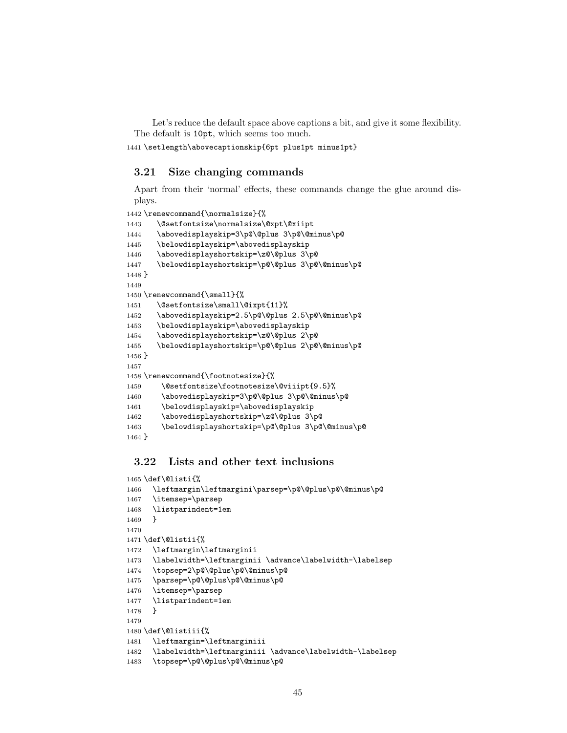Let's reduce the default space above captions a bit, and give it some flexibility. The default is 10pt, which seems too much.

\setlength\abovecaptionskip{6pt plus1pt minus1pt}

# 3.21 Size changing commands

Apart from their 'normal' effects, these commands change the glue around displays.

```
1442 \renewcommand{\normalsize}{%
1443 \@setfontsize\normalsize\@xpt\@xiipt
1444 \abovedisplayskip=3\p@\@plus 3\p@\@minus\p@
1445 \belowdisplayskip=\abovedisplayskip
1446 \abovedisplayshortskip=\z@\@plus 3\p@
1447 \belowdisplayshortskip=\p@\@plus 3\p@\@minus\p@
1448 }
1449
1450 \renewcommand{\small}{%
1451 \@setfontsize\small\@ixpt{11}%
1452 \abovedisplayskip=2.5\p@\@plus 2.5\p@\@minus\p@
1453 \belowdisplayskip=\abovedisplayskip
1454 \abovedisplayshortskip=\z@\@plus 2\p@
1455 \belowdisplayshortskip=\p@\@plus 2\p@\@minus\p@
1456 }
1457
1458 \renewcommand{\footnotesize}{%
1459 \@setfontsize\footnotesize\@viiipt{9.5}%
1460 \abovedisplayskip=3\p@\@plus 3\p@\@minus\p@
1461 \belowdisplayskip=\abovedisplayskip
1462 \abovedisplayshortskip=\z@\@plus 3\p@
1463 \belowdisplayshortskip=\p@\@plus 3\p@\@minus\p@
1464 }
```
# 3.22 Lists and other text inclusions

```
1465 \def\@listi{%
1466 \leftmargin\leftmargini\parsep=\p@\@plus\p@\@minus\p@
1467 \itemsep=\parsep
1468 \listparindent=1em
1469 }
1470
1471 \def\@listii{%
1472 \leftmargin\leftmarginii
1473 \labelwidth=\leftmarginii \advance\labelwidth-\labelsep
1474 \topsep=2\p@\@plus\p@\@minus\p@
1475 \parsep=\p@\@plus\p@\@minus\p@
1476 \itemsep=\parsep
1477 \listparindent=1em
1478 }
1479
1480 \def\@listiii{%
1481 \leftmargin=\leftmarginiii
1482 \labelwidth=\leftmarginiii \advance\labelwidth-\labelsep
1483 \topsep=\p@\@plus\p@\@minus\p@
```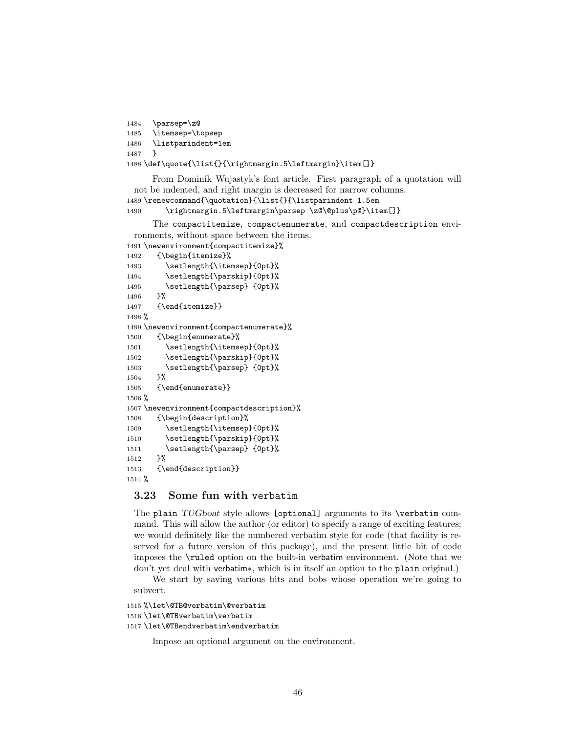```
1484 \parsep=\z@
1485 \itemsep=\topsep
1486 \listparindent=1em
1487 }
1488 \def\quote{\list{}{\rightmargin.5\leftmargin}\item[]}
```
From Dominik Wujastyk's font article. First paragraph of a quotation will not be indented, and right margin is decreased for narrow columns. 1489 \renewcommand{\quotation}{\list{}{\listparindent 1.5em

```
1490 \rightmargin.5\leftmargin\parsep \z@\@plus\p@}\item[]}
```
The compactitemize, compactenumerate, and compactdescription environments, without space between the items.

```
1491 \newenvironment{compactitemize}%
1492 {\begin{itemize}%
1493 \setlength{\itemsep}{0pt}%
1494 \setlength{\parskip}{0pt}%
1495 \setlength{\parsep} {0pt}%
1496 }%
1497 {\end{itemize}}
1498 %
1499 \newenvironment{compactenumerate}%
1500 {\begin{enumerate}%
1501 \setlength{\itemsep}{0pt}%
1502 \setlength{\parskip}{0pt}%
1503 \setlength{\parsep} {0pt}%
1504 }%
1505 {\end{enumerate}}
1506 %
1507 \newenvironment{compactdescription}%
1508 {\begin{description}%
1509 \setlength{\itemsep}{0pt}%
1510 \setlength{\parskip}{0pt}%
1511 \setlength{\parsep} {0pt}%
1512 }%
1513 {\end{description}}
1514 %
```
# 3.23 Some fun with verbatim

The plain TUGboat style allows [optional] arguments to its \verbatim command. This will allow the author (or editor) to specify a range of exciting features; we would definitely like the numbered verbatim style for code (that facility is reserved for a future version of this package), and the present little bit of code imposes the \ruled option on the built-in verbatim environment. (Note that we don't yet deal with verbatim∗, which is in itself an option to the plain original.)

We start by saving various bits and bobs whose operation we're going to subvert.

```
1515 %\let\@TB@verbatim\@verbatim
1516 \let\@TBverbatim\verbatim
1517 \let\@TBendverbatim\endverbatim
```
Impose an optional argument on the environment.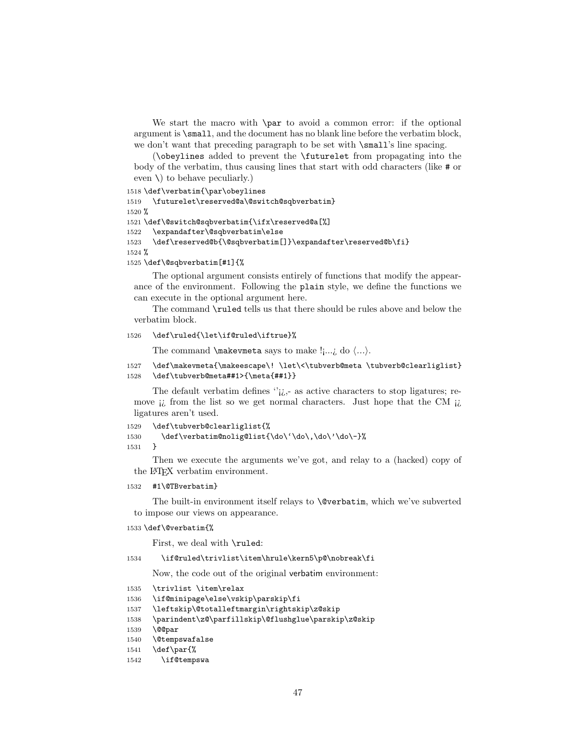We start the macro with **\par** to avoid a common error: if the optional argument is \small, and the document has no blank line before the verbatim block, we don't want that preceding paragraph to be set with  $\s$ mall's line spacing.

(\obeylines added to prevent the \futurelet from propagating into the body of the verbatim, thus causing lines that start with odd characters (like # or even  $\setminus$  to behave peculiarly.)

```
1518 \def\verbatim{\par\obeylines
1519 \futurelet\reserved@a\@switch@sqbverbatim}
1520 %
1521 \def\@switch@sqbverbatim{\ifx\reserved@a[%]
1522 \expandafter\@sqbverbatim\else
1523 \def\reserved@b{\@sqbverbatim[]}\expandafter\reserved@b\fi}
1524 %
```
1525 \def\@sqbverbatim[#1]{%

The optional argument consists entirely of functions that modify the appearance of the environment. Following the plain style, we define the functions we can execute in the optional argument here.

The command \ruled tells us that there should be rules above and below the verbatim block.

### 1526 \def\ruled{\let\if@ruled\iftrue}%

The command **\makevmeta** says to make  $\cdot$   $\cdot$ , do  $\langle ... \rangle$ .

```
1527 \def\makevmeta{\makeescape\! \let\<\tubverb@meta \tubverb@clearliglist}
1528 \def\tubverb@meta##1>{\meta{##1}}
```
The default verbatim defines  $\gamma_{\vec{k},\vec{k}}$  as active characters to stop ligatures; remove  $\mu$  from the list so we get normal characters. Just hope that the CM  $\mu$ ligatures aren't used.

```
1529 \def\tubverb@clearliglist{%
1530 \def\verbatim@nolig@list{\do\'\do\,\do\'\do\-}%
1531 }
```
Then we execute the arguments we've got, and relay to a (hacked) copy of the LATEX verbatim environment.

#### 1532 #1\@TBverbatim}

The built-in environment itself relays to \@verbatim, which we've subverted to impose our views on appearance.

#### 1533 \def\@verbatim{%

First, we deal with \ruled:

1534 \if@ruled\trivlist\item\hrule\kern5\p@\nobreak\fi

Now, the code out of the original verbatim environment:

```
1535 \trivlist \item\relax
1536 \if@minipage\else\vskip\parskip\fi
1537 \leftskip\@totalleftmargin\rightskip\z@skip
1538 \parindent\z@\parfillskip\@flushglue\parskip\z@skip
1539 \@@par
1540 \@tempswafalse
1541 \def\par{%
1542 \if@tempswa
```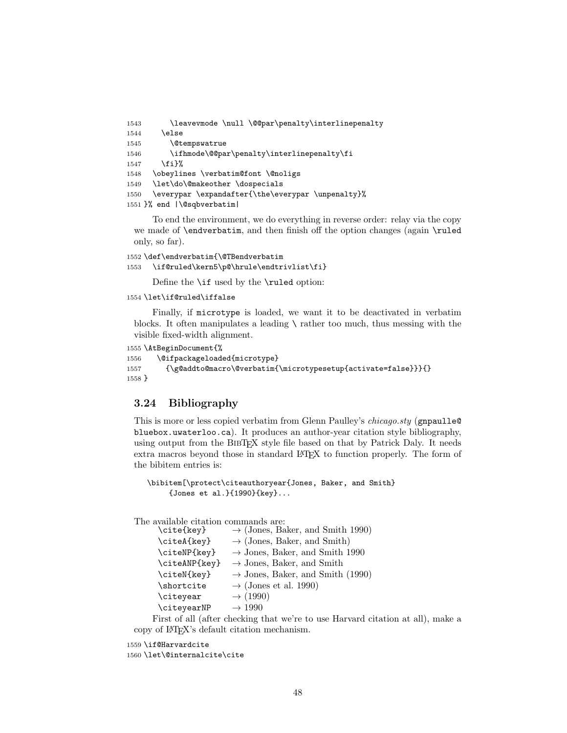```
1543 \leavevmode \null \@@par\penalty\interlinepenalty
1544 \else
1545 \@tempswatrue
1546 \ifhmode\@@par\penalty\interlinepenalty\fi
1547 \fi}%
1548 \obeylines \verbatim@font \@noligs
1549 \let\do\@makeother \dospecials
1550 \everypar \expandafter{\the\everypar \unpenalty}%
1551 }% end |\@sqbverbatim|
```
To end the environment, we do everything in reverse order: relay via the copy we made of \endverbatim, and then finish off the option changes (again \ruled only, so far).

```
1552 \def\endverbatim{\@TBendverbatim
1553 \if@ruled\kern5\p@\hrule\endtrivlist\fi}
```
Define the \if used by the \ruled option:

#### 1554 \let\if@ruled\iffalse

Finally, if microtype is loaded, we want it to be deactivated in verbatim blocks. It often manipulates a leading  $\setminus$  rather too much, thus messing with the visible fixed-width alignment.

```
1555 \AtBeginDocument{%
```

```
1556 \@ifpackageloaded{microtype}
1557 {\g@addto@macro\@verbatim{\microtypesetup{activate=false}}}{}
1558 }
```
### 3.24 Bibliography

This is more or less copied verbatim from Glenn Paulley's *chicago.sty* (gnpaulle@ bluebox.uwaterloo.ca). It produces an author-year citation style bibliography, using output from the BIBTEX style file based on that by Patrick Daly. It needs extra macros beyond those in standard LATEX to function properly. The form of the bibitem entries is:

```
\bibitem[\protect\citeauthoryear{Jones, Baker, and Smith}
     {Jones et al.}{1990}{key}...
```
The available citation commands are:

| \cite{key}    | $\rightarrow$ (Jones, Baker, and Smith 1990) |
|---------------|----------------------------------------------|
| \citeA{key}   | $\rightarrow$ (Jones, Baker, and Smith)      |
| \citeNP{key}  | $\rightarrow$ Jones, Baker, and Smith 1990   |
| \citeANP{key} | $\rightarrow$ Jones, Baker, and Smith        |
| \citeN{key}   | $\rightarrow$ Jones, Baker, and Smith (1990) |
| \shortcite    | $\rightarrow$ (Jones et al. 1990)            |
| \citeyear     | $\rightarrow$ (1990)                         |
| \citeyearNP   | $\rightarrow$ 1990                           |
|               |                                              |

First of all (after checking that we're to use Harvard citation at all), make a copy of LATEX's default citation mechanism.

1559 \if@Harvardcite 1560 \let\@internalcite\cite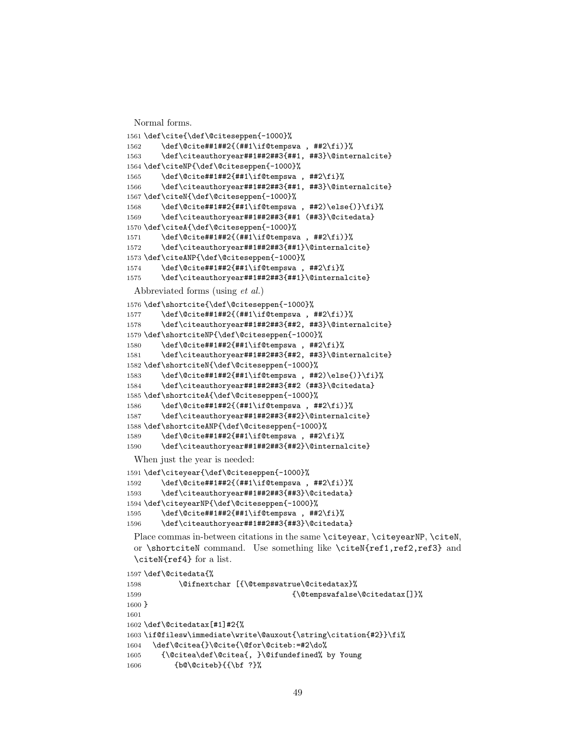Normal forms.

```
1561 \def\cite{\def\@citeseppen{-1000}%
1562 \def\@cite##1##2{(##1\if@tempswa , ##2\fi)}%
1563 \def\citeauthoryear##1##2##3{##1, ##3}\@internalcite}
1564 \def\citeNP{\def\@citeseppen{-1000}%
1565 \def\@cite##1##2{##1\if@tempswa , ##2\fi}%
1566 \def\citeauthoryear##1##2##3{##1, ##3}\@internalcite}
1567 \def\citeN{\def\@citeseppen{-1000}%
1568 \def\@cite##1##2{##1\if@tempswa , ##2)\else{)}\fi}%
1569 \def\citeauthoryear##1##2##3{##1 (##3}\@citedata}
1570 \def\citeA{\def\@citeseppen{-1000}%
1571 \def\@cite##1##2{(##1\if@tempswa , ##2\fi)}%
1572 \def\citeauthoryear##1##2##3{##1}\@internalcite}
1573 \def\citeANP{\def\@citeseppen{-1000}%
1574 \def\@cite##1##2{##1\if@tempswa , ##2\fi}%
1575 \def\citeauthoryear##1##2##3{##1}\@internalcite}
 Abbreviated forms (using et al.)
1576 \def\shortcite{\def\@citeseppen{-1000}%
1577 \def\@cite##1##2{(##1\if@tempswa , ##2\fi)}%
1578 \def\citeauthoryear##1##2##3{##2, ##3}\@internalcite}
1579 \def\shortciteNP{\def\@citeseppen{-1000}%
1580 \def\@cite##1##2{##1\if@tempswa , ##2\fi}%
1581 \def\citeauthoryear##1##2##3{##2, ##3}\@internalcite}
1582 \def\shortciteN{\def\@citeseppen{-1000}%
1583 \def\@cite##1##2{##1\if@tempswa , ##2)\else{)}\fi}%
1584 \def\citeauthoryear##1##2##3{##2 (##3}\@citedata}
1585 \def\shortciteA{\def\@citeseppen{-1000}%
1586 \def\@cite##1##2{(##1\if@tempswa , ##2\fi)}%
1587 \def\citeauthoryear##1##2##3{##2}\@internalcite}
1588 \def\shortciteANP{\def\@citeseppen{-1000}%
1589 \def\@cite##1##2{##1\if@tempswa , ##2\fi}%
1590 \def\citeauthoryear##1##2##3{##2}\@internalcite}
 When just the year is needed:
1591 \def\citeyear{\def\@citeseppen{-1000}%
1592 \def\@cite##1##2{(##1\if@tempswa , ##2\fi)}%
1593 \def\citeauthoryear##1##2##3{##3}\@citedata}
1594 \def\citeyearNP{\def\@citeseppen{-1000}%
1595 \def\@cite##1##2{##1\if@tempswa, ##2\fi}%
1596 \def\citeauthoryear##1##2##3{##3}\@citedata}
 Place commas in-between citations in the same \citeyear, \citeyearNP, \citeN,
 or \shortciteN command. Use something like \citeN{ref1,ref2,ref3} and
 \citeN{ref4} for a list.
1597 \def\@citedata{%
1598 \@ifnextchar [{\@tempswatrue\@citedatax}%
1599 {\text{\`{Ctempswafalse\@citedatax}}\}1600 }
1601
```

```
1603 \if@filesw\immediate\write\@auxout{\string\citation{#2}}\fi%
1604 \def\@citea{}\@cite{\@for\@citeb:=#2\do%
1605 {\@citea\def\@citea{, }\@ifundefined% by Young
1606 {b@\@citeb}{{\bf ?}%
```
\def\@citedatax[#1]#2{%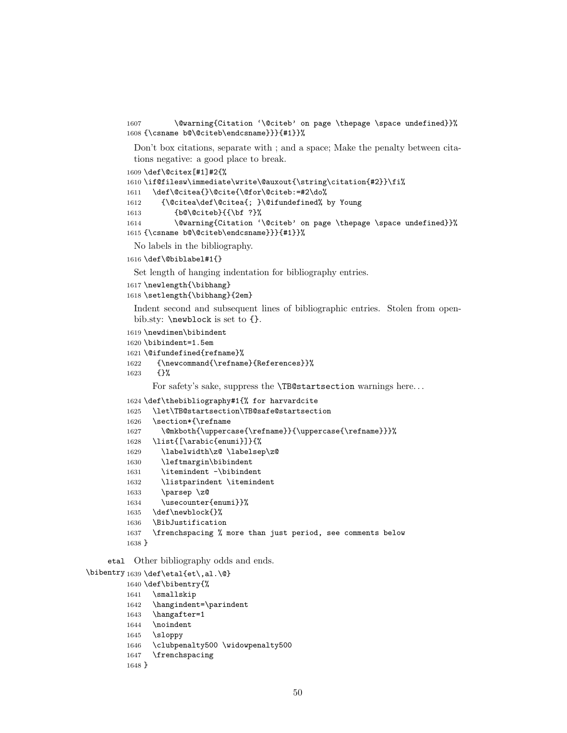1607 \@warning{Citation '\@citeb' on page \thepage \space undefined}}% {\csname b@\@citeb\endcsname}}}{#1}}%

Don't box citations, separate with ; and a space; Make the penalty between citations negative: a good place to break.

\def\@citex[#1]#2{%

```
1610 \if@filesw\immediate\write\@auxout{\string\citation{#2}}\fi%
1611 \def\@citea{}\@cite{\@for\@citeb:=#2\do%
1612 {\@citea\def\@citea{; }\@ifundefined% by Young
1613 {b@\@citeb}{{\bf ?}%
1614 \@warning{Citation '\@citeb' on page \thepage \space undefined}}%
1615 {\csname b@\@citeb\endcsname}}}{#1}}%
```
No labels in the bibliography.

```
1616 \def\@biblabel#1{}
```
Set length of hanging indentation for bibliography entries.

```
1617 \newlength{\bibhang}
```
\setlength{\bibhang}{2em}

Indent second and subsequent lines of bibliographic entries. Stolen from openbib.sty: \newblock is set to {}.

```
1619 \newdimen\bibindent
```
\bibindent=1.5em

\@ifundefined{refname}%

```
1622 {\newcommand{\refname}{References}}%
```

```
1623 {}%
```
For safety's sake, suppress the **\TB@startsection** warnings here...

```
1624 \def\thebibliography#1{% for harvardcite
1625 \let\TB@startsection\TB@safe@startsection
1626 \section*{\refname
1627 \@mkboth{\uppercase{\refname}}{\uppercase{\refname}}}%
1628 \list{[\arabic{enumi}]}{%
1629 \labelwidth\z@ \labelsep\z@
1630 \leftmargin\bibindent
1631 \itemindent -\bibindent
1632 \listparindent \itemindent
1633 \parsep \z@
1634 \usecounter{enumi}}%
1635 \def\newblock{}%
1636 \BibJustification
1637 \frenchspacing % more than just period, see comments below
1638 }
```
etal Other bibliography odds and ends.

```
\big\{\begin{array}{c}\n\phi\end{array} \cdot \begin{array}{c}\n\phi\end{array} \cdot \begin{array}{c}\n\phi\end{array} \cdot \begin{array}{c}\n\phi\end{array} \cdot \begin{array}{c}\n\phi\end{array} \cdot \begin{array}{c}\n\phi\end{array} \cdot \begin{array}{c}\n\phi\end{array} \cdot \begin{array}{c}\n\phi\end{array} \cdot \begin{array}{c}\n\phi\end{array} \cdot \begin{array}{c}\n\phi\end{array} \cdot \begin{array}{c}\n\phi\end{array} \cdot \begin{array}{c}\n\phi\end{array} \cdot \begin{array}{c}\n\phi\end{1640 \def\bibentry{%
                              1641 \smallskip
                              1642 \hangindent=\parindent
                              1643 \hangafter=1
                              1644 \noindent
                              1645 \sloppy
                              1646 \clubpenalty500 \widowpenalty500
                              1647 \frenchspacing
                              1648 }
```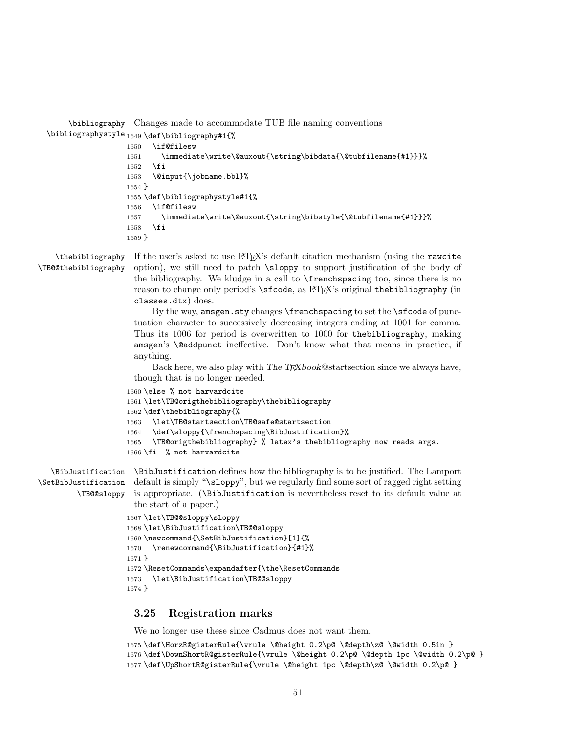\bibliography Changes made to accommodate TUB file naming conventions

```
\bibliographystyle
1649 \def\bibliography#1{%
                  1650 \if@filesw
                  1651 \immediate\write\@auxout{\string\bibdata{\@tubfilename{#1}}}%
                  1652 \fi
                  1653 \@input{\jobname.bbl}%
                  1654 }
                  1655 \def\bibliographystyle#1{%
                  1656 \if@filesw
                  1657 \immediate\write\@auxout{\string\bibstyle{\@tubfilename{#1}}}%
                  1658 \fi
                  1659 }
```
\thebibliography \TB@@thebibliography

If the user's asked to use LAT<sub>EX</sub>'s default citation mechanism (using the rawcite option), we still need to patch \sloppy to support justification of the body of the bibliography. We kludge in a call to \frenchspacing too, since there is no reason to change only period's **\sfcode**, as LATEX's original thebibliography (in classes.dtx) does.

By the way, amsgen.sty changes \frenchspacing to set the \sfcode of punctuation character to successively decreasing integers ending at 1001 for comma. Thus its 1006 for period is overwritten to 1000 for thebibliography, making amsgen's \@addpunct ineffective. Don't know what that means in practice, if anything.

Back here, we also play with The TEXbook@startsection since we always have, though that is no longer needed.

```
1660 \else % not harvardcite
1661 \let\TB@origthebibliography\thebibliography
1662 \def\thebibliography{%
1663 \let\TB@startsection\TB@safe@startsection
1664 \def\sloppy{\frenchspacing\BibJustification}%
1665 \TB@origthebibliography} % latex's thebibliography now reads args.
1666 \fi % not harvardcite
```
\BibJustification \BibJustification defines how the bibliography is to be justified. The Lamport \SetBibJustification default is simply "\sloppy", but we regularly find some sort of ragged right setting \TB@@sloppy is appropriate. (\BibJustification is nevertheless reset to its default value at the start of a paper.)

```
1667 \let\TB@@sloppy\sloppy
1668 \let\BibJustification\TB@@sloppy
1669 \newcommand{\SetBibJustification}[1]{%
1670 \renewcommand{\BibJustification}{#1}%
1671 }
1672 \ResetCommands\expandafter{\the\ResetCommands
1673 \let\BibJustification\TB@@sloppy
1674 }
```
# 3.25 Registration marks

We no longer use these since Cadmus does not want them.

```
1675 \def\HorzR@gisterRule{\vrule \@height 0.2\p@ \@depth\z@ \@width 0.5in }
1676 \def\DownShortR@gisterRule{\vrule \@height 0.2\p@ \@depth 1pc \@width 0.2\p@ }
1677 \def\UpShortR@gisterRule{\vrule \@height 1pc \@depth\z@ \@width 0.2\p@ }
```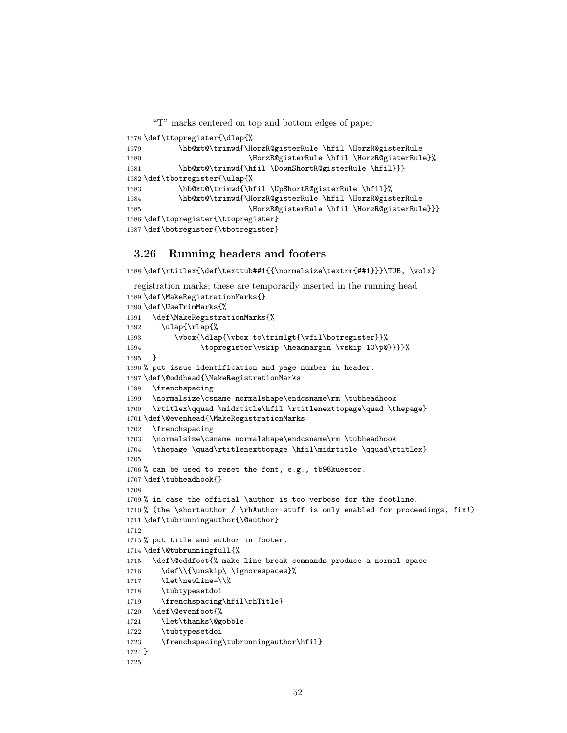"T" marks centered on top and bottom edges of paper

```
1678 \def\ttopregister{\dlap{%
1679 \hb@xt@\trimwd{\HorzR@gisterRule \hfil \HorzR@gisterRule
1680 \HorzR@gisterRule \hfil \HorzR@gisterRule}%
1681 \hb@xt@\trimwd{\hfil \DownShortR@gisterRule \hfil}}}
1682 \def\tbotregister{\ulap{%
1683 \hb@xt@\trimwd{\hfil \UpShortR@gisterRule \hfil}%
1684 \hb@xt@\trimwd{\HorzR@gisterRule \hfil \HorzR@gisterRule
1685 \HorzR@gisterRule \hfil \HorzR@gisterRule}}}
1686 \def\topregister{\ttopregister}
1687 \def\botregister{\tbotregister}
```
# 3.26 Running headers and footers

\def\rtitlex{\def\texttub##1{{\normalsize\textrm{##1}}}\TUB, \volx}

```
registration marks; these are temporarily inserted in the running head
1689 \def\MakeRegistrationMarks{}
1690 \def\UseTrimMarks{%
1691 \def\MakeRegistrationMarks{%
1692 \ulap{\rlap{%
1693 \vbox{\dlap{\vbox to\trimlgt{\vfil\botregister}}%
1694 \topregister\vskip \headmargin \vskip 10\p@}}}}%
1695 }
1696 % put issue identification and page number in header.
1697 \def\@oddhead{\MakeRegistrationMarks
1698 \frenchspacing
1699 \normalsize\csname normalshape\endcsname\rm \tubheadhook
1700 \rtitlex\qquad \midrtitle\hfil \rtitlenexttopage\quad \thepage}
1701 \def\@evenhead{\MakeRegistrationMarks
1702 \frenchspacing
1703 \normalsize\csname normalshape\endcsname\rm \tubheadhook
1704 \thepage \quad\rtitlenexttopage \hfil\midrtitle \qquad\rtitlex}
1705
1706 % can be used to reset the font, e.g., tb98kuester.
1707 \def\tubheadhook{}
1708
1709 % in case the official \author is too verbose for the footline.
1710 % (the \shortauthor / \rhAuthor stuff is only enabled for proceedings, fix!)
1711 \def\tubrunningauthor{\@author}
1712
1713 % put title and author in footer.
1714 \def\@tubrunningfull{%
1715 \def\@oddfoot{% make line break commands produce a normal space
1716 \def\\{\unskip\ \ignorespaces}%
1717 \let\newline=\\%
1718 \tubtypesetdoi
1719 \frenchspacing\hfil\rhTitle}
1720 \def\@evenfoot{%
1721 \let\thanks\@gobble
1722 \tubtypesetdoi
1723 \frenchspacing\tubrunningauthor\hfil}
1724 }
1725
```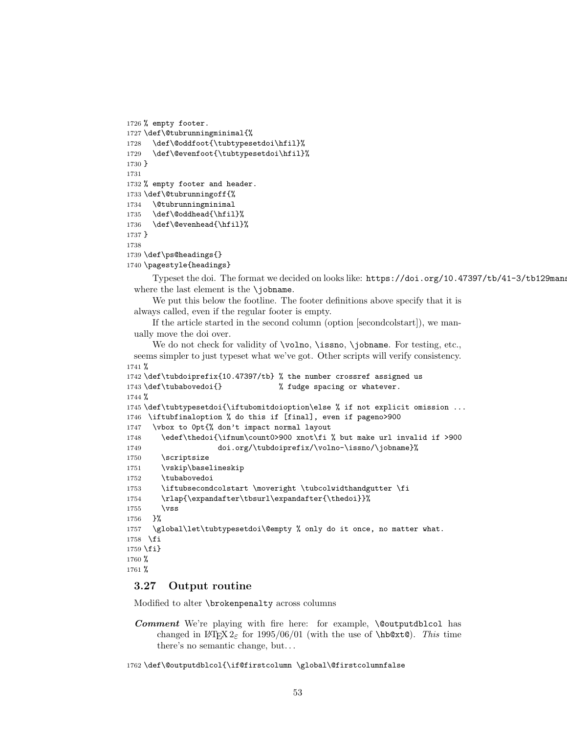```
1726 % empty footer.
1727 \def\@tubrunningminimal{%
1728 \def\@oddfoot{\tubtypesetdoi\hfil}%
1729 \def\@evenfoot{\tubtypesetdoi\hfil}%
1730 }
1731
1732 % empty footer and header.
1733 \def\@tubrunningoff{%
1734 \@tubrunningminimal
1735 \def\@oddhead{\hfil}%
1736 \def\@evenhead{\hfil}%
1737 }
1738
1739 \def\ps@headings{}
1740 \pagestyle{headings}
```
Typeset the doi. The format we decided on looks like:  $https://doi.org/10.47397/tb/41-3/tb129$ mans where the last element is the \jobname.

We put this below the footline. The footer definitions above specify that it is always called, even if the regular footer is empty.

If the article started in the second column (option [secondcolstart]), we manually move the doi over.

```
We do not check for validity of \volno, \issno, \jobname. For testing, etc.,
 seems simpler to just typeset what we've got. Other scripts will verify consistency.
1741 %
1742 \def\tubdoiprefix{10.47397/tb} % the number crossref assigned us
1743 \def\tubabovedoi{} \% fudge spacing or whatever.
1744 %
1745 \def\tubtypesetdoi{\iftubomitdoioption\else % if not explicit omission ...
1746 \iftubfinaloption % do this if [final], even if pageno>900
1747 \vbox to 0pt{% don't impact normal layout
1748 \edef\thedoi{\ifnum\count0>900 xnot\fi % but make url invalid if >900
1749 doi.org/\tubdoiprefix/\volno-\issno/\jobname}%
1750 \scriptsize
1751 \vskip\baselineskip
1752 \tubabovedoi
1753 \iftubsecondcolstart \moveright \tubcolwidthandgutter \fi
1754 \rlap{\expandafter\tbsurl\expandafter{\thedoi}}%
1755 \vss
1756 }%
1757 \global\let\tubtypesetdoi\@empty % only do it once, no matter what.
1758 \fi
1759 \fi}
1760 %
1761 %
```
# 3.27 Output routine

Modified to alter \brokenpenalty across columns

Comment We're playing with fire here: for example, *\@outputdblcol has* changed in LATEX  $2\varepsilon$  for 1995/06/01 (with the use of \hb@xt@). This time there's no semantic change, but. . .

```
1762 \def\@outputdblcol{\if@firstcolumn \global\@firstcolumnfalse
```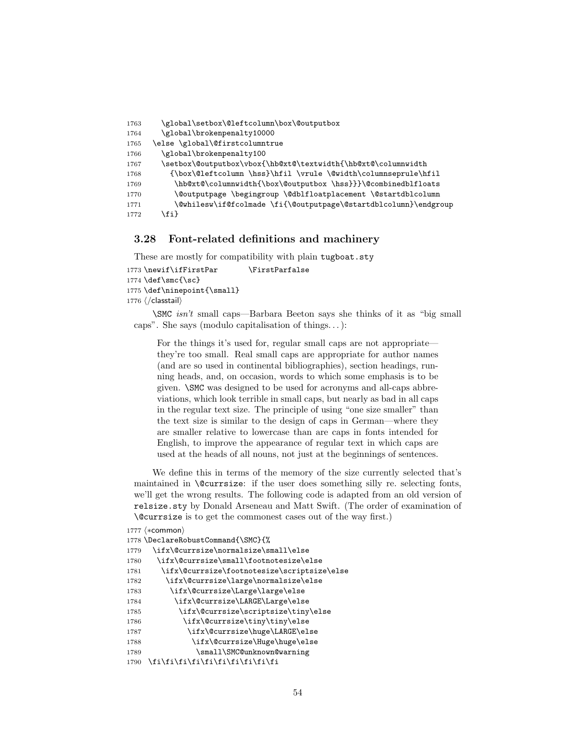```
1763 \global\setbox\@leftcolumn\box\@outputbox
1764 \global\brokenpenalty10000
1765 \else \global\@firstcolumntrue
1766 \global\brokenpenalty100
1767 \setbox\@outputbox\vbox{\hb@xt@\textwidth{\hb@xt@\columnwidth
1768 {\box\@leftcolumn \hss}\hfil \vrule \@width\columnseprule\hfil
1769 \hb@xt@\columnwidth{\box\@outputbox \hss}}}\@combinedblfloats
1770 \@outputpage \begingroup \@dblfloatplacement \@startdblcolumn
1771 \@whilesw\if@fcolmade \fi{\@outputpage\@startdblcolumn}\endgroup
1772 \fi}
```
### 3.28 Font-related definitions and machinery

These are mostly for compatibility with plain tugboat.sty

```
1773 \newif\ifFirstPar \FirstParfalse
```

```
1774 \def\smash{\frac{\sc}{s}}
```

```
1775 \def\ninepoint{\small}
```

```
1776 ⟨/classtail⟩
```
\SMC isn't small caps—Barbara Beeton says she thinks of it as "big small caps". She says (modulo capitalisation of things. . . ):

For the things it's used for, regular small caps are not appropriate they're too small. Real small caps are appropriate for author names (and are so used in continental bibliographies), section headings, running heads, and, on occasion, words to which some emphasis is to be given. \SMC was designed to be used for acronyms and all-caps abbreviations, which look terrible in small caps, but nearly as bad in all caps in the regular text size. The principle of using "one size smaller" than the text size is similar to the design of caps in German—where they are smaller relative to lowercase than are caps in fonts intended for English, to improve the appearance of regular text in which caps are used at the heads of all nouns, not just at the beginnings of sentences.

We define this in terms of the memory of the size currently selected that's maintained in \@currsize: if the user does something silly re. selecting fonts, we'll get the wrong results. The following code is adapted from an old version of relsize.sty by Donald Arseneau and Matt Swift. (The order of examination of \@currsize is to get the commonest cases out of the way first.)

```
1777 ⟨∗common⟩
1778 \DeclareRobustCommand{\SMC}{%
1779 \ifx\@currsize\normalsize\small\else
1780 \ifx\@currsize\small\footnotesize\else
1781 \ifx\@currsize\footnotesize\scriptsize\else
1782 \ifx\@currsize\large\normalsize\else
1783 \ifx\@currsize\Large\large\else
1784 \ifx\@currsize\LARGE\Large\else
1785 \ifx\@currsize\scriptsize\tiny\else
1786 \ifx\@currsize\tiny\tiny\else
1787 \ifx\@currsize\huge\LARGE\else
1788 \ifx\@currsize\Huge\huge\else
1789 \small\SMC@unknown@warning
1790 \fi\fi\fi\fi\fi\fi\fi\fi\fi\fi
```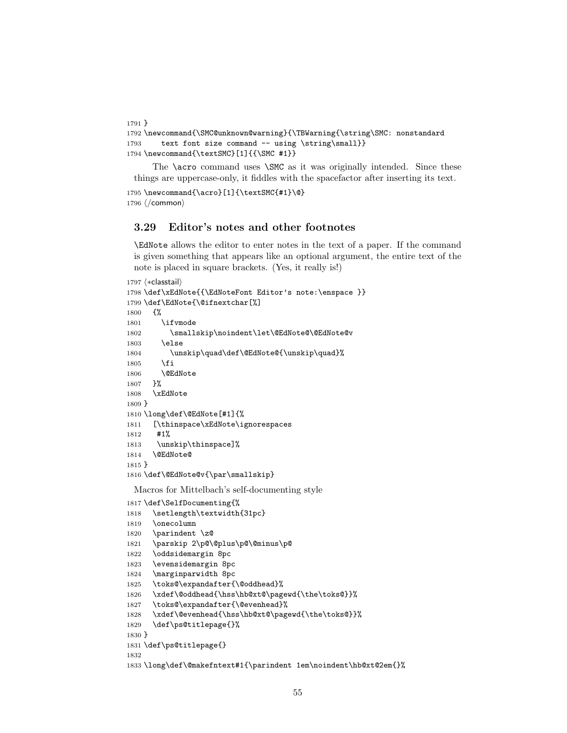```
1791 }
1792 \newcommand{\SMC@unknown@warning}{\TBWarning{\string\SMC: nonstandard
1793 text font size command -- using \string\small}}
1794 \newcommand{\textSMC}[1]{{\SMC #1}}
```
The **\acro** command uses **\SMC** as it was originally intended. Since these things are uppercase-only, it fiddles with the spacefactor after inserting its text.

```
1795 \newcommand{\acro}[1]{\textSMC{#1}\@}
1796 ⟨/common⟩
```
## 3.29 Editor's notes and other footnotes

\EdNote allows the editor to enter notes in the text of a paper. If the command is given something that appears like an optional argument, the entire text of the note is placed in square brackets. (Yes, it really is!)

```
1797 ⟨∗classtail⟩
1798 \def\xEdNote{{\EdNoteFont Editor's note:\enspace }}
1799 \def\EdNote{\@ifnextchar[%]
1800 {%
1801 \ifvmode
1802 \smallskip\noindent\let\@EdNote@\@EdNote@v
1803 \else
1804 \unskip\quad\def\@EdNote@{\unskip\quad}%
1805 \fi
1806 \@EdNote
1807 }%
1808 \xEdNote
1809 }
1810 \long\def\@EdNote[#1]{%
1811 [\thinspace\xEdNote\ignorespaces
1812 #1%
1813 \unskip\thinspace]%
1814 \@EdNote@
1815 }
1816 \def\@EdNote@v{\par\smallskip}
 Macros for Mittelbach's self-documenting style
```
\def\SelfDocumenting{%

```
1818 \setlength\textwidth{31pc}
1819 \onecolumn
1820 \parindent \z@
1821 \parskip 2\p@\@plus\p@\@minus\p@
1822 \oddsidemargin 8pc
1823 \evensidemargin 8pc
1824 \marginparwidth 8pc
1825 \toks@\expandafter{\@oddhead}%
1826 \xdef\@oddhead{\hss\hb@xt@\pagewd{\the\toks@}}%
1827 \toks@\expandafter{\@evenhead}%
1828 \xdef\@evenhead{\hss\hb@xt@\pagewd{\the\toks@}}%
1829 \def\ps@titlepage{}%
1830 }
1831 \def\ps@titlepage{}
1832
1833 \long\def\@makefntext#1{\parindent 1em\noindent\hb@xt@2em{}%
```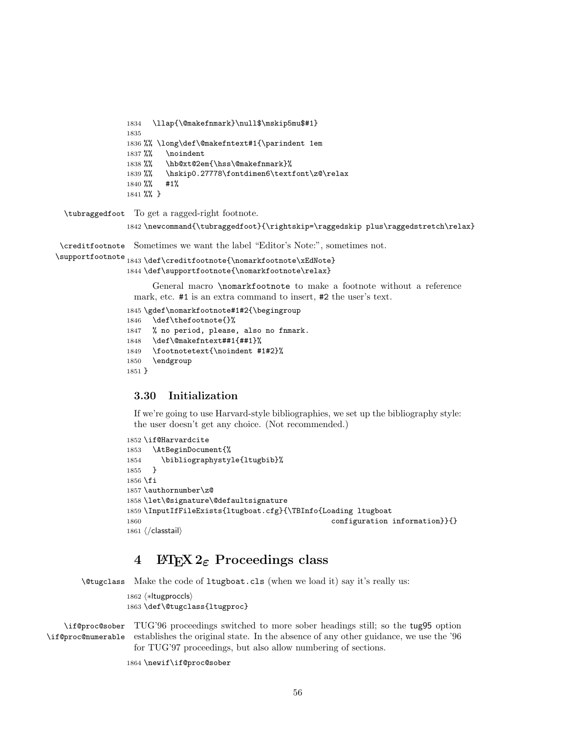```
1834 \llap{\@makefnmark}\null$\mskip5mu$#1}
1835
1836 %% \long\def\@makefntext#1{\parindent 1em
1837 %% \noindent
1838 %% \hb@xt@2em{\hss\@makefnmark}%
1839 %% \hskip0.27778\fontdimen6\textfont\z@\relax
1840 %% #1%
1841 %% }
```
\tubraggedfoot To get a ragged-right footnote.

\newcommand{\tubraggedfoot}{\rightskip=\raggedskip plus\raggedstretch\relax}

\creditfootnote Sometimes we want the label "Editor's Note:", sometimes not.

```
\supportfootnote
1843 \def\creditfootnote{\nomarkfootnote\xEdNote}
                1844 \def\supportfootnote{\nomarkfootnote\relax}
```
General macro \nomarkfootnote to make a footnote without a reference mark, etc. #1 is an extra command to insert, #2 the user's text.

```
1845 \gdef\nomarkfootnote#1#2{\begingroup
1846 \def\thefootnote{}%
1847 % no period, please, also no fnmark.
1848 \def\@makefntext##1{##1}%
1849 \footnotetext{\noindent #1#2}%
1850 \endgroup
1851 }
```
# 3.30 Initialization

If we're going to use Harvard-style bibliographies, we set up the bibliography style: the user doesn't get any choice. (Not recommended.)

```
1852 \if@Harvardcite
1853 \AtBeginDocument{%
1854 \bibliographystyle{ltugbib}%
1855 }
1856 \fi
1857 \authornumber\z@
1858 \let\@signature\@defaultsignature
1859 \InputIfFileExists{ltugboat.cfg}{\TBInfo{Loading ltugboat
1860 configuration information \{\}1861 ⟨/classtail⟩
```
# 4 LATEX  $2_{\varepsilon}$  Proceedings class

\@tugclass Make the code of ltugboat.cls (when we load it) say it's really us:

```
1862 ⟨∗ltugproccls⟩
1863 \def\@tugclass{ltugproc}
```
\if@proc@sober TUG'96 proceedings switched to more sober headings still; so the tug95 option \if@proc@numerable establishes the original state. In the absence of any other guidance, we use the '96 for TUG'97 proceedings, but also allow numbering of sections.

```
1864 \newif\if@proc@sober
```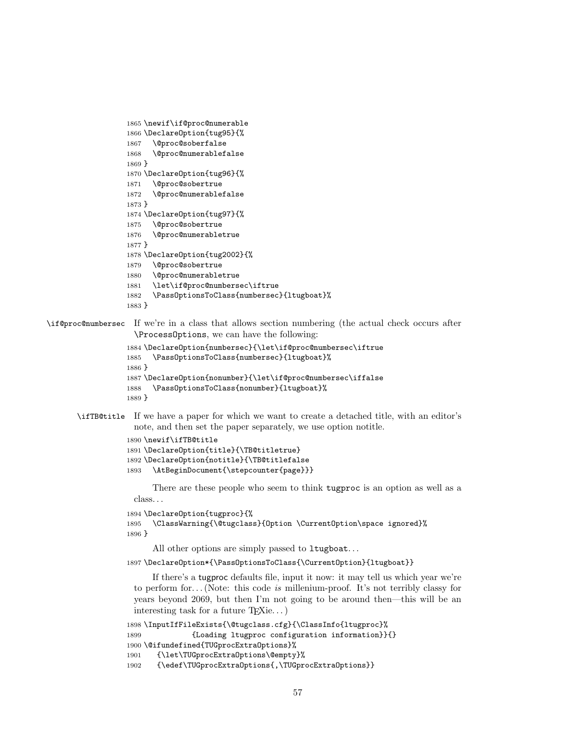```
1865 \newif\if@proc@numerable
1866 \DeclareOption{tug95}{%
1867 \@proc@soberfalse
1868 \@proc@numerablefalse
1869 }
1870 \DeclareOption{tug96}{%
1871 \@proc@sobertrue
1872 \@proc@numerablefalse
1873 }
1874 \DeclareOption{tug97}{%
1875 \@proc@sobertrue
1876 \@proc@numerabletrue
1877 }
1878 \DeclareOption{tug2002}{%
1879 \@proc@sobertrue
1880 \@proc@numerabletrue
1881 \let\if@proc@numbersec\iftrue
1882 \PassOptionsToClass{numbersec}{ltugboat}%
1883 }
```
\if@proc@numbersec If we're in a class that allows section numbering (the actual check occurs after \ProcessOptions, we can have the following:

```
1884 \DeclareOption{numbersec}{\let\if@proc@numbersec\iftrue
1885 \PassOptionsToClass{numbersec}{ltugboat}%
1886 }
1887 \DeclareOption{nonumber}{\let\if@proc@numbersec\iffalse
1888 \PassOptionsToClass{nonumber}{ltugboat}%
1889 }
```
## \ifTB@title If we have a paper for which we want to create a detached title, with an editor's note, and then set the paper separately, we use option notitle.

```
1890 \newif\ifTB@title
1891 \DeclareOption{title}{\TB@titletrue}
1892 \DeclareOption{notitle}{\TB@titlefalse
1893 \AtBeginDocument{\stepcounter{page}}}
```
There are these people who seem to think tugproc is an option as well as a class. . .

```
1894 \DeclareOption{tugproc}{%
1895 \ClassWarning{\@tugclass}{Option \CurrentOption\space ignored}%
1896 }
```
All other options are simply passed to ltugboat...

\DeclareOption\*{\PassOptionsToClass{\CurrentOption}{ltugboat}}

If there's a tugproc defaults file, input it now: it may tell us which year we're to perform for... (Note: this code is millenium-proof. It's not terribly classy for years beyond 2069, but then I'm not going to be around then—this will be an interesting task for a future T<sub>E</sub>Xie...)

```
1898 \InputIfFileExists{\@tugclass.cfg}{\ClassInfo{ltugproc}%
1899 {Loading ltugproc configuration information}}{}
1900 \@ifundefined{TUGprocExtraOptions}%
1901 {\let\TUGprocExtraOptions\@empty}%
1902 {\edef\TUGprocExtraOptions{,\TUGprocExtraOptions}}
```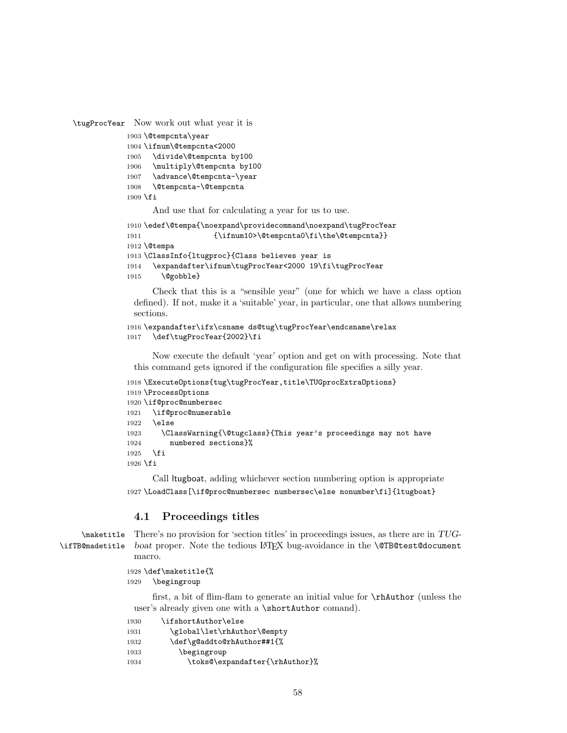```
\tugProcYear Now work out what year it is
```

```
1903 \@tempcnta\year
1904 \ifnum\@tempcnta<2000
1905 \divide\@tempcnta by100
1906 \multiply\@tempcnta by100
1907 \advance\@tempcnta-\year
1908 \@tempcnta-\@tempcnta
1909 \fi
```
And use that for calculating a year for us to use.

```
1910 \edef\@tempa{\noexpand\providecommand\noexpand\tugProcYear
1911 {\ifnum10>\@tempcnta0\fi\the\@tempcnta}}
1912 \@tempa
1913 \ClassInfo{ltugproc}{Class believes year is
1914 \expandafter\ifnum\tugProcYear<2000 19\fi\tugProcYear
1915 \@gobble}
```
Check that this is a "sensible year" (one for which we have a class option defined). If not, make it a 'suitable' year, in particular, one that allows numbering sections.

```
1916 \expandafter\ifx\csname ds@tug\tugProcYear\endcsname\relax
1917 \def\tugProcYear{2002}\fi
```
Now execute the default 'year' option and get on with processing. Note that this command gets ignored if the configuration file specifies a silly year.

```
1918 \ExecuteOptions{tug\tugProcYear,title\TUGprocExtraOptions}
1919 \ProcessOptions
1920 \if@proc@numbersec
1921 \if@proc@numerable
1922 \else
1923 \ClassWarning{\@tugclass}{This year's proceedings may not have
1924 numbered sections}%
1925 \fi
1926 \overline{1}
```
Call ltugboat, adding whichever section numbering option is appropriate \LoadClass[\if@proc@numbersec numbersec\else nonumber\fi]{ltugboat}

# 4.1 Proceedings titles

```
\maketitle
\ifTB@madetitle
```
There's no provision for 'section titles' in proceedings issues, as there are in TUGboat proper. Note the tedious LATEX bug-avoidance in the **\@TB@test@document** macro.

```
1928 \def\maketitle{%
1929 \begingroup
```
first, a bit of flim-flam to generate an initial value for \rhAuthor (unless the user's already given one with a \shortAuthor comand).

| 1930 | \ifshortAuthor\else            |
|------|--------------------------------|
| 1931 | \global\let\rhAuthor\@empty    |
| 1932 | \def\g@addto@rhAuthor##1{%     |
| 1933 | \begingroup                    |
| 1934 | \toks@\expandafter{\rhAuthor}% |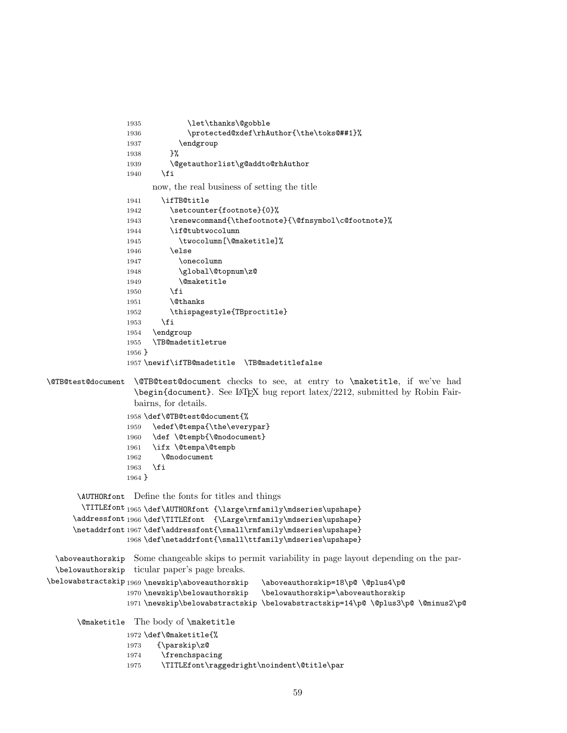```
1935 \let\thanks\@gobble
                 1936 \protected@xdef\rhAuthor{\the\toks@##1}%
                 1937 \endgroup
                 1938 }%
                 1939 \@getauthorlist\g@addto@rhAuthor
                 1940 \fi
                       now, the real business of setting the title
                 1941 \ifTB@title
                 1942 \setcounter{footnote}{0}%
                 1943 \renewcommand{\thefootnote}{\@fnsymbol\c@footnote}%
                 1944 \if@tubtwocolumn
                 1945 \twocolumn[\@maketitle]%
                 1946 \else
                 1947 \onecolumn
                 1948 \global\@topnum\z@
                 1949 \@maketitle
                 1950 \fi
                 1951 \@thanks
                 1952 \thispagestyle{TBproctitle}
                 1953 \overrightarrow{fi}1954 \endgroup
                 1955 \TB@madetitletrue
                 1956 }
                 1957 \newif\ifTB@madetitle \TB@madetitlefalse
\@TB@test@document \@TB@test@document checks to see, at entry to \maketitle, if we've had
                   \begin{document}. See LATEX bug report latex/2212, submitted by Robin Fair-
                   bairns, for details.
                 1958 \def\@TB@test@document{%
                 1959 \edef\@tempa{\the\everypar}
                 1960 \def \@tempb{\@nodocument}
                 1961 \ifx \@tempa\@tempb
                 1962 \@nodocument
                 1963 \fi
                 1964 }
      \AUTHORfont
Define the fonts for titles and things
       \TITLEfont<sub>1965</sub>\def\AUTHORfont {\large\rmfamily\mdseries\upshape}
     \addressfont 1966 \def\TITLEfont {\Large\rmfamily\mdseries\upshape}
     \netaddrfont
1967 \def\addressfont{\small\rmfamily\mdseries\upshape}
                 1968 \def\netaddrfont{\small\ttfamily\mdseries\upshape}
 \aboveauthorskip
Some changeable skips to permit variability in page layout depending on the par-
 \belowauthorskip
ticular paper's page breaks.
\belowabstractskip _{1969} \newskip\aboveauthorskip
                                               \aboveauthorskip=18\p@ \@plus4\p@
                 1970 \newskip\belowauthorskip \belowauthorskip=\aboveauthorskip
                 1971 \newskip\belowabstractskip \belowabstractskip=14\p@ \@plus3\p@ \@minus2\p@
      \@maketitle The body of \maketitle
                 1972 \def\@maketitle{%
                 1973 {\parskip\z@
                 1974 \frenchspacing
                 1975 \TITLEfont\raggedright\noindent\@title\par
```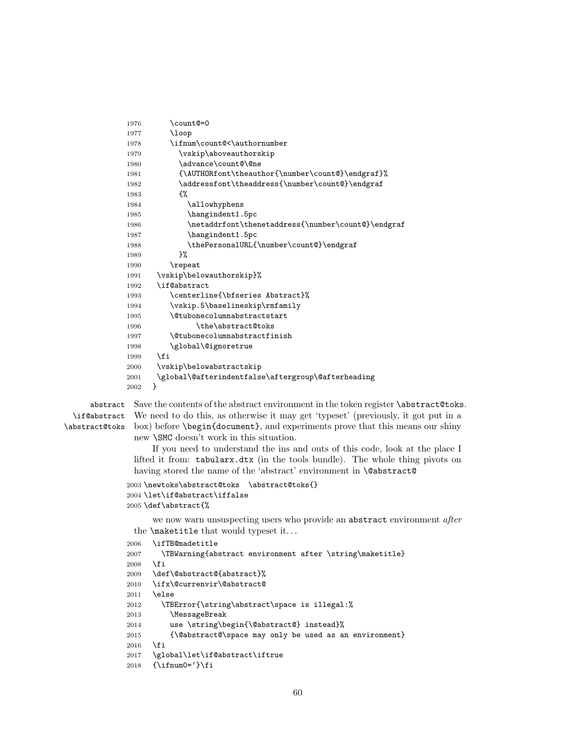```
1976 \count@=0
1977 \loop
1978 \ifnum\count@<\authornumber
1979 \vskip\aboveauthorskip
1980 \advance\count@\@ne
1981 {\AUTHORfont\theauthor{\number\count@}\endgraf}%
1982 \addressfont\theaddress{\number\count@}\endgraf
1983 {%
1984 \allowhyphens
1985 \hangindent1.5pc
1986 \netaddrfont\thenetaddress{\number\count@}\endgraf
1987 \hangindent1.5pc
1988 \thePersonalURL{\number\count@}\endgraf
1989 }%
1990 \repeat
1991 \vskip\belowauthorskip}%
1992 \if@abstract
1993 \centerline{\bfseries Abstract}%
1994 \vskip.5\baselineskip\rmfamily
1995 \@tubonecolumnabstractstart
1996 \the\abstract@toks
1997 \@tubonecolumnabstractfinish
1998 \global\@ignoretrue
1999 \fi
2000 \vskip\belowabstractskip
2001 \global\@afterindentfalse\aftergroup\@afterheading
2002 }
```
\if@abstract \abstract@toks

abstract Save the contents of the abstract environment in the token register \abstract@toks. We need to do this, as otherwise it may get 'typeset' (previously, it got put in a box) before \begin{document}, and experiments prove that this means our shiny new \SMC doesn't work in this situation.

> If you need to understand the ins and outs of this code, look at the place I lifted it from: tabularx.dtx (in the tools bundle). The whole thing pivots on having stored the name of the 'abstract' environment in **\@abstract@**

```
2003 \newtoks\abstract@toks \abstract@toks{}
2004 \let\if@abstract\iffalse
2005 \def\abstract{%
```
we now warn unsuspecting users who provide an abstract environment after the \maketitle that would typeset it. . .

```
2006 \ifTB@madetitle
2007 \TBWarning{abstract environment after \string\maketitle}
2008 \fi
2009 \def\@abstract@{abstract}%
2010 \ifx\@currenvir\@abstract@
2011 \else
2012 \TBError{\string\abstract\space is illegal:%
2013 \MessageBreak
2014 use \string\begin{\@abstract@} instead}%
2015 {\@abstract@\space may only be used as an environment}
2016 \fi
2017 \global\let\if@abstract\iftrue
2018 {\ifnum0='}\fi
```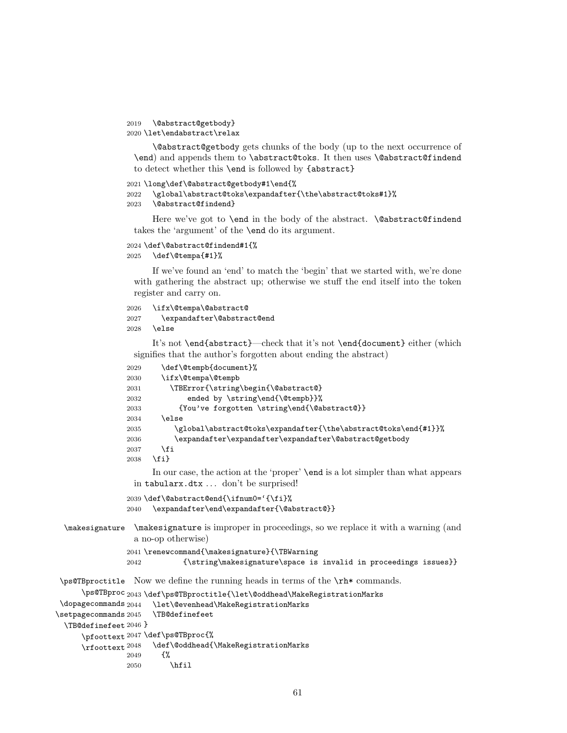```
2019 \@abstract@getbody}
2020 \let\endabstract\relax
```
\@abstract@getbody gets chunks of the body (up to the next occurrence of \end) and appends them to \abstract@toks. It then uses \@abstract@findend to detect whether this \end is followed by {abstract}

```
2021 \long\def\@abstract@getbody#1\end{%
2022 \global\abstract@toks\expandafter{\the\abstract@toks#1}%
2023 \@abstract@findend}
```
Here we've got to **\end** in the body of the abstract. **\@abstract@findend** takes the 'argument' of the \end do its argument.

```
2024 \def\@abstract@findend#1{%
2025 \def\@tempa{#1}%
```
If we've found an 'end' to match the 'begin' that we started with, we're done with gathering the abstract up; otherwise we stuff the end itself into the token register and carry on.

```
2026 \ifx\@tempa\@abstract@
2027 \expandafter\@abstract@end
2028 \else
```
It's not \end{abstract}—check that it's not \end{document} either (which signifies that the author's forgotten about ending the abstract)

```
2029 \def\@tempb{document}%
                2030 \ifx\@tempa\@tempb
                2031 \TBError{\string\begin{\@abstract@}
                2032 ended by \string\end{\@tempb}}%
                2033 {You've forgotten \string\end{\@abstract@}}
                2034 \else
                2035 \global\abstract@toks\expandafter{\the\abstract@toks\end{#1}}%
                2036 \expandafter\expandafter\expandafter\@abstract@getbody
                2037 \fi
                2038 \fi}
                     In our case, the action at the 'proper' \end is a lot simpler than what appears
                 in tabularx.dtx ... don't be surprised!
                2039 \def\@abstract@end{\ifnum0='{\fi}%
                2040 \expandafter\end\expandafter{\@abstract@}}
  \makesignature \makesignature is improper in proceedings, so we replace it with a warning (and
                 a no-op otherwise)
                2041 \renewcommand{\makesignature}{\TBWarning
                2042 {\string\makesignature\space is invalid in proceedings issues}}
 \ps@TBproctitle
Now we define the running heads in terms of the \rh* commands.
      \ps@TBproc
2043 \def\ps@TBproctitle{\let\@oddhead\MakeRegistrationMarks
\dopagecommands 2044\setpagecommands 2045
  \TB@definefeet
2046 }
      \pfoottext
2047 \def\ps@TBproc{%
     \label{eq:1}\let\@evenhead\MakeRegistrationMarks
                     \TB@definefeet
                     \def\@oddhead{\MakeRegistrationMarks
                2049 {%
                2050 \hfil
```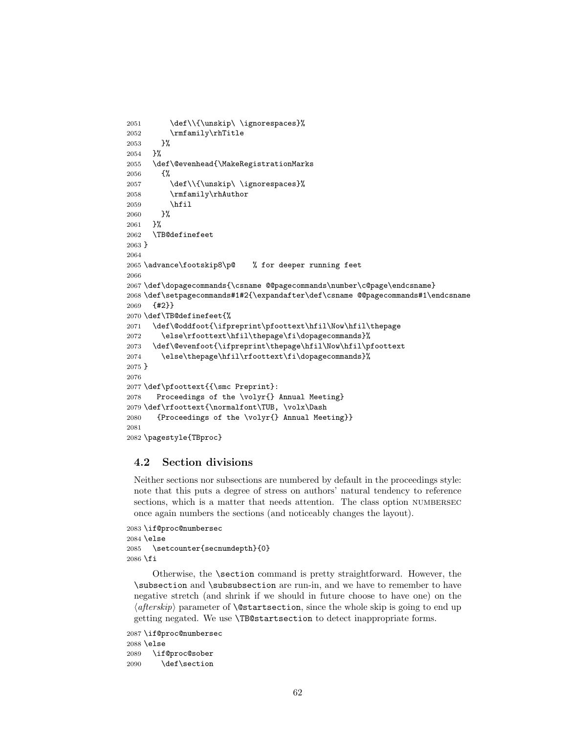```
2051 \def\\{\unskip\ \ignorespaces}%
2052 \rmfamily\rhTitle
2053 }%
2054 }%
2055 \def\@evenhead{\MakeRegistrationMarks
2056 {%
2057 \def\\{\unskip\ \ignorespaces}%
2058 \rmfamily\rhAuthor
2059 \hfil
2060 }%
2061 }%
2062 \TB@definefeet
2063 }
2064
2065 \advance\footskip8\p@ % for deeper running feet
2066
2067 \def\dopagecommands{\csname @@pagecommands\number\c@page\endcsname}
2068 \def\setpagecommands#1#2{\expandafter\def\csname @@pagecommands#1\endcsname
2069 {#2}}
2070 \def\TB@definefeet{%
2071 \def\@oddfoot{\ifpreprint\pfoottext\hfil\Now\hfil\thepage
2072 \else\rfoottext\hfil\thepage\fi\dopagecommands}%
2073 \def\@evenfoot{\ifpreprint\thepage\hfil\Now\hfil\pfoottext
2074 \else\thepage\hfil\rfoottext\fi\dopagecommands}%
2075 }
2076
2077 \def\pfoottext{{\smc Preprint}:
2078 Proceedings of the \volyr{} Annual Meeting}
2079 \def\rfoottext{\normalfont\TUB, \volx\Dash
2080 {Proceedings of the \volyr{} Annual Meeting}}
2081
2082 \pagestyle{TBproc}
```
## 4.2 Section divisions

Neither sections nor subsections are numbered by default in the proceedings style: note that this puts a degree of stress on authors' natural tendency to reference sections, which is a matter that needs attention. The class option NUMBERSEC once again numbers the sections (and noticeably changes the layout).

```
2083 \if@proc@numbersec
2084 \else
2085 \setcounter{secnumdepth}{0}
2086 \fi
```
Otherwise, the \section command is pretty straightforward. However, the \subsection and \subsubsection are run-in, and we have to remember to have negative stretch (and shrink if we should in future choose to have one) on the  $\langle afterskip\rangle$  parameter of **\@startsection**, since the whole skip is going to end up getting negated. We use \TB@startsection to detect inappropriate forms.

```
2087 \if@proc@numbersec
2088 \else
2089 \if@proc@sober
2090 \def\section
```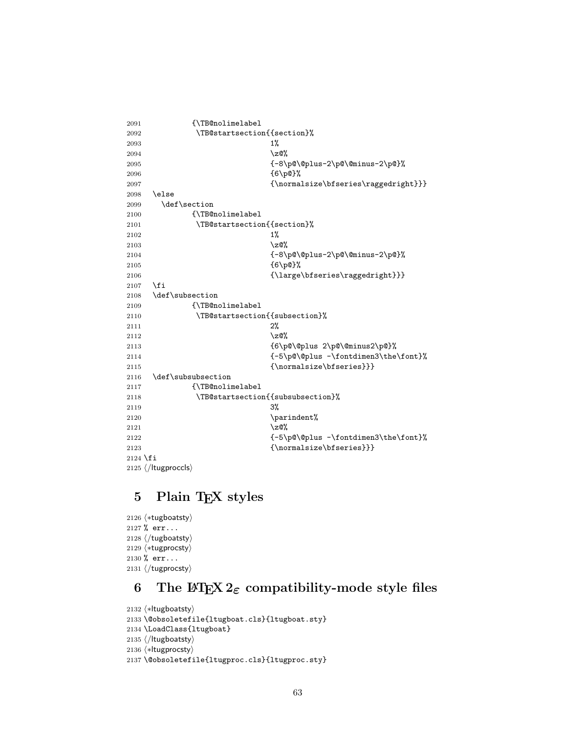```
2091 {\TB@nolimelabel
2092 \TB@startsection{{section}%
2093 1\%2094 \quad \big\{ \mathsf{z} \mathsf{Q} \mathsf{w}2095 {-8\p@\@plus-2\p@\@minus-2\p@}%
2096 {6\p@}%
2097 <br>
{\normalsize\bfseries\raggedright}}}
2098 \else
2099 \def\section
2100 {\TB@nolimelabel
2101 \TB@startsection{{section}%
2102 1%2103 \quad \text{20\%}2104 {-8\p@\@plus-2\p@\@minus-2\p@}%
2105 {6\p@}%
2106 {\langle\hbox{\texttt{large}}\hbox{\texttt{large}}\}2107 \fi
2108 \def\subsection
2109 {\TB@nolimelabel
2110 \TB@startsection{{subsection}%
2111 2\%2112 \qquad \qquad \qquad \qquad \qquad \qquad \qquad \qquad \qquad \qquad \qquad \qquad \qquad \qquad \qquad \qquad \qquad \qquad \qquad \qquad \qquad \qquad \qquad \qquad \qquad \qquad \qquad \qquad \qquad \qquad \qquad \qquad \qquad \qquad \qquad \qquad \qquad \qquad \q2113 {6\p@\@plus 2\p@\@minus2\p@}%
2114 {-5\pd\@plus -\font{fontdimen3\the\font{font}\%}2115 {\normalfont \{ \normalfont \{ \normal} \} \}2116 \def\subsubsection
2117 {\TB@nolimelabel
2118 \TB@startsection{{subsubsection}%
2119 3\%2120 \parindent%
2121 \angle 20%
2122 {-5\pd\@plus -\font{fontdimen3\the\font{font}\%}2123 {\normalsize\bfseries}}}
2124 \fi
2125 ⟨/ltugproccls⟩
```
# 5 Plain T<sub>F</sub>X styles

 ⟨∗tugboatsty⟩ % err... ⟨/tugboatsty⟩ ⟨∗tugprocsty⟩ % err... ⟨/tugprocsty⟩

# 6 The L<sup>4</sup>T<sub>E</sub>X 2<sub> $\varepsilon$ </sub> compatibility-mode style files

```
2132 ⟨∗ltugboatsty⟩
2133 \@obsoletefile{ltugboat.cls}{ltugboat.sty}
2134 \LoadClass{ltugboat}
2135 ⟨/ltugboatsty⟩
2136 ⟨∗ltugprocsty⟩
2137 \@obsoletefile{ltugproc.cls}{ltugproc.sty}
```